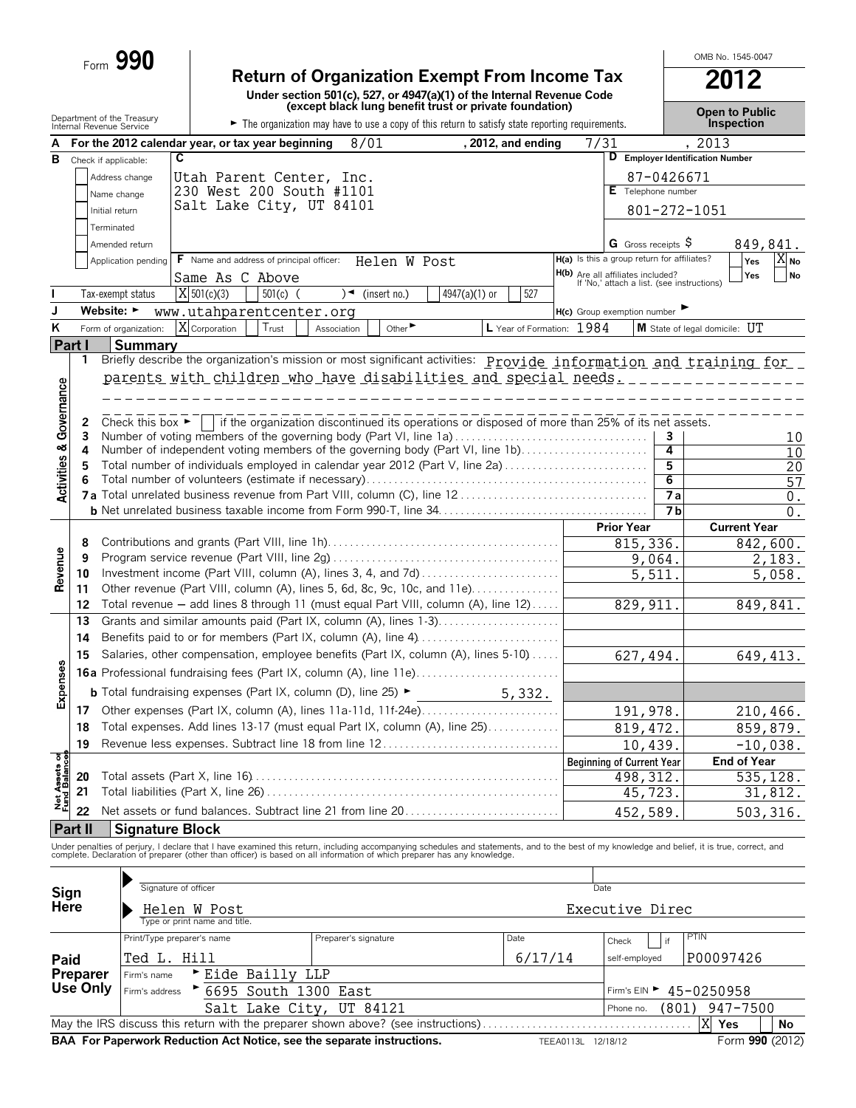|                                        |                | Form 990                                               |                                          |            |                                                                                                                                                                                                                                   |                             |               |                    |                                                                                        |                                  |                             |                                  | OMB No. 1545-0047     |           |
|----------------------------------------|----------------|--------------------------------------------------------|------------------------------------------|------------|-----------------------------------------------------------------------------------------------------------------------------------------------------------------------------------------------------------------------------------|-----------------------------|---------------|--------------------|----------------------------------------------------------------------------------------|----------------------------------|-----------------------------|----------------------------------|-----------------------|-----------|
|                                        |                |                                                        |                                          |            | <b>Return of Organization Exempt From Income Tax</b>                                                                                                                                                                              |                             |               |                    |                                                                                        |                                  |                             |                                  | 2012                  |           |
|                                        |                |                                                        |                                          |            | Under section 501(c), 527, or 4947(a)(1) of the Internal Revenue Code<br>(except black lung benefit trust or private foundation)                                                                                                  |                             |               |                    |                                                                                        |                                  |                             |                                  | <b>Open to Public</b> |           |
|                                        |                | Department of the Treasury<br>Internal Revenue Service |                                          |            | The organization may have to use a copy of this return to satisfy state reporting requirements.                                                                                                                                   |                             |               |                    |                                                                                        |                                  |                             |                                  | <b>Inspection</b>     |           |
| А                                      |                | For the 2012 calendar year, or tax year beginning      |                                          |            | 8/01                                                                                                                                                                                                                              |                             |               | , 2012, and ending | 7/31                                                                                   |                                  |                             | , 2013                           |                       |           |
| в                                      |                | Check if applicable:                                   | $\overline{\mathbf{c}}$                  |            |                                                                                                                                                                                                                                   |                             |               |                    |                                                                                        |                                  |                             | D Employer Identification Number |                       |           |
|                                        |                | Address change                                         |                                          |            | Utah Parent Center, Inc.                                                                                                                                                                                                          |                             |               |                    |                                                                                        |                                  | 87-0426671                  |                                  |                       |           |
|                                        |                | Name change                                            |                                          |            | 230 West 200 South #1101<br>Salt Lake City, UT 84101                                                                                                                                                                              |                             |               |                    |                                                                                        | E Telephone number               |                             |                                  |                       |           |
|                                        |                | Initial return                                         |                                          |            |                                                                                                                                                                                                                                   |                             |               |                    |                                                                                        |                                  |                             | 801-272-1051                     |                       |           |
|                                        |                | Terminated                                             |                                          |            |                                                                                                                                                                                                                                   |                             |               |                    |                                                                                        |                                  |                             |                                  |                       |           |
|                                        |                | Amended return<br>Application pending                  | F Name and address of principal officer: |            |                                                                                                                                                                                                                                   | Helen W Post                |               |                    | H(a) Is this a group return for affiliates?                                            | G Gross receipts $\varsigma$     |                             |                                  | 849,841.<br>Yes       | A no      |
|                                        |                |                                                        | Same As C Above                          |            |                                                                                                                                                                                                                                   |                             |               |                    | <b>H(b)</b> Are all affiliates included?<br>If 'No,' attach a list. (see instructions) |                                  |                             |                                  | Yes                   | <b>No</b> |
|                                        |                | Tax-exempt status                                      | $X$ 501(c)(3)                            | $501(c)$ ( | )                                                                                                                                                                                                                                 | (insert no.)                | 4947(a)(1) or | 527                |                                                                                        |                                  |                             |                                  |                       |           |
| J                                      |                | Website: $\blacktriangleright$                         | www.utahparentcenter.org                 |            |                                                                                                                                                                                                                                   |                             |               |                    | $H(c)$ Group exemption number                                                          |                                  |                             |                                  |                       |           |
| K                                      |                | Form of organization:                                  | X Corporation                            | Trust      | Association                                                                                                                                                                                                                       | Other $\blacktriangleright$ |               |                    | L Year of Formation: 1984                                                              |                                  |                             | M State of legal domicile: UT    |                       |           |
|                                        | <b>Part I</b>  | Summary                                                |                                          |            |                                                                                                                                                                                                                                   |                             |               |                    |                                                                                        |                                  |                             |                                  |                       |           |
|                                        | 1              |                                                        |                                          |            | Briefly describe the organization's mission or most significant activities: <b>Provide information and training for</b>                                                                                                           |                             |               |                    |                                                                                        |                                  |                             |                                  |                       |           |
|                                        |                |                                                        |                                          |            | parents with children who have disabilities and special needs.                                                                                                                                                                    |                             |               |                    |                                                                                        |                                  |                             |                                  |                       |           |
|                                        |                |                                                        |                                          |            |                                                                                                                                                                                                                                   |                             |               |                    |                                                                                        |                                  |                             |                                  |                       |           |
| <b>Activities &amp; Governance</b>     |                | Check this box $\blacktriangleright$                   |                                          |            | if the organization discontinued its operations or disposed of more than 25% of its net assets.                                                                                                                                   |                             |               |                    |                                                                                        |                                  |                             |                                  |                       |           |
|                                        | 2<br>3         |                                                        |                                          |            | Number of voting members of the governing body (Part VI, line 1a)                                                                                                                                                                 |                             |               |                    |                                                                                        |                                  | 3                           |                                  |                       | 10        |
|                                        | 4              |                                                        |                                          |            | Number of independent voting members of the governing body (Part VI, line 1b)                                                                                                                                                     |                             |               |                    |                                                                                        |                                  | 4                           |                                  |                       | 10        |
|                                        | 5              |                                                        |                                          |            | Total number of individuals employed in calendar year 2012 (Part V, line 2a)                                                                                                                                                      |                             |               |                    |                                                                                        |                                  | $\overline{5}$              |                                  |                       | 20        |
|                                        | 6              |                                                        |                                          |            |                                                                                                                                                                                                                                   |                             |               |                    |                                                                                        |                                  | $\overline{6}$              |                                  |                       | 57        |
|                                        |                |                                                        |                                          |            |                                                                                                                                                                                                                                   |                             |               |                    |                                                                                        |                                  | <b>7a</b><br>7 <sub>b</sub> |                                  |                       | 0.        |
|                                        |                |                                                        |                                          |            |                                                                                                                                                                                                                                   |                             |               |                    |                                                                                        | <b>Prior Year</b>                |                             |                                  | <b>Current Year</b>   | 0.        |
|                                        | 8              |                                                        |                                          |            |                                                                                                                                                                                                                                   |                             |               |                    |                                                                                        |                                  | 815,336.                    |                                  | 842,600.              |           |
|                                        | 9              |                                                        |                                          |            |                                                                                                                                                                                                                                   |                             |               |                    |                                                                                        |                                  | 9,064                       |                                  |                       | 2,183.    |
| Revenue                                | 10             |                                                        |                                          |            |                                                                                                                                                                                                                                   |                             |               |                    |                                                                                        |                                  | 5,511.                      |                                  |                       | 5,058.    |
|                                        | 11             |                                                        |                                          |            | Other revenue (Part VIII, column (A), lines 5, 6d, 8c, 9c, 10c, and 11e)                                                                                                                                                          |                             |               |                    |                                                                                        |                                  |                             |                                  |                       |           |
|                                        | 12             |                                                        |                                          |            | Total revenue - add lines 8 through 11 (must equal Part VIII, column (A), line 12)                                                                                                                                                |                             |               |                    |                                                                                        | 829,911                          |                             |                                  | 849,841.              |           |
|                                        | 13             |                                                        |                                          |            |                                                                                                                                                                                                                                   |                             |               |                    |                                                                                        |                                  |                             |                                  |                       |           |
|                                        | 14             |                                                        |                                          |            | Benefits paid to or for members (Part IX, column (A), line 4)                                                                                                                                                                     |                             |               |                    |                                                                                        |                                  |                             |                                  |                       |           |
| c)                                     | 15             |                                                        |                                          |            | Salaries, other compensation, employee benefits (Part IX, column (A), lines 5-10)                                                                                                                                                 |                             |               |                    |                                                                                        |                                  | 627,494.                    |                                  | 649, 413.             |           |
| Expense                                |                |                                                        |                                          |            |                                                                                                                                                                                                                                   |                             |               |                    |                                                                                        |                                  |                             |                                  |                       |           |
|                                        |                |                                                        |                                          |            | <b>b</b> Total fundraising expenses (Part IX, column (D), line 25) $\blacktriangleright$                                                                                                                                          |                             |               | 5,332.             |                                                                                        |                                  |                             |                                  |                       |           |
|                                        | 17             |                                                        |                                          |            |                                                                                                                                                                                                                                   |                             |               |                    |                                                                                        |                                  | 191,978.                    |                                  | 210,466.              |           |
|                                        | 18             |                                                        |                                          |            | Total expenses. Add lines 13-17 (must equal Part IX, column (A), line 25)                                                                                                                                                         |                             |               |                    |                                                                                        |                                  | 819, 472.                   |                                  | 859,879.              |           |
|                                        | 19             |                                                        |                                          |            | Revenue less expenses. Subtract line 18 from line 12                                                                                                                                                                              |                             |               |                    |                                                                                        |                                  | 10,439.                     |                                  | $-10,038.$            |           |
| <b>Net Assets of<br/>Fund Balances</b> |                |                                                        |                                          |            |                                                                                                                                                                                                                                   |                             |               |                    |                                                                                        | <b>Beginning of Current Year</b> |                             |                                  | <b>End of Year</b>    |           |
|                                        | 20<br>21       |                                                        |                                          |            |                                                                                                                                                                                                                                   |                             |               |                    |                                                                                        |                                  | 498, 312                    |                                  | 535, 128.             |           |
|                                        |                |                                                        |                                          |            |                                                                                                                                                                                                                                   |                             |               |                    |                                                                                        |                                  | 45,723.                     |                                  |                       | 31,812.   |
|                                        | 22             |                                                        |                                          |            | Net assets or fund balances. Subtract line 21 from line 20                                                                                                                                                                        |                             |               |                    |                                                                                        |                                  | 452,589.                    |                                  | 503, 316.             |           |
|                                        | <b>Part II</b> | <b>Signature Block</b>                                 |                                          |            |                                                                                                                                                                                                                                   |                             |               |                    |                                                                                        |                                  |                             |                                  |                       |           |
|                                        |                |                                                        |                                          |            | Under penalties of perjury, I declare that I have examined this return, including accompanying schedules and statements, and to the best of my knowledge and belief, it is true, correct, and<br>complete. Declaration of prepare |                             |               |                    |                                                                                        |                                  |                             |                                  |                       |           |
|                                        |                |                                                        |                                          |            |                                                                                                                                                                                                                                   |                             |               |                    |                                                                                        |                                  |                             |                                  |                       |           |
|                                        |                |                                                        | Signature of officer                     |            |                                                                                                                                                                                                                                   |                             |               |                    |                                                                                        | Date                             |                             |                                  |                       |           |
| Sign<br>Here                           |                |                                                        | Helen W Post                             |            |                                                                                                                                                                                                                                   |                             |               |                    |                                                                                        | Executive Direc                  |                             |                                  |                       |           |
|                                        |                |                                                        | Type or print name and title.            |            |                                                                                                                                                                                                                                   |                             |               |                    |                                                                                        |                                  |                             |                                  |                       |           |
|                                        |                |                                                        | Print/Type preparer's name               |            | Preparer's signature                                                                                                                                                                                                              |                             |               | Date               |                                                                                        | Check                            | if                          | PTIN                             |                       |           |

|          | <b>RAA</b> For Panorwork Poduction Act Notice, see the conarate instructions |                                                                                   | TPTA01101 10110110 |               | $Form$ QQN $(2012)$ |    |
|----------|------------------------------------------------------------------------------|-----------------------------------------------------------------------------------|--------------------|---------------|---------------------|----|
|          |                                                                              | May the IRS discuss this return with the preparer shown above? (see instructions) |                    |               | <b>Yes</b>          | No |
|          | Salt Lake City, UT 84121                                                     |                                                                                   |                    | Phone no.     | $(801)$ 947-7500    |    |
| Use Only | Firm's address<br>6695 South 1300 East                                       | Firm's EIN > 45-0250958                                                           |                    |               |                     |    |
| Preparer | ► Eide Bailly LLP<br>Firm's name                                             |                                                                                   |                    |               |                     |    |
| Paid     | 'Ted L. Hill                                                                 |                                                                                   | 6/17/14            | self-employed | P00097426           |    |
|          | Print/Type preparer's name                                                   | Preparer's signature                                                              | Date               | Check<br>if   | PIN                 |    |

**BRAA For Paperwork Reduction Act Notice, see the separate instructions.** The Manus TEEA0113L 12/18/12 Form **990** (2012)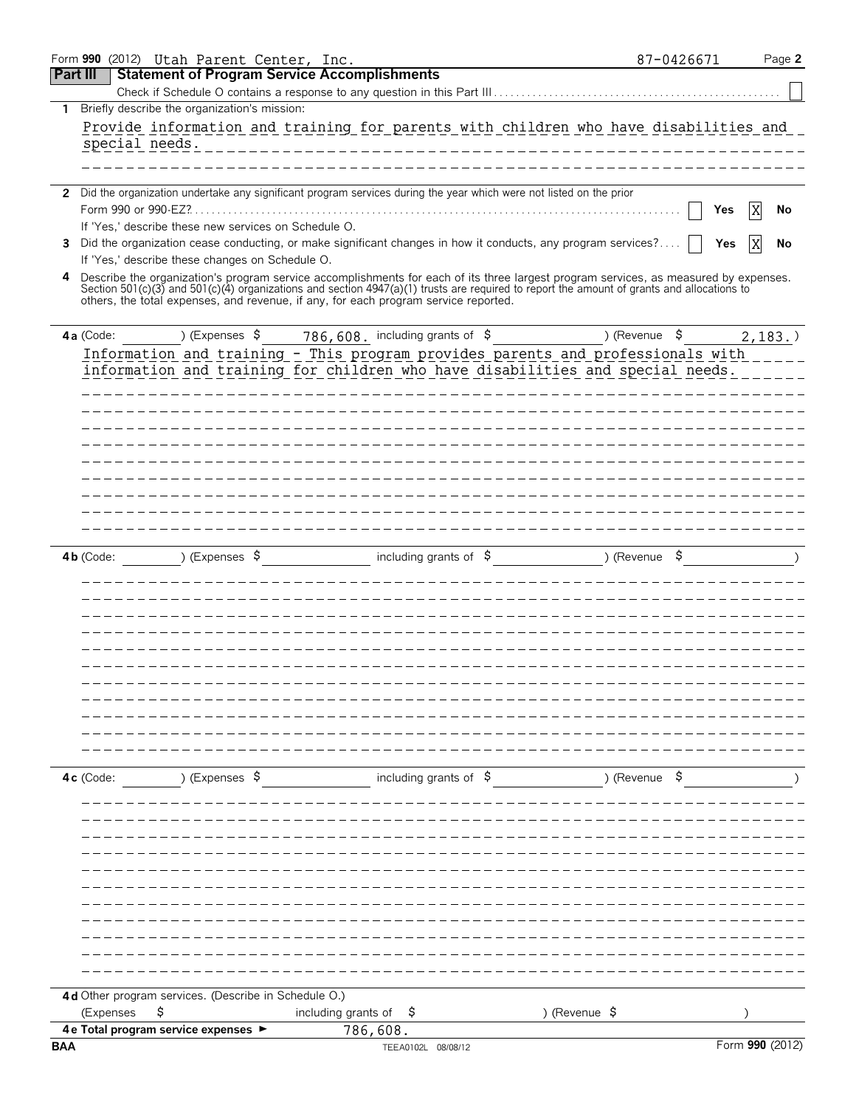|                 |             |           | Form 990 (2012) Utah Parent Center, Inc.                                                                                                                                                                                                                                                                                                                                  |                           |  |                                   |          |                                   |  |               |               | 87-0426671 |     | Page 2          |
|-----------------|-------------|-----------|---------------------------------------------------------------------------------------------------------------------------------------------------------------------------------------------------------------------------------------------------------------------------------------------------------------------------------------------------------------------------|---------------------------|--|-----------------------------------|----------|-----------------------------------|--|---------------|---------------|------------|-----|-----------------|
| <b>Part III</b> |             |           | <b>Statement of Program Service Accomplishments</b>                                                                                                                                                                                                                                                                                                                       |                           |  |                                   |          |                                   |  |               |               |            |     |                 |
|                 |             |           |                                                                                                                                                                                                                                                                                                                                                                           |                           |  |                                   |          |                                   |  |               |               |            |     |                 |
| $\mathbf{1}$    |             |           | Briefly describe the organization's mission:                                                                                                                                                                                                                                                                                                                              |                           |  |                                   |          |                                   |  |               |               |            |     |                 |
|                 |             |           | Provide information and training for parents with children who have disabilities and<br>special needs.                                                                                                                                                                                                                                                                    |                           |  |                                   |          |                                   |  |               |               |            |     |                 |
|                 |             |           |                                                                                                                                                                                                                                                                                                                                                                           |                           |  |                                   |          |                                   |  |               |               |            |     |                 |
|                 |             |           |                                                                                                                                                                                                                                                                                                                                                                           |                           |  |                                   |          |                                   |  |               |               |            |     |                 |
|                 |             |           | 2 Did the organization undertake any significant program services during the year which were not listed on the prior                                                                                                                                                                                                                                                      |                           |  |                                   |          |                                   |  |               |               |            |     |                 |
|                 |             |           | Form 990 or 990-EZ?                                                                                                                                                                                                                                                                                                                                                       |                           |  |                                   |          |                                   |  |               |               |            | Yes | No              |
|                 |             |           | If 'Yes,' describe these new services on Schedule O.                                                                                                                                                                                                                                                                                                                      |                           |  |                                   |          |                                   |  |               |               |            |     |                 |
| 3               |             |           | Did the organization cease conducting, or make significant changes in how it conducts, any program services?                                                                                                                                                                                                                                                              |                           |  |                                   |          |                                   |  |               |               |            | Yes | No              |
|                 |             |           | If 'Yes,' describe these changes on Schedule O.                                                                                                                                                                                                                                                                                                                           |                           |  |                                   |          |                                   |  |               |               |            |     |                 |
| 4               |             |           | Describe the organization's program service accomplishments for each of its three largest program services, as measured by expenses.<br>Section 501(c)(3) and 501(c)(4) organizations and section 4947(a)(1) trusts are required to report the amount of grants and allocations to<br>others, the total expenses, and revenue, if any, for each program service reported. |                           |  |                                   |          |                                   |  |               |               |            |     |                 |
|                 |             |           |                                                                                                                                                                                                                                                                                                                                                                           |                           |  |                                   |          |                                   |  |               |               |            |     |                 |
|                 | 4a (Code:   |           |                                                                                                                                                                                                                                                                                                                                                                           | ) (Expenses $\frac{1}{2}$ |  | 786,608. including grants of $\$$ |          |                                   |  |               | ) (Revenue \$ |            |     | $2,183.$ )      |
|                 |             |           | Information and training - This program provides parents and professionals with                                                                                                                                                                                                                                                                                           |                           |  |                                   |          |                                   |  |               |               |            |     |                 |
|                 |             |           | information and training for children who have disabilities and special needs.                                                                                                                                                                                                                                                                                            |                           |  |                                   |          |                                   |  |               |               |            |     |                 |
|                 |             |           |                                                                                                                                                                                                                                                                                                                                                                           |                           |  |                                   |          |                                   |  |               |               |            |     |                 |
|                 |             |           |                                                                                                                                                                                                                                                                                                                                                                           |                           |  |                                   |          |                                   |  |               |               |            |     |                 |
|                 |             |           |                                                                                                                                                                                                                                                                                                                                                                           |                           |  |                                   |          |                                   |  |               |               |            |     |                 |
|                 |             |           |                                                                                                                                                                                                                                                                                                                                                                           |                           |  |                                   |          |                                   |  |               |               |            |     |                 |
|                 |             |           |                                                                                                                                                                                                                                                                                                                                                                           |                           |  |                                   |          |                                   |  |               |               |            |     |                 |
|                 |             |           |                                                                                                                                                                                                                                                                                                                                                                           |                           |  |                                   |          |                                   |  |               |               |            |     |                 |
|                 |             |           |                                                                                                                                                                                                                                                                                                                                                                           |                           |  |                                   |          |                                   |  |               |               |            |     |                 |
|                 |             |           |                                                                                                                                                                                                                                                                                                                                                                           |                           |  |                                   |          |                                   |  |               |               |            |     |                 |
|                 |             |           |                                                                                                                                                                                                                                                                                                                                                                           |                           |  |                                   |          |                                   |  |               |               |            |     |                 |
|                 | $4b$ (Code: |           |                                                                                                                                                                                                                                                                                                                                                                           | ) (Expenses $\sqrt{5}$    |  |                                   |          | including grants of $\frac{1}{2}$ |  |               | ) (Revenue \$ |            |     |                 |
|                 |             |           |                                                                                                                                                                                                                                                                                                                                                                           |                           |  |                                   |          |                                   |  |               |               |            |     |                 |
|                 |             |           |                                                                                                                                                                                                                                                                                                                                                                           |                           |  |                                   |          |                                   |  |               |               |            |     |                 |
|                 |             |           |                                                                                                                                                                                                                                                                                                                                                                           |                           |  |                                   |          |                                   |  |               |               |            |     |                 |
|                 |             |           |                                                                                                                                                                                                                                                                                                                                                                           |                           |  |                                   |          |                                   |  |               |               |            |     |                 |
|                 |             |           |                                                                                                                                                                                                                                                                                                                                                                           |                           |  |                                   |          |                                   |  |               |               |            |     |                 |
|                 |             |           |                                                                                                                                                                                                                                                                                                                                                                           |                           |  |                                   |          |                                   |  |               |               |            |     |                 |
|                 |             |           |                                                                                                                                                                                                                                                                                                                                                                           |                           |  |                                   |          |                                   |  |               |               |            |     |                 |
|                 |             |           |                                                                                                                                                                                                                                                                                                                                                                           |                           |  |                                   |          |                                   |  |               |               |            |     |                 |
|                 |             |           |                                                                                                                                                                                                                                                                                                                                                                           |                           |  |                                   |          |                                   |  |               |               |            |     |                 |
|                 |             |           |                                                                                                                                                                                                                                                                                                                                                                           |                           |  |                                   |          |                                   |  |               |               |            |     |                 |
|                 |             |           |                                                                                                                                                                                                                                                                                                                                                                           |                           |  |                                   |          |                                   |  |               |               |            |     |                 |
|                 | 4c (Code:   |           |                                                                                                                                                                                                                                                                                                                                                                           | ) (Expenses \$            |  |                                   |          | including grants of $\beta$       |  |               | ) (Revenue \$ |            |     |                 |
|                 |             |           |                                                                                                                                                                                                                                                                                                                                                                           |                           |  |                                   |          |                                   |  |               |               |            |     |                 |
|                 |             |           |                                                                                                                                                                                                                                                                                                                                                                           |                           |  |                                   |          |                                   |  |               |               |            |     |                 |
|                 |             |           |                                                                                                                                                                                                                                                                                                                                                                           |                           |  |                                   |          |                                   |  |               |               |            |     |                 |
|                 |             |           |                                                                                                                                                                                                                                                                                                                                                                           |                           |  |                                   |          |                                   |  |               |               |            |     |                 |
|                 |             |           |                                                                                                                                                                                                                                                                                                                                                                           |                           |  |                                   |          |                                   |  |               |               |            |     |                 |
|                 |             |           |                                                                                                                                                                                                                                                                                                                                                                           |                           |  |                                   |          |                                   |  |               |               |            |     |                 |
|                 |             |           |                                                                                                                                                                                                                                                                                                                                                                           |                           |  |                                   |          |                                   |  |               |               |            |     |                 |
|                 |             |           |                                                                                                                                                                                                                                                                                                                                                                           |                           |  |                                   |          |                                   |  |               |               |            |     |                 |
|                 |             |           |                                                                                                                                                                                                                                                                                                                                                                           |                           |  |                                   |          |                                   |  |               |               |            |     |                 |
|                 |             |           |                                                                                                                                                                                                                                                                                                                                                                           |                           |  |                                   |          |                                   |  |               |               |            |     |                 |
|                 |             |           |                                                                                                                                                                                                                                                                                                                                                                           |                           |  |                                   |          |                                   |  |               |               |            |     |                 |
|                 |             |           | 4d Other program services. (Describe in Schedule O.)                                                                                                                                                                                                                                                                                                                      |                           |  |                                   |          |                                   |  |               |               |            |     |                 |
|                 |             | (Expenses | \$                                                                                                                                                                                                                                                                                                                                                                        |                           |  | including grants of $\frac{1}{2}$ |          |                                   |  | ) (Revenue \$ |               |            |     |                 |
|                 |             |           | 4 e Total program service expenses ▶                                                                                                                                                                                                                                                                                                                                      |                           |  |                                   | 786,608. |                                   |  |               |               |            |     |                 |
| <b>BAA</b>      |             |           |                                                                                                                                                                                                                                                                                                                                                                           |                           |  |                                   |          | TEEA0102L 08/08/12                |  |               |               |            |     | Form 990 (2012) |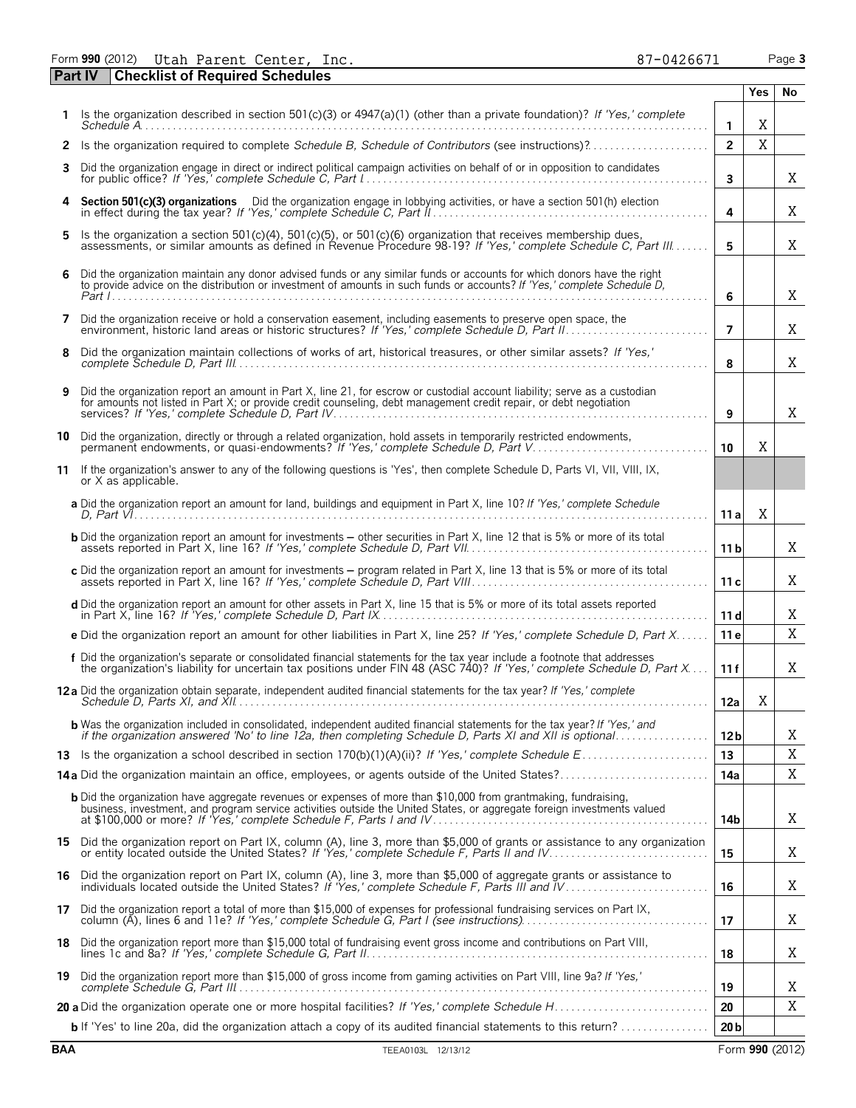Form **990** (2012) Page **3** Utah Parent Center, Inc. 87-0426671

|    | <b>Part IV</b><br><b>Checklist of Required Schedules</b>                                                                                                                                                                                           |                         |            |    |
|----|----------------------------------------------------------------------------------------------------------------------------------------------------------------------------------------------------------------------------------------------------|-------------------------|------------|----|
|    |                                                                                                                                                                                                                                                    |                         | <b>Yes</b> | No |
|    | Is the organization described in section 501(c)(3) or 4947(a)(1) (other than a private foundation)? If 'Yes,' complete                                                                                                                             | $\mathbf{1}$            | X          |    |
| 2  | Is the organization required to complete Schedule B, Schedule of Contributors (see instructions)?                                                                                                                                                  | $\overline{2}$          | X          |    |
| 3  | Did the organization engage in direct or indirect political campaign activities on behalf of or in opposition to candidates                                                                                                                        | $\overline{\mathbf{3}}$ |            | Χ  |
| 4  | Section 501(c)(3) organizations Did the organization engage in lobbying activities, or have a section 501(h) election                                                                                                                              | 4                       |            | X  |
| 5  | Is the organization a section 501(c)(4), 501(c)(5), or 501(c)(6) organization that receives membership dues,<br>assessments, or similar amounts as defined in Revenue Procedure 98-19? If 'Yes,' complete Schedule C, Part III                     | 5                       |            | X  |
| 6  | Did the organization maintain any donor advised funds or any similar funds or accounts for which donors have the right<br>to provide advice on the distribution or investment of amounts in such funds or accounts? If 'Yes,' complete Schedule D, | 6                       |            | Χ  |
| 7  | Did the organization receive or hold a conservation easement, including easements to preserve open space, the                                                                                                                                      | $\overline{7}$          |            | Χ  |
| 8  | Did the organization maintain collections of works of art, historical treasures, or other similar assets? If 'Yes,'                                                                                                                                | 8                       |            | X  |
| 9  | Did the organization report an amount in Part X, line 21, for escrow or custodial account liability; serve as a custodian<br>for amounts not listed in Part X; or provide credit counseling, debt management credit repair, or debt negotiation    | 9                       |            | Χ  |
|    | 10 Did the organization, directly or through a related organization, hold assets in temporarily restricted endowments,<br>permanent endowments, or quasi-endowments? If 'Yes,' complete Schedule D, Part V                                         | 10                      | X          |    |
| 11 | If the organization's answer to any of the following questions is 'Yes', then complete Schedule D, Parts VI, VII, VIII, IX,<br>or X as applicable.                                                                                                 |                         |            |    |
|    | a Did the organization report an amount for land, buildings and equipment in Part X, line 10? If 'Yes,' complete Schedule                                                                                                                          | 11 a                    | X          |    |
|    | <b>b</b> Did the organization report an amount for investments - other securities in Part X, line 12 that is 5% or more of its total                                                                                                               | 11 <sub>b</sub>         |            | Χ  |
|    | c Did the organization report an amount for investments - program related in Part X, line 13 that is 5% or more of its total                                                                                                                       | 11c                     |            | X  |
|    | d Did the organization report an amount for other assets in Part X, line 15 that is 5% or more of its total assets reported                                                                                                                        | 11d                     |            | X  |
|    | e Did the organization report an amount for other liabilities in Part X, line 25? If 'Yes,' complete Schedule D, Part X                                                                                                                            | 11 <sub>e</sub>         |            | X  |
|    | f Did the organization's separate or consolidated financial statements for the tax year include a footnote that addresses<br>the organization's liability for uncertain tax positions under FIN 48 (ASC 740)? If 'Yes,' complete                   | 11f                     |            | Χ  |
|    | <b>12a</b> Did the organization obtain separate, independent audited financial statements for the tax year? If 'Yes,' complete                                                                                                                     | 12a                     | Χ          |    |
|    | <b>b</b> Was the organization included in consolidated, independent audited financial statements for the tax year? If 'Yes,' and                                                                                                                   | 12 <sub>b</sub>         |            | Χ  |
|    |                                                                                                                                                                                                                                                    | 13                      |            | Χ  |
|    | 14a Did the organization maintain an office, employees, or agents outside of the United States?                                                                                                                                                    | 14a                     |            | X  |
|    | <b>b</b> Did the organization have aggregate revenues or expenses of more than \$10,000 from grantmaking, fundraising,                                                                                                                             | 14b                     |            | X  |
|    | 15 Did the organization report on Part IX, column (A), line 3, more than \$5,000 of grants or assistance to any organization                                                                                                                       | 15                      |            | Χ  |
|    | 16 Did the organization report on Part IX, column (A), line 3, more than \$5,000 of aggregate grants or assistance to individuals located outside the United States? If 'Yes,' complete Schedule F, Parts III and IV                               | 16                      |            | Χ  |
|    | 17 Did the organization report a total of more than \$15,000 of expenses for professional fundraising services on Part IX, column (A), lines 6 and 11e? If 'Yes,' complete Schedule G, Part I (see instructions)                                   | 17                      |            | Χ  |
|    | 18 Did the organization report more than \$15,000 total of fundraising event gross income and contributions on Part VIII,                                                                                                                          | 18                      |            | Χ  |
|    | 19 Did the organization report more than \$15,000 of gross income from gaming activities on Part VIII, line 9a? If 'Yes,'                                                                                                                          | 19                      |            | Χ  |
|    |                                                                                                                                                                                                                                                    | 20                      |            | Χ  |
|    | <b>b</b> If 'Yes' to line 20a, did the organization attach a copy of its audited financial statements to this return?                                                                                                                              | 20 <sub>b</sub>         |            |    |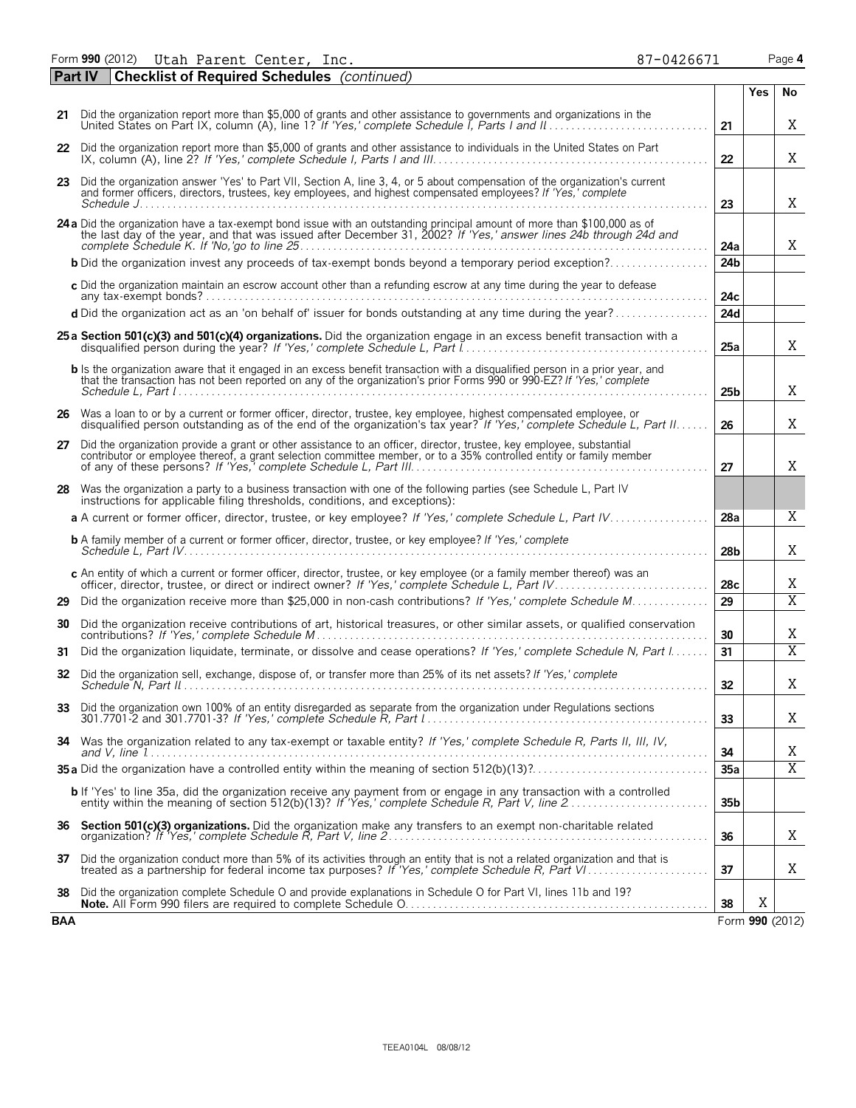Form **990** (2012) Page **4** Utah Parent Center, Inc. 87-0426671

|            | <b>Checklist of Required Schedules</b> (continued)<br><b>Part IV</b>                                                                                                                                                                                  |                 |                 |                |
|------------|-------------------------------------------------------------------------------------------------------------------------------------------------------------------------------------------------------------------------------------------------------|-----------------|-----------------|----------------|
|            |                                                                                                                                                                                                                                                       |                 | <b>Yes</b>      | No             |
|            | 21 Did the organization report more than \$5,000 of grants and other assistance to governments and organizations in the<br>United States on Part IX, column (A), line 1? If 'Yes,' complete Schedule I, Parts I and II.                               | 21              |                 | Χ              |
|            | 22 Did the organization report more than \$5,000 of grants and other assistance to individuals in the United States on Part                                                                                                                           | 22              |                 | Χ              |
|            | 23 Did the organization answer 'Yes' to Part VII, Section A, line 3, 4, or 5 about compensation of the organization's current<br>and former officers, directors, trustees, key employees, and highest compensated employees? If 'Yes,' complete       |                 |                 |                |
|            |                                                                                                                                                                                                                                                       | 23              |                 | X              |
|            | 24 a Did the organization have a tax-exempt bond issue with an outstanding principal amount of more than \$100,000 as of<br>the last day of the year, and that was issued after December 31, 2002? If 'Yes,' answer lines 24b through 24d and         | 24a             |                 | X              |
|            | <b>b</b> Did the organization invest any proceeds of tax-exempt bonds beyond a temporary period exception?                                                                                                                                            | 24 <sub>b</sub> |                 |                |
|            | c Did the organization maintain an escrow account other than a refunding escrow at any time during the year to defease                                                                                                                                | 24c             |                 |                |
|            | d Did the organization act as an 'on behalf of' issuer for bonds outstanding at any time during the year?                                                                                                                                             | 24d             |                 |                |
|            | 25 a Section 501(c)(3) and 501(c)(4) organizations. Did the organization engage in an excess benefit transaction with a                                                                                                                               | 25a             |                 | X              |
|            | b Is the organization aware that it engaged in an excess benefit transaction with a disqualified person in a prior year, and<br>that the transaction has not been reported on any of the organization's prior Forms 990 or 990-EZ? If 'Yes,' complete | 25 <sub>b</sub> |                 | X              |
|            | 26 Was a loan to or by a current or former officer, director, trustee, key employee, highest compensated employee, or<br>disqualified person outstanding as of the end of the organization's tax year? If 'Yes,' complete Schedule L, Part II         | 26              |                 | X              |
|            | 27 Did the organization provide a grant or other assistance to an officer, director, trustee, key employee, substantial<br>contributor or employee thereof, a grant selection committee member, or to a 35% controlled entity or family member        | 27              |                 | X              |
|            | 28 Was the organization a party to a business transaction with one of the following parties (see Schedule L, Part IV<br>instructions for applicable filing thresholds, conditions, and exceptions):                                                   |                 |                 |                |
|            | a A current or former officer, director, trustee, or key employee? If 'Yes,' complete Schedule L, Part IV                                                                                                                                             | 28a             |                 | X              |
|            | <b>b</b> A family member of a current or former officer, director, trustee, or key employee? If 'Yes,' complete                                                                                                                                       | 28 <sub>b</sub> |                 | Χ              |
|            | c An entity of which a current or former officer, director, trustee, or key employee (or a family member thereof) was an                                                                                                                              | 28c             |                 | Χ              |
| 29         | Did the organization receive more than \$25,000 in non-cash contributions? If 'Yes,' complete Schedule M                                                                                                                                              | 29              |                 | $\overline{X}$ |
| 30         | Did the organization receive contributions of art, historical treasures, or other similar assets, or qualified conservation                                                                                                                           | 30              |                 | Χ              |
| 31         | Did the organization liquidate, terminate, or dissolve and cease operations? If 'Yes,' complete Schedule N, Part I                                                                                                                                    | 31              |                 | $\overline{X}$ |
| 32         | Did the organization sell, exchange, dispose of, or transfer more than 25% of its net assets? If 'Yes,' complete                                                                                                                                      | 32              |                 | Χ              |
|            |                                                                                                                                                                                                                                                       | 33              |                 | X              |
|            | 34 Was the organization related to any tax-exempt or taxable entity? If 'Yes,' complete Schedule R, Parts II, III, IV,                                                                                                                                | 34              |                 | X              |
|            |                                                                                                                                                                                                                                                       | 35a             |                 | $\overline{X}$ |
|            | <b>b</b> If 'Yes' to line 35a, did the organization receive any payment from or engage in any transaction with a controlled entity within the meaning of section 512(b)(13)? If 'Yes,' complete Schedule R, Part V, line 2                            | 35 <sub>b</sub> |                 |                |
|            |                                                                                                                                                                                                                                                       | 36              |                 | X              |
| 37         | Did the organization conduct more than 5% of its activities through an entity that is not a related organization and that is treated as a partnership for federal income tax purposes? If 'Yes,' complete Schedule R, Part VI.                        | 37              |                 | Χ              |
| 38         | Did the organization complete Schedule O and provide explanations in Schedule O for Part VI, lines 11b and 19?                                                                                                                                        | 38              | Χ               |                |
| <b>BAA</b> |                                                                                                                                                                                                                                                       |                 | Form 990 (2012) |                |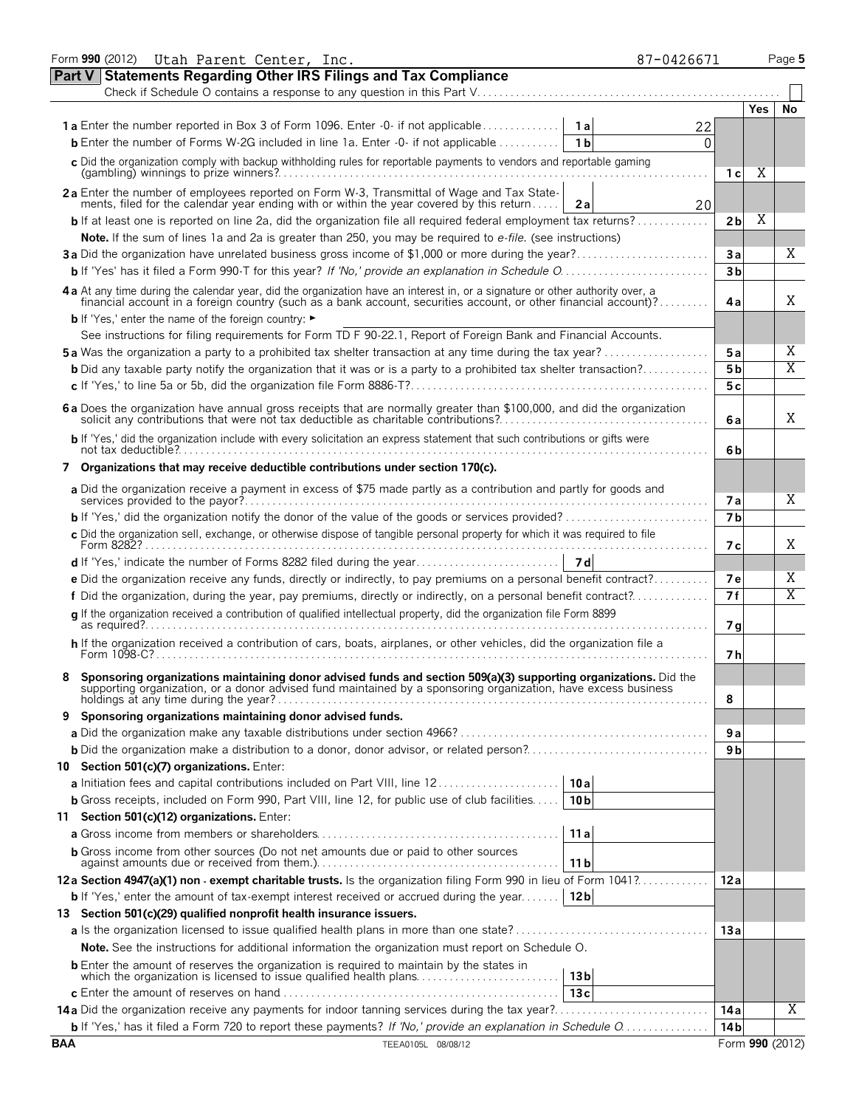|            | Form 990 (2012) Utah Parent Center, Inc.                                                                                                                                                                                       | 87-0426671      |                 |     | Page 5                  |
|------------|--------------------------------------------------------------------------------------------------------------------------------------------------------------------------------------------------------------------------------|-----------------|-----------------|-----|-------------------------|
|            | <b>Statements Regarding Other IRS Filings and Tax Compliance</b><br><b>Part V</b>                                                                                                                                              |                 |                 |     |                         |
|            |                                                                                                                                                                                                                                |                 |                 |     |                         |
|            |                                                                                                                                                                                                                                |                 |                 | Yes | No                      |
|            | <b>1a</b> Enter the number reported in Box 3 of Form 1096. Enter -0- if not applicable                                                                                                                                         | 1 a<br>22       |                 |     |                         |
|            | <b>b</b> Enter the number of Forms W-2G included in line 1a. Enter -0- if not applicable                                                                                                                                       | 1 b<br>O        |                 |     |                         |
|            | c Did the organization comply with backup withholding rules for reportable payments to vendors and reportable gaming                                                                                                           |                 | 1 с             | Χ   |                         |
|            | 2a Enter the number of employees reported on Form W-3, Transmittal of Wage and Tax State-<br>ments, filed for the calendar year ending with or within the year covered by this return                                          | 20<br>2a        |                 |     |                         |
|            | <b>b</b> If at least one is reported on line 2a, did the organization file all required federal employment tax returns?                                                                                                        |                 | 2 <sub>b</sub>  | Χ   |                         |
|            | Note. If the sum of lines 1a and 2a is greater than 250, you may be required to e-file. (see instructions)                                                                                                                     |                 |                 |     |                         |
|            | 3a Did the organization have unrelated business gross income of \$1,000 or more during the year?                                                                                                                               |                 | 3a              |     | X                       |
|            |                                                                                                                                                                                                                                |                 | 3 <sub>b</sub>  |     |                         |
|            | 4 a At any time during the calendar year, did the organization have an interest in, or a signature or other authority over, a financial account in a foreign country (such as a bank account, securities account, or other fin |                 | 4a              |     | X                       |
|            | <b>b</b> If 'Yes,' enter the name of the foreign country: ►                                                                                                                                                                    |                 |                 |     |                         |
|            | See instructions for filing requirements for Form TD F 90-22.1, Report of Foreign Bank and Financial Accounts.                                                                                                                 |                 |                 |     |                         |
|            | <b>5a</b> Was the organization a party to a prohibited tax shelter transaction at any time during the tax year?                                                                                                                |                 | 5а              |     | X                       |
|            | <b>b</b> Did any taxable party notify the organization that it was or is a party to a prohibited tax shelter transaction?                                                                                                      |                 | 5 <sub>b</sub>  |     | $\overline{\mathrm{X}}$ |
|            |                                                                                                                                                                                                                                |                 | 5c              |     |                         |
|            | 6 a Does the organization have annual gross receipts that are normally greater than \$100,000, and did the organization solicit any contributions that were not tax deductible as charitable contributions?                    |                 | 6 a             |     | X                       |
|            | <b>b</b> If 'Yes,' did the organization include with every solicitation an express statement that such contributions or gifts were                                                                                             |                 | 6b              |     |                         |
|            | 7 Organizations that may receive deductible contributions under section 170(c).                                                                                                                                                |                 |                 |     |                         |
|            | a Did the organization receive a payment in excess of \$75 made partly as a contribution and partly for goods and                                                                                                              |                 | 7а              |     | X                       |
|            |                                                                                                                                                                                                                                |                 | 7 <sub>b</sub>  |     |                         |
|            | c Did the organization sell, exchange, or otherwise dispose of tangible personal property for which it was required to file<br>Form 8282?.                                                                                     |                 | 7 с             |     | Χ                       |
|            |                                                                                                                                                                                                                                | 7 d             |                 |     |                         |
|            | <b>e</b> Did the organization receive any funds, directly or indirectly, to pay premiums on a personal benefit contract?                                                                                                       |                 | 7е              |     | X                       |
|            | f Did the organization, during the year, pay premiums, directly or indirectly, on a personal benefit contract?                                                                                                                 |                 | 7 f             |     | $\overline{\mathrm{X}}$ |
|            | g If the organization received a contribution of qualified intellectual property, did the organization file Form 8899                                                                                                          |                 | 7 q             |     |                         |
|            | h If the organization received a contribution of cars, boats, airplanes, or other vehicles, did the organization file a<br>Form 1098-C?.                                                                                       |                 | 7 h             |     |                         |
|            | Sponsoring organizations maintaining donor advised funds and section 509(a)(3) supporting organizations. Did the supporting organization, or a donor advised fund maintained by a sponsoring organization, have excess busines |                 | 8               |     |                         |
|            | 9 Sponsoring organizations maintaining donor advised funds.                                                                                                                                                                    |                 |                 |     |                         |
|            |                                                                                                                                                                                                                                |                 | 9а              |     |                         |
|            |                                                                                                                                                                                                                                |                 | 9 b             |     |                         |
|            | 10 Section 501(c)(7) organizations. Enter:                                                                                                                                                                                     |                 |                 |     |                         |
|            |                                                                                                                                                                                                                                | 10a             |                 |     |                         |
|            | <b>b</b> Gross receipts, included on Form 990, Part VIII, line 12, for public use of club facilities                                                                                                                           | 10 <sub>b</sub> |                 |     |                         |
|            | 11 Section 501(c)(12) organizations. Enter:                                                                                                                                                                                    |                 |                 |     |                         |
|            |                                                                                                                                                                                                                                | 11a             |                 |     |                         |
|            | <b>b</b> Gross income from other sources (Do not net amounts due or paid to other sources                                                                                                                                      | 11 <sub>b</sub> |                 |     |                         |
|            | 12a Section 4947(a)(1) non - exempt charitable trusts. Is the organization filing Form 990 in lieu of Form 1041?                                                                                                               |                 | 12 a            |     |                         |
|            | <b>b</b> If 'Yes,' enter the amount of tax-exempt interest received or accrued during the year                                                                                                                                 | 12 <sub>b</sub> |                 |     |                         |
|            | 13 Section 501(c)(29) qualified nonprofit health insurance issuers.                                                                                                                                                            |                 |                 |     |                         |
|            |                                                                                                                                                                                                                                |                 | 13a             |     |                         |
|            | <b>Note.</b> See the instructions for additional information the organization must report on Schedule O.                                                                                                                       |                 |                 |     |                         |
|            | <b>b</b> Enter the amount of reserves the organization is required to maintain by the states in<br>which the organization is licensed to issue qualified health plans                                                          | 13 <sub>b</sub> |                 |     |                         |
|            |                                                                                                                                                                                                                                | 13c             |                 |     |                         |
|            |                                                                                                                                                                                                                                |                 | 14a             |     | Χ                       |
|            |                                                                                                                                                                                                                                |                 | 14 <sub>b</sub> |     |                         |
| <b>BAA</b> | TEEA0105L 08/08/12                                                                                                                                                                                                             |                 |                 |     | Form 990 (2012)         |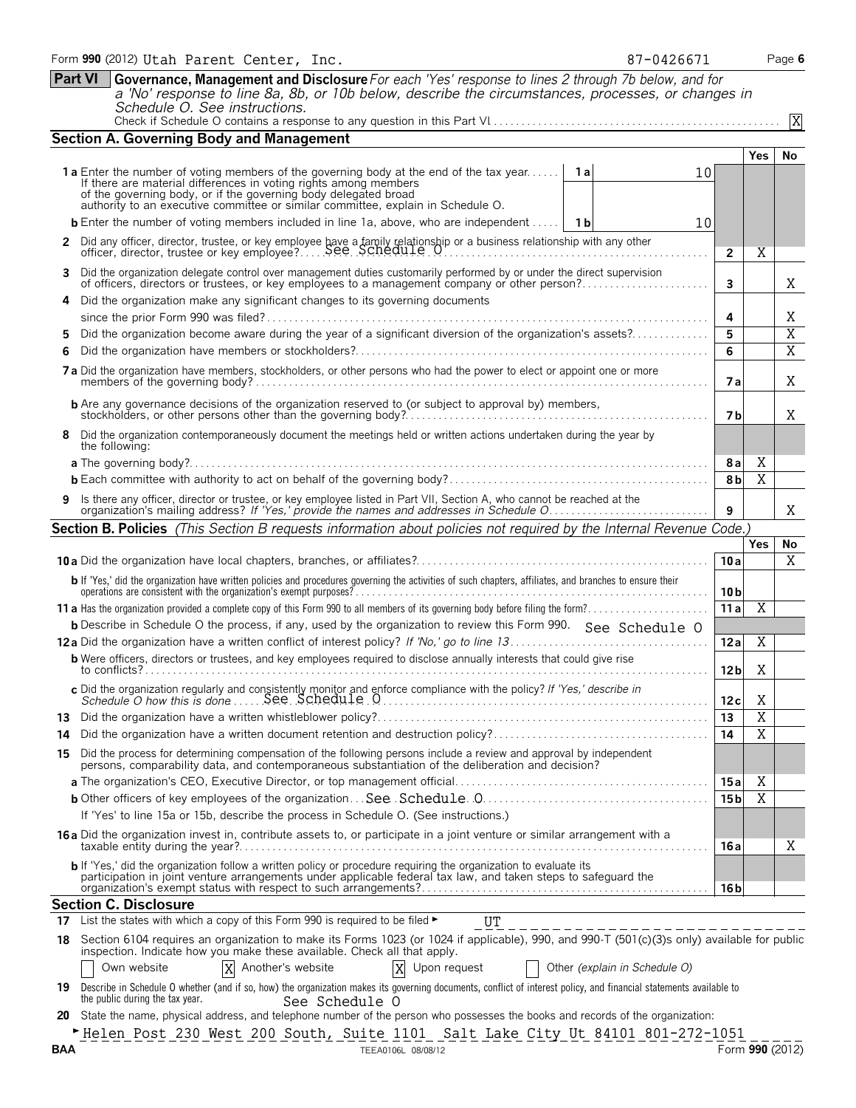|     | Schedule O. See instructions.                                                                                                                                                                                                                                                                                                               |                 |                       | X               |
|-----|---------------------------------------------------------------------------------------------------------------------------------------------------------------------------------------------------------------------------------------------------------------------------------------------------------------------------------------------|-----------------|-----------------------|-----------------|
|     | <b>Section A. Governing Body and Management</b>                                                                                                                                                                                                                                                                                             |                 |                       |                 |
|     |                                                                                                                                                                                                                                                                                                                                             |                 | Yes.                  | No              |
|     | <b>1a</b> Enter the number of voting members of the governing body at the end of the tax year<br><b>1a</b><br>10<br>If there are material differences in voting rights among members<br>of the governing body, or if the governing body delegated broad<br>authority to an executive committee or similar committee, explain in Schedule O. |                 |                       |                 |
|     | <b>b</b> Enter the number of voting members included in line 1a, above, who are independent<br>1 b<br>10                                                                                                                                                                                                                                    |                 |                       |                 |
|     |                                                                                                                                                                                                                                                                                                                                             |                 |                       |                 |
| 2   |                                                                                                                                                                                                                                                                                                                                             | $\mathbf{2}$    | Χ                     |                 |
| 3   | Did the organization delegate control over management duties customarily performed by or under the direct supervision<br>of officers, directors or trustees, or key employees to a management company or other person?                                                                                                                      | 3               |                       | Χ               |
|     | Did the organization make any significant changes to its governing documents                                                                                                                                                                                                                                                                |                 |                       |                 |
|     |                                                                                                                                                                                                                                                                                                                                             | 4               |                       | Χ               |
| 5   | Did the organization become aware during the year of a significant diversion of the organization's assets?                                                                                                                                                                                                                                  | 5               |                       | $\overline{X}$  |
| 6   |                                                                                                                                                                                                                                                                                                                                             | 6               |                       | $\overline{X}$  |
|     | 7a Did the organization have members, stockholders, or other persons who had the power to elect or appoint one or more                                                                                                                                                                                                                      | 7а              |                       | Χ               |
|     | <b>b</b> Are any governance decisions of the organization reserved to (or subject to approval by) members,                                                                                                                                                                                                                                  | 7 b             |                       | Χ               |
| 8   | Did the organization contemporaneously document the meetings held or written actions undertaken during the year by<br>the following:                                                                                                                                                                                                        |                 |                       |                 |
|     | <b>a</b> The governing body?                                                                                                                                                                                                                                                                                                                | <b>8a</b>       | X                     |                 |
|     |                                                                                                                                                                                                                                                                                                                                             | 8b              | $\overline{\text{X}}$ |                 |
| 9   | Is there any officer, director or trustee, or key employee listed in Part VII, Section A, who cannot be reached at the<br>organization's mailing address? If 'Yes,' provide the names and addresses in Schedule O                                                                                                                           | 9               |                       | Χ               |
|     | Section B. Policies (This Section B requests information about policies not required by the Internal Revenue Code.)                                                                                                                                                                                                                         |                 |                       |                 |
|     |                                                                                                                                                                                                                                                                                                                                             |                 | Yes                   | No              |
|     |                                                                                                                                                                                                                                                                                                                                             | 10a             |                       | X               |
|     |                                                                                                                                                                                                                                                                                                                                             |                 |                       |                 |
|     | b If 'Yes,' did the organization have written policies and procedures governing the activities of such chapters, affiliates, and branches to ensure their operations are consistent with the organization's exempt purposes?                                                                                                                | 10 <sub>b</sub> |                       |                 |
|     |                                                                                                                                                                                                                                                                                                                                             | 11a             | Χ                     |                 |
|     | <b>b</b> Describe in Schedule O the process, if any, used by the organization to review this Form 990. See Schedule O                                                                                                                                                                                                                       |                 |                       |                 |
|     |                                                                                                                                                                                                                                                                                                                                             | 12 a            | Χ                     |                 |
|     | <b>b</b> Were officers, directors or trustees, and key employees required to disclose annually interests that could give rise                                                                                                                                                                                                               | 12 <sub>b</sub> | Χ                     |                 |
|     |                                                                                                                                                                                                                                                                                                                                             | 12c             | X                     |                 |
|     |                                                                                                                                                                                                                                                                                                                                             | 13              | $\overline{X}$        |                 |
| 14  |                                                                                                                                                                                                                                                                                                                                             | 14              | $\overline{\text{X}}$ |                 |
|     | 15 Did the process for determining compensation of the following persons include a review and approval by independent persons, comparability data, and contemporaneous substantiation of the deliberation and decision?                                                                                                                     |                 |                       |                 |
|     |                                                                                                                                                                                                                                                                                                                                             | 15a             | X                     |                 |
|     |                                                                                                                                                                                                                                                                                                                                             | 15 b            | $\overline{X}$        |                 |
|     | If 'Yes' to line 15a or 15b, describe the process in Schedule O. (See instructions.)                                                                                                                                                                                                                                                        |                 |                       |                 |
|     | 16 a Did the organization invest in, contribute assets to, or participate in a joint venture or similar arrangement with a                                                                                                                                                                                                                  | 16 a            |                       | Χ               |
|     | b If 'Yes,' did the organization follow a written policy or procedure requiring the organization to evaluate its<br>participation in joint venture arrangements under applicable federal tax law, and taken steps to safeguard the                                                                                                          | 16 b            |                       |                 |
|     | <b>Section C. Disclosure</b>                                                                                                                                                                                                                                                                                                                |                 |                       |                 |
|     | List the states with which a copy of this Form 990 is required to be filed $\blacktriangleright$<br>UT                                                                                                                                                                                                                                      |                 |                       |                 |
|     | 18 Section 6104 requires an organization to make its Forms 1023 (or 1024 if applicable), 990, and 990-T (501(c)(3)s only) available for public<br>inspection. Indicate how you make these available. Check all that apply.                                                                                                                  |                 |                       |                 |
|     | Another's website<br>X<br>Other (explain in Schedule O)<br>Own website<br>X<br>Upon request                                                                                                                                                                                                                                                 |                 |                       |                 |
|     | 19 Describe in Schedule 0 whether (and if so, how) the organization makes its governing documents, conflict of interest policy, and financial statements available to<br>the public during the tax year.<br>See Schedule O                                                                                                                  |                 |                       |                 |
| 20  | State the name, physical address, and telephone number of the person who possesses the books and records of the organization:                                                                                                                                                                                                               |                 |                       |                 |
| BAA | FHelen Post 230 West 200 South, Suite 1101 Salt Lake City Ut 84101 801-272-1051<br>TEEA0106L 08/08/12                                                                                                                                                                                                                                       |                 |                       | Form 990 (2012) |
|     |                                                                                                                                                                                                                                                                                                                                             |                 |                       |                 |

**Part VI Governance, Management and Disclosure***For each 'Yes' response to lines 2 through 7b below, and for* 

*a 'No' response to line 8a, 8b, or 10b below, describe the circumstances, processes, or changes in*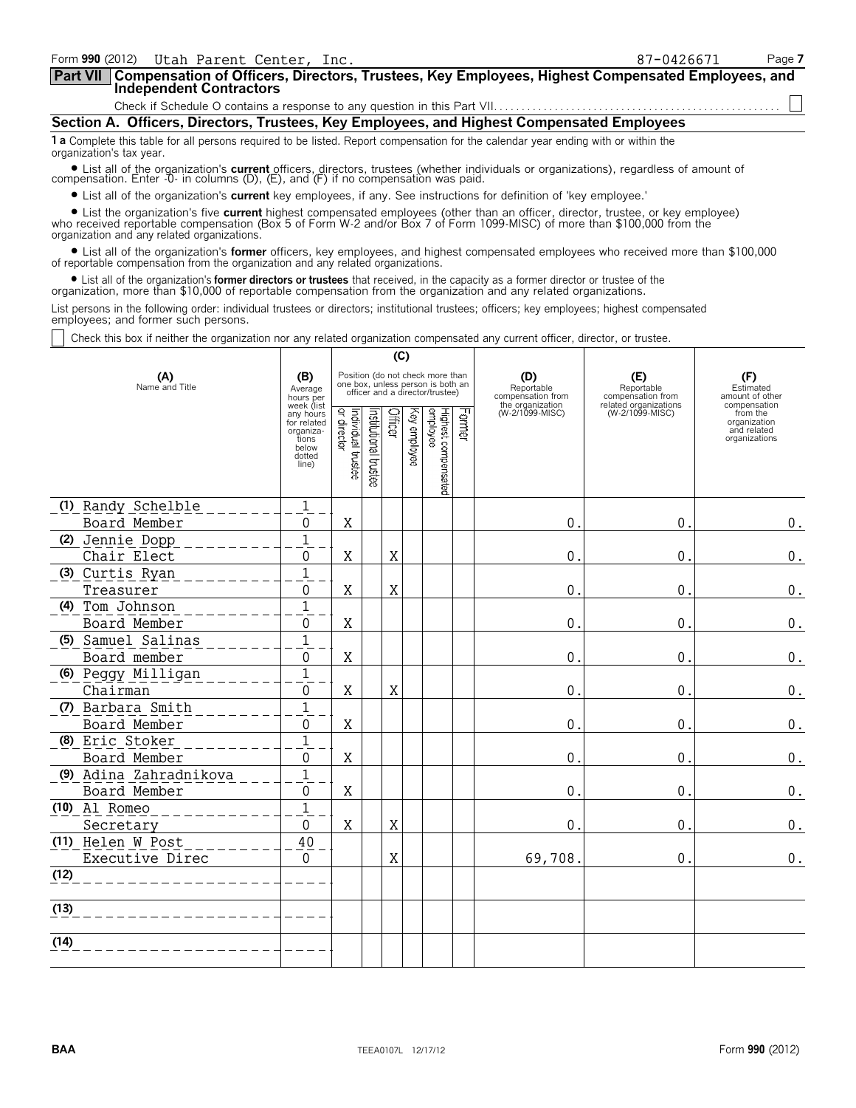| Form 990 (2012) Utah Parent Center, Inc.                                                                                                                                                                                                                                                                          | 87-0426671 | Page 7 |
|-------------------------------------------------------------------------------------------------------------------------------------------------------------------------------------------------------------------------------------------------------------------------------------------------------------------|------------|--------|
| Compensation of Officers, Directors, Trustees, Key Employees, Highest Compensated Employees, and<br>∣Part VII I<br><b>Independent Contractors</b>                                                                                                                                                                 |            |        |
|                                                                                                                                                                                                                                                                                                                   |            |        |
| Section A. Officers, Directors, Trustees, Key Employees, and Highest Compensated Employees                                                                                                                                                                                                                        |            |        |
| <b>1 a</b> Complete this table for all persons required to be listed. Report compensation for the calendar year ending with or within the<br>organization's tax year.                                                                                                                                             |            |        |
| • List all of the organization's current officers, directors, trustees (whether individuals or organizations), regardless of amount of compensation. Enter -0- in columns (D), (E), and (F) if no compensation was paid.                                                                                          |            |        |
| • List all of the organization's <b>current</b> key employees, if any. See instructions for definition of 'key employee.'                                                                                                                                                                                         |            |        |
| • List the organization's five <b>current</b> highest compensated employees (other than an officer, director, trustee, or key employee)<br>who received reportable compensation (Box 5 of Form W-2 and/or Box 7 of Form 1099-MISC) of more than \$100,000 from the<br>organization and any related organizations. |            |        |
| • List all of the organization's former officers, key employees, and highest compensated employees who received more than \$100,000<br>of reportable compensation from the organization and any related organizations.                                                                                            |            |        |
| • List all of the organization's <b>former directors or trustees</b> that received, in the capacity as a former director or trustee of the<br>organization, more than \$10,000 of reportable compensation from the organization and any related organizations.                                                    |            |        |
| List persons in the following order: individual trustees or directors; institutional trustees; officers; key employees; highest compensated<br>employees; and former such persons.                                                                                                                                |            |        |

 $\Box$ Check this box if neither the organization nor any related organization compensated any current officer, director, or trustee.

|                        |                                                                                                                                                | (C)                               |                                 |                                        |                                     |                                 |        |                                     |                                          |                                                                          |
|------------------------|------------------------------------------------------------------------------------------------------------------------------------------------|-----------------------------------|---------------------------------|----------------------------------------|-------------------------------------|---------------------------------|--------|-------------------------------------|------------------------------------------|--------------------------------------------------------------------------|
| (A)<br>Name and Title  | Position (do not check more than<br>(B)<br>(D)<br>one box, unless person is both an<br>Average<br>officer and a director/trustee)<br>hours per |                                   | Reportable<br>compensation from | (E)<br>Reportable<br>compensation from | (F)<br>Estimated<br>amount of other |                                 |        |                                     |                                          |                                                                          |
|                        | week (list<br>any hours<br>for related<br>organiza-<br>tions<br>below<br>dotted<br>line)                                                       | Individual trustee<br>or director | Institutional trustee           | Officer                                | Key employee                        | Highest compensated<br>employee | Former | the organization<br>(W-2/1099-MISC) | related organizations<br>(W-2/1099-MISC) | compensation<br>from the<br>organization<br>and related<br>organizations |
| (1) Randy Schelble     | $\mathbf 1$                                                                                                                                    |                                   |                                 |                                        |                                     |                                 |        |                                     |                                          |                                                                          |
| Board Member           | 0                                                                                                                                              | X                                 |                                 |                                        |                                     |                                 |        | $\mathbf{0}$ .                      | 0.                                       | $\boldsymbol{0}$ .                                                       |
| (2) Jennie Dopp        | $\overline{1}$                                                                                                                                 |                                   |                                 |                                        |                                     |                                 |        |                                     |                                          |                                                                          |
| Chair Elect            | 0                                                                                                                                              | Χ                                 |                                 | X                                      |                                     |                                 |        | $\mathbf 0$ .                       | 0.                                       | $0$ .                                                                    |
| (3) Curtis Ryan        | 1                                                                                                                                              |                                   |                                 |                                        |                                     |                                 |        |                                     |                                          |                                                                          |
| Treasurer              | 0                                                                                                                                              | Χ                                 |                                 | X                                      |                                     |                                 |        | $\mathbf 0$ .                       | 0                                        | 0.                                                                       |
| (4) Tom Johnson        | $\mathbf{1}$                                                                                                                                   |                                   |                                 |                                        |                                     |                                 |        |                                     |                                          |                                                                          |
| Board Member           | 0                                                                                                                                              | X                                 |                                 |                                        |                                     |                                 |        | 0.                                  | $\mathbf{0}$                             | 0.                                                                       |
| (5) Samuel Salinas     | $\mathbf{1}$                                                                                                                                   |                                   |                                 |                                        |                                     |                                 |        |                                     |                                          |                                                                          |
| Board member           | 0                                                                                                                                              | Χ                                 |                                 |                                        |                                     |                                 |        | $\mathbf{0}$ .                      | $\mathbf{0}$                             | $0$ .                                                                    |
| 6) Peggy Milligan      | $\mathbf{1}$                                                                                                                                   |                                   |                                 |                                        |                                     |                                 |        |                                     |                                          |                                                                          |
| Chairman               | 0                                                                                                                                              | Χ                                 |                                 | X                                      |                                     |                                 |        | $\mathbf{0}$ .                      | 0.                                       | $0$ .                                                                    |
| (7) Barbara Smith      | $\mathbf{1}$                                                                                                                                   |                                   |                                 |                                        |                                     |                                 |        |                                     |                                          |                                                                          |
| Board Member           | 0                                                                                                                                              | X                                 |                                 |                                        |                                     |                                 |        | $\mathbf 0$ .                       | 0.                                       | $0$ .                                                                    |
| (8) Eric Stoker        | 1                                                                                                                                              |                                   |                                 |                                        |                                     |                                 |        |                                     |                                          |                                                                          |
| Board Member           | 0                                                                                                                                              | X                                 |                                 |                                        |                                     |                                 |        | $\mathbf 0$ .                       | 0.                                       | $0$ .                                                                    |
| (9) Adina Zahradnikova | $\mathbf{1}$                                                                                                                                   |                                   |                                 |                                        |                                     |                                 |        |                                     |                                          |                                                                          |
| Board Member           | 0                                                                                                                                              | X                                 |                                 |                                        |                                     |                                 |        | 0.                                  | 0.                                       | $0$ .                                                                    |
| $(10)$ Al Romeo        | 1                                                                                                                                              |                                   |                                 |                                        |                                     |                                 |        |                                     |                                          |                                                                          |
| Secretary              | $\Omega$                                                                                                                                       | X                                 |                                 | X                                      |                                     |                                 |        | $\overline{0}$ .                    | 0.                                       | $0$ .                                                                    |
| (11) Helen W Post      | 40                                                                                                                                             |                                   |                                 |                                        |                                     |                                 |        |                                     |                                          |                                                                          |
| Executive Direc        | $\mathbf{0}$                                                                                                                                   |                                   |                                 | X                                      |                                     |                                 |        | 69,708.                             | 0.                                       | 0.                                                                       |
| (12)                   |                                                                                                                                                |                                   |                                 |                                        |                                     |                                 |        |                                     |                                          |                                                                          |
| (13)                   |                                                                                                                                                |                                   |                                 |                                        |                                     |                                 |        |                                     |                                          |                                                                          |
|                        |                                                                                                                                                |                                   |                                 |                                        |                                     |                                 |        |                                     |                                          |                                                                          |
| (14)                   |                                                                                                                                                |                                   |                                 |                                        |                                     |                                 |        |                                     |                                          |                                                                          |
|                        |                                                                                                                                                |                                   |                                 |                                        |                                     |                                 |        |                                     |                                          |                                                                          |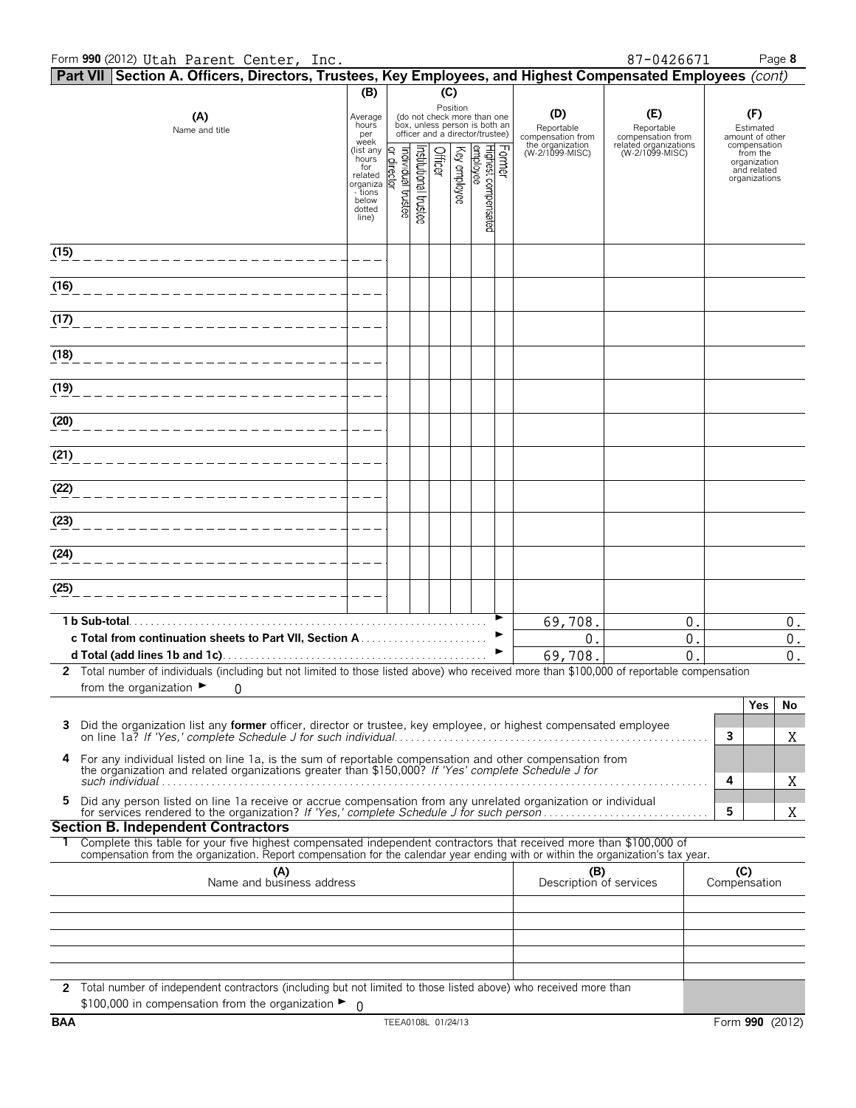### Form **990** (2012) Page **8** Utah Parent Center, Inc. 87-0426671

|      | Part VII Section A. Officers, Directors, Trustees, Key Employees, and Highest Compensated Employees (cont)                                                                                                                                             |                         |                                |                      |         |              |                                                                                                             |        |                                        |                                          |              |                                     |                                          |
|------|--------------------------------------------------------------------------------------------------------------------------------------------------------------------------------------------------------------------------------------------------------|-------------------------|--------------------------------|----------------------|---------|--------------|-------------------------------------------------------------------------------------------------------------|--------|----------------------------------------|------------------------------------------|--------------|-------------------------------------|------------------------------------------|
|      |                                                                                                                                                                                                                                                        | (B)                     |                                |                      | (C)     |              |                                                                                                             |        |                                        |                                          |              |                                     |                                          |
|      | (A)<br>Name and title                                                                                                                                                                                                                                  | Average<br>hours<br>per |                                |                      |         |              | Position<br>(do not check more than one<br>box, unless person is both an<br>officer and a director/trustee) |        | (D)<br>Reportable<br>compensation from | (E)<br>Reportable<br>compensation from   |              | (F)<br>Estimated<br>amount of other |                                          |
|      |                                                                                                                                                                                                                                                        | week<br>(list any       | Q.                             |                      |         |              |                                                                                                             |        | the organization<br>(W-2/1099-MISC)    | related organizations<br>(W-2/1099-MISC) |              | compensation<br>from the            |                                          |
|      |                                                                                                                                                                                                                                                        | hours<br>for<br>related | individual trustee<br>director | nstitutional trustee | Officer | Key employee | Highest compensated<br>employee                                                                             | Former |                                        |                                          |              | organization<br>and related         |                                          |
|      |                                                                                                                                                                                                                                                        | organiza<br>- tions     |                                |                      |         |              |                                                                                                             |        |                                        |                                          |              | organizations                       |                                          |
|      |                                                                                                                                                                                                                                                        | below<br>dotted         |                                |                      |         |              |                                                                                                             |        |                                        |                                          |              |                                     |                                          |
|      |                                                                                                                                                                                                                                                        | line)                   |                                |                      |         |              |                                                                                                             |        |                                        |                                          |              |                                     |                                          |
| (15) |                                                                                                                                                                                                                                                        |                         |                                |                      |         |              |                                                                                                             |        |                                        |                                          |              |                                     |                                          |
| (16) |                                                                                                                                                                                                                                                        |                         |                                |                      |         |              |                                                                                                             |        |                                        |                                          |              |                                     |                                          |
| (17) |                                                                                                                                                                                                                                                        |                         |                                |                      |         |              |                                                                                                             |        |                                        |                                          |              |                                     |                                          |
|      |                                                                                                                                                                                                                                                        |                         |                                |                      |         |              |                                                                                                             |        |                                        |                                          |              |                                     |                                          |
| (18) |                                                                                                                                                                                                                                                        |                         |                                |                      |         |              |                                                                                                             |        |                                        |                                          |              |                                     |                                          |
| (19) |                                                                                                                                                                                                                                                        |                         |                                |                      |         |              |                                                                                                             |        |                                        |                                          |              |                                     |                                          |
|      |                                                                                                                                                                                                                                                        |                         |                                |                      |         |              |                                                                                                             |        |                                        |                                          |              |                                     |                                          |
| (20) |                                                                                                                                                                                                                                                        |                         |                                |                      |         |              |                                                                                                             |        |                                        |                                          |              |                                     |                                          |
| (21) |                                                                                                                                                                                                                                                        |                         |                                |                      |         |              |                                                                                                             |        |                                        |                                          |              |                                     |                                          |
|      |                                                                                                                                                                                                                                                        |                         |                                |                      |         |              |                                                                                                             |        |                                        |                                          |              |                                     |                                          |
| (22) |                                                                                                                                                                                                                                                        |                         |                                |                      |         |              |                                                                                                             |        |                                        |                                          |              |                                     |                                          |
| (23) |                                                                                                                                                                                                                                                        |                         |                                |                      |         |              |                                                                                                             |        |                                        |                                          |              |                                     |                                          |
|      |                                                                                                                                                                                                                                                        |                         |                                |                      |         |              |                                                                                                             |        |                                        |                                          |              |                                     |                                          |
| (24) |                                                                                                                                                                                                                                                        |                         |                                |                      |         |              |                                                                                                             |        |                                        |                                          |              |                                     |                                          |
| (25) |                                                                                                                                                                                                                                                        |                         |                                |                      |         |              |                                                                                                             |        |                                        |                                          |              |                                     |                                          |
|      |                                                                                                                                                                                                                                                        |                         |                                |                      |         |              |                                                                                                             |        |                                        |                                          |              |                                     |                                          |
|      | 1 b Sub-total.                                                                                                                                                                                                                                         |                         |                                |                      |         |              |                                                                                                             | ▶      | 69,708.                                | 0.                                       |              |                                     | $0$ .                                    |
|      |                                                                                                                                                                                                                                                        |                         |                                |                      |         |              |                                                                                                             | ▶      | 0.<br>69,708.                          | 0.<br>$\mathbf 0$ .                      |              |                                     | $\boldsymbol{0}$ .<br>$\boldsymbol{0}$ . |
|      | 2 Total number of individuals (including but not limited to those listed above) who received more than \$100,000 of reportable compensation                                                                                                            |                         |                                |                      |         |              |                                                                                                             |        |                                        |                                          |              |                                     |                                          |
|      | from the organization $\blacktriangleright$<br>0                                                                                                                                                                                                       |                         |                                |                      |         |              |                                                                                                             |        |                                        |                                          |              |                                     |                                          |
|      |                                                                                                                                                                                                                                                        |                         |                                |                      |         |              |                                                                                                             |        |                                        |                                          |              | <b>Yes</b>                          | No                                       |
| 3    | Did the organization list any <b>former</b> officer, director or trustee, key employee, or highest compensated employee                                                                                                                                |                         |                                |                      |         |              |                                                                                                             |        |                                        |                                          | $\mathbf{3}$ |                                     | Χ                                        |
| 4    | For any individual listed on line 1a, is the sum of reportable compensation and other compensation from<br>the organization and related organizations greater than \$150,000? If 'Yes' complete Schedule J for                                         |                         |                                |                      |         |              |                                                                                                             |        |                                        |                                          | 4            |                                     | X                                        |
| 5    | Did any person listed on line 1a receive or accrue compensation from any unrelated organization or individual                                                                                                                                          |                         |                                |                      |         |              |                                                                                                             |        |                                        |                                          | 5            |                                     | Χ                                        |
|      | <b>Section B. Independent Contractors</b>                                                                                                                                                                                                              |                         |                                |                      |         |              |                                                                                                             |        |                                        |                                          |              |                                     |                                          |
|      | Complete this table for your five highest compensated independent contractors that received more than \$100,000 of<br>compensation from the organization. Report compensation for the calendar year ending with or within the organization's tax year. |                         |                                |                      |         |              |                                                                                                             |        |                                        |                                          |              |                                     |                                          |
|      | (A)                                                                                                                                                                                                                                                    |                         |                                |                      |         |              |                                                                                                             |        | (B)                                    |                                          |              | (C)                                 |                                          |
|      | Name and business address                                                                                                                                                                                                                              |                         |                                |                      |         |              |                                                                                                             |        | Description of services                |                                          |              | Compensation                        |                                          |
|      |                                                                                                                                                                                                                                                        |                         |                                |                      |         |              |                                                                                                             |        |                                        |                                          |              |                                     |                                          |
|      |                                                                                                                                                                                                                                                        |                         |                                |                      |         |              |                                                                                                             |        |                                        |                                          |              |                                     |                                          |
|      |                                                                                                                                                                                                                                                        |                         |                                |                      |         |              |                                                                                                             |        |                                        |                                          |              |                                     |                                          |
|      |                                                                                                                                                                                                                                                        |                         |                                |                      |         |              |                                                                                                             |        |                                        |                                          |              |                                     |                                          |
|      | 2 Total number of independent contractors (including but not limited to those listed above) who received more than<br>\$100,000 in compensation from the organization $\blacktriangleright$ 0                                                          |                         |                                |                      |         |              |                                                                                                             |        |                                        |                                          |              |                                     |                                          |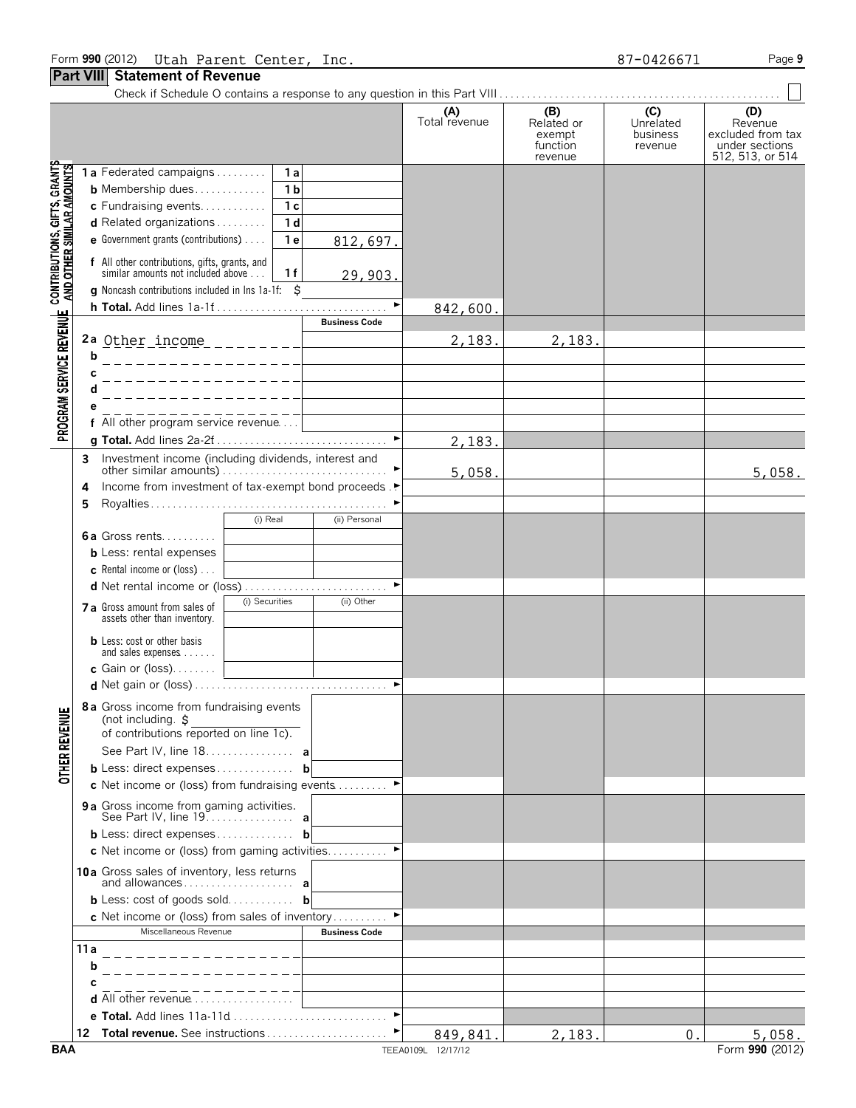|                                                                                                           |      |                                                                                     |                |                       | (A)<br>Total revenue | (B)<br>Related or<br>exempt<br>function<br>revenue | (C)<br>Unrelated<br>business<br>revenue | (D)<br>Revenue<br>excluded from tax<br>under sections<br>512, 513, or 514 |
|-----------------------------------------------------------------------------------------------------------|------|-------------------------------------------------------------------------------------|----------------|-----------------------|----------------------|----------------------------------------------------|-----------------------------------------|---------------------------------------------------------------------------|
|                                                                                                           |      | 1a Federated campaigns                                                              | 1a             |                       |                      |                                                    |                                         |                                                                           |
|                                                                                                           |      | <b>b</b> Membership dues                                                            | 1 <sub>b</sub> |                       |                      |                                                    |                                         |                                                                           |
|                                                                                                           |      | c Fundraising events                                                                | 1 <sub>c</sub> |                       |                      |                                                    |                                         |                                                                           |
|                                                                                                           |      | d Related organizations                                                             | 1 d            |                       |                      |                                                    |                                         |                                                                           |
|                                                                                                           |      | <b>e</b> Government grants (contributions) $\ldots$                                 | 1 <sub>e</sub> | 812,697.              |                      |                                                    |                                         |                                                                           |
|                                                                                                           |      |                                                                                     |                |                       |                      |                                                    |                                         |                                                                           |
|                                                                                                           |      | f All other contributions, gifts, grants, and<br>similar amounts not included above | 1f             |                       |                      |                                                    |                                         |                                                                           |
|                                                                                                           |      | <b>g</b> Noncash contributions included in lns 1a-1f: $\ddot{\mathbf{S}}$           |                | 29,903.               |                      |                                                    |                                         |                                                                           |
|                                                                                                           |      |                                                                                     |                | $\blacktriangleright$ |                      |                                                    |                                         |                                                                           |
|                                                                                                           |      |                                                                                     |                | <b>Business Code</b>  | 842,600.             |                                                    |                                         |                                                                           |
|                                                                                                           |      |                                                                                     |                |                       |                      |                                                    |                                         |                                                                           |
|                                                                                                           | b    |                                                                                     |                |                       | 2,183.               | 2,183.                                             |                                         |                                                                           |
|                                                                                                           |      |                                                                                     |                |                       |                      |                                                    |                                         |                                                                           |
|                                                                                                           | C    |                                                                                     |                |                       |                      |                                                    |                                         |                                                                           |
|                                                                                                           |      |                                                                                     |                |                       |                      |                                                    |                                         |                                                                           |
|                                                                                                           |      | f All other program service revenue                                                 |                |                       |                      |                                                    |                                         |                                                                           |
| PROGRAM SERVICE REVENUE CONTRIBUTIONS, GIFTS, GRANTS<br>PROGRAM SERVICE REVENUE AND OTHER SIMILAR AMOUNTS |      |                                                                                     |                |                       |                      |                                                    |                                         |                                                                           |
|                                                                                                           |      |                                                                                     |                |                       | 2,183.               |                                                    |                                         |                                                                           |
|                                                                                                           | 3    | Investment income (including dividends, interest and                                |                |                       | 5,058.               |                                                    |                                         | 5,058.                                                                    |
|                                                                                                           | 4    | Income from investment of tax-exempt bond proceeds.                                 |                |                       |                      |                                                    |                                         |                                                                           |
|                                                                                                           | 5    |                                                                                     |                |                       |                      |                                                    |                                         |                                                                           |
|                                                                                                           |      |                                                                                     | (i) Real       | (ii) Personal         |                      |                                                    |                                         |                                                                           |
|                                                                                                           |      | <b>6a</b> Gross rents                                                               |                |                       |                      |                                                    |                                         |                                                                           |
|                                                                                                           |      | <b>b</b> Less: rental expenses                                                      |                |                       |                      |                                                    |                                         |                                                                           |
|                                                                                                           |      | <b>c</b> Rental income or (loss) $\ldots$                                           |                |                       |                      |                                                    |                                         |                                                                           |
|                                                                                                           |      |                                                                                     |                |                       |                      |                                                    |                                         |                                                                           |
|                                                                                                           |      |                                                                                     | (i) Securities | (ii) Other            |                      |                                                    |                                         |                                                                           |
|                                                                                                           |      | 7 a Gross amount from sales of<br>assets other than inventory.                      |                |                       |                      |                                                    |                                         |                                                                           |
|                                                                                                           |      |                                                                                     |                |                       |                      |                                                    |                                         |                                                                           |
|                                                                                                           |      | <b>b</b> Less: cost or other basis<br>and sales expenses                            |                |                       |                      |                                                    |                                         |                                                                           |
|                                                                                                           |      | c Gain or (loss). $\ldots$                                                          |                |                       |                      |                                                    |                                         |                                                                           |
|                                                                                                           |      |                                                                                     |                |                       |                      |                                                    |                                         |                                                                           |
|                                                                                                           |      |                                                                                     |                |                       |                      |                                                    |                                         |                                                                           |
| ш                                                                                                         |      | 8 a Gross income from fundraising events<br>(not including. \$                      |                |                       |                      |                                                    |                                         |                                                                           |
|                                                                                                           |      | of contributions reported on line 1c).                                              |                |                       |                      |                                                    |                                         |                                                                           |
| OTHER REVEN                                                                                               |      | See Part IV, line 18. a                                                             |                |                       |                      |                                                    |                                         |                                                                           |
|                                                                                                           |      | <b>b</b> Less: direct expenses <b>b</b>                                             |                |                       |                      |                                                    |                                         |                                                                           |
|                                                                                                           |      | c Net income or (loss) from fundraising events                                      |                |                       |                      |                                                    |                                         |                                                                           |
|                                                                                                           |      |                                                                                     |                |                       |                      |                                                    |                                         |                                                                           |
|                                                                                                           |      | 9 a Gross income from gaming activities.                                            |                |                       |                      |                                                    |                                         |                                                                           |
|                                                                                                           |      | <b>b</b> Less: direct expenses <b>b</b>                                             |                |                       |                      |                                                    |                                         |                                                                           |
|                                                                                                           |      | c Net income or (loss) from gaming activities                                       |                |                       |                      |                                                    |                                         |                                                                           |
|                                                                                                           |      |                                                                                     |                |                       |                      |                                                    |                                         |                                                                           |
|                                                                                                           |      | 10a Gross sales of inventory, less returns                                          |                |                       |                      |                                                    |                                         |                                                                           |
|                                                                                                           |      | <b>b</b> Less: cost of goods sold <b>b</b>                                          |                |                       |                      |                                                    |                                         |                                                                           |
|                                                                                                           |      | <b>c</b> Net income or (loss) from sales of inventory                               |                |                       |                      |                                                    |                                         |                                                                           |
|                                                                                                           |      | Miscellaneous Revenue                                                               |                | <b>Business Code</b>  |                      |                                                    |                                         |                                                                           |
|                                                                                                           | 11 a |                                                                                     |                |                       |                      |                                                    |                                         |                                                                           |
|                                                                                                           | b    |                                                                                     |                |                       |                      |                                                    |                                         |                                                                           |
|                                                                                                           | С    |                                                                                     |                |                       |                      |                                                    |                                         |                                                                           |
|                                                                                                           |      | <b>d</b> All other revenue $\ldots$                                                 |                |                       |                      |                                                    |                                         |                                                                           |
|                                                                                                           |      | e Total. Add lines 11a-11d                                                          |                | $\blacktriangleright$ |                      |                                                    |                                         |                                                                           |
|                                                                                                           |      |                                                                                     |                |                       | 849,841.             | 2,183.                                             | 0.1                                     | 5,058.                                                                    |
|                                                                                                           |      |                                                                                     |                |                       |                      |                                                    |                                         |                                                                           |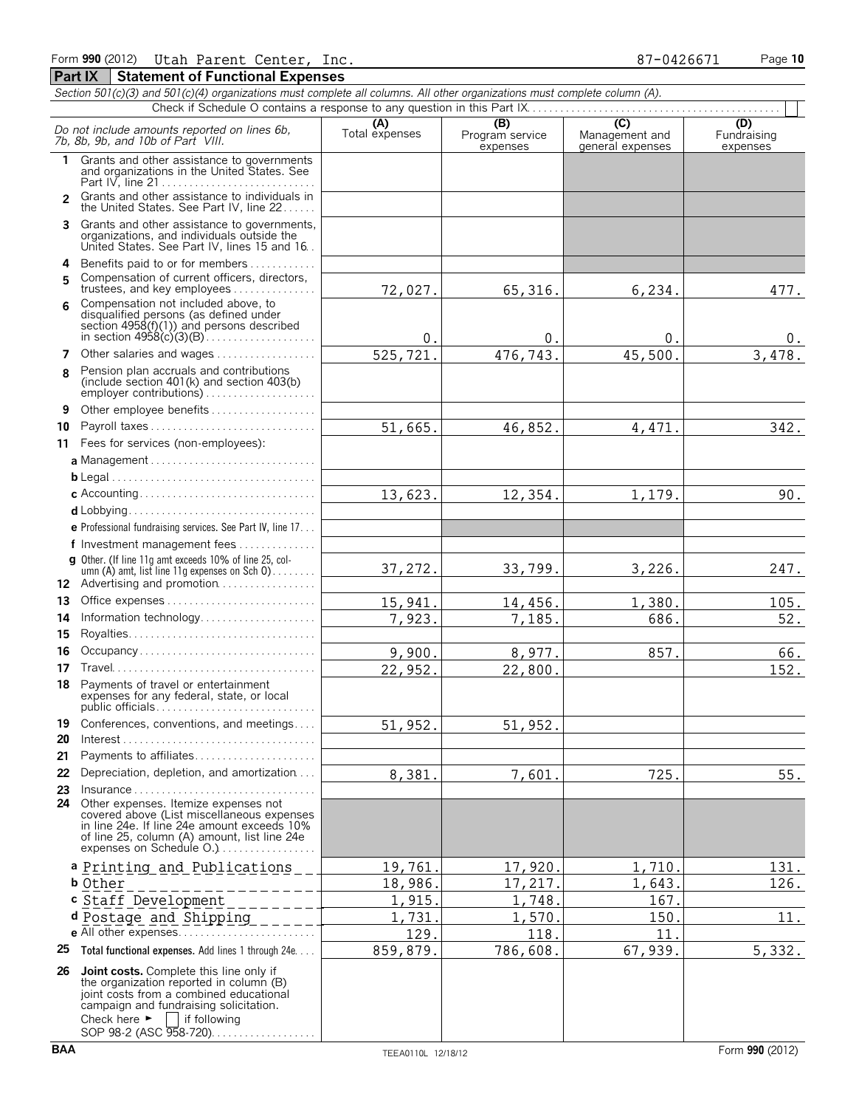|                | Section 501(c)(3) and 501(c)(4) organizations must complete all columns. All other organizations must complete column (A).                                                                                                      |                       |                                    |                                                      |                                |
|----------------|---------------------------------------------------------------------------------------------------------------------------------------------------------------------------------------------------------------------------------|-----------------------|------------------------------------|------------------------------------------------------|--------------------------------|
|                |                                                                                                                                                                                                                                 |                       |                                    |                                                      |                                |
|                | Do not include amounts reported on lines 6b,<br>7b, 8b, 9b, and 10b of Part VIII.                                                                                                                                               | (A)<br>Total expenses | (B)<br>Program service<br>expenses | $\overline{C}$<br>Management and<br>general expenses | (D)<br>Fundraising<br>expenses |
| 1              | Grants and other assistance to governments<br>and organizations in the United States. See<br>Part IV. line 21                                                                                                                   |                       |                                    |                                                      |                                |
| $\overline{2}$ | Grants and other assistance to individuals in<br>the United States. See Part IV, line 22                                                                                                                                        |                       |                                    |                                                      |                                |
| 3              | Grants and other assistance to governments,<br>organizations, and individuals outside the<br>United States. See Part IV, lines 15 and 16.                                                                                       |                       |                                    |                                                      |                                |
| 4              | Benefits paid to or for members                                                                                                                                                                                                 |                       |                                    |                                                      |                                |
| 5              | Compensation of current officers, directors,<br>trustees, and key employees                                                                                                                                                     | 72,027.               | 65, 316.                           | 6,234.                                               | 477.                           |
| 6              | Compensation not included above, to<br>disqualified persons (as defined under<br>section $4958(f)(1)$ and persons described                                                                                                     | 0.                    | 0.                                 | 0.                                                   | $0$ .                          |
| 7              | Other salaries and wages                                                                                                                                                                                                        | 525,721.              | 476,743.                           | 45,500.                                              | 3,478.                         |
| 8              | Pension plan accruals and contributions<br>(include section 401(k) and section 403(b)                                                                                                                                           |                       |                                    |                                                      |                                |
| 9              | Other employee benefits                                                                                                                                                                                                         |                       |                                    |                                                      |                                |
| 10             | Payroll taxes                                                                                                                                                                                                                   | 51,665.               | 46,852.                            | 4,471.                                               | 342.                           |
| 11             | Fees for services (non-employees):                                                                                                                                                                                              |                       |                                    |                                                      |                                |
|                | a Management                                                                                                                                                                                                                    |                       |                                    |                                                      |                                |
|                |                                                                                                                                                                                                                                 |                       |                                    |                                                      |                                |
|                |                                                                                                                                                                                                                                 | 13,623.               | 12,354.                            | 1,179.                                               | 90.                            |
|                |                                                                                                                                                                                                                                 |                       |                                    |                                                      |                                |
|                | e Professional fundraising services. See Part IV, line 17                                                                                                                                                                       |                       |                                    |                                                      |                                |
|                | f Investment management fees                                                                                                                                                                                                    |                       |                                    |                                                      |                                |
|                | g Other. (If line 11q amt exceeds 10% of line 25, col-<br>umn (A) amt, list line 11g expenses on Sch 0)<br>12 Advertising and promotion                                                                                         | 37,272.               | 33,799.                            | 3,226.                                               | 247.                           |
| 13             |                                                                                                                                                                                                                                 | 15,941.               | 14,456.                            | 1,380.                                               | 105.                           |
| 14             | Information technology                                                                                                                                                                                                          | 7,923.                | 7,185.                             | 686.                                                 | 52.                            |
| 15             |                                                                                                                                                                                                                                 |                       |                                    |                                                      |                                |
| 16             | Occupancy                                                                                                                                                                                                                       | 9,900.                | 8,977.                             | 857.                                                 | 66.                            |
| 17             |                                                                                                                                                                                                                                 | 22,952.               | 22,800.                            |                                                      | 152.                           |
| 18             | Payments of travel or entertainment<br>expenses for any federal, state, or local<br>public officials                                                                                                                            |                       |                                    |                                                      |                                |
| 19             | Conferences, conventions, and meetings                                                                                                                                                                                          | 51,952.               | 51,952.                            |                                                      |                                |
| 20             | $Interest \dots \dots \dots \dots \dots \dots \dots \dots \dots \dots \dots \dots \dots \dots$                                                                                                                                  |                       |                                    |                                                      |                                |
| 21             | Payments to affiliates                                                                                                                                                                                                          |                       |                                    |                                                      |                                |
| 22             | Depreciation, depletion, and amortization                                                                                                                                                                                       | 8,381.                | 7,601.                             | 725.                                                 | 55.                            |
| 23             | Insurance<br>24 Other expenses. Itemize expenses not<br>covered above (List miscellaneous expenses<br>in line 24e. If line 24e amount exceeds 10%<br>of line 25, column (A) amount, list line 24e                               |                       |                                    |                                                      |                                |
|                | expenses on Schedule O.                                                                                                                                                                                                         |                       |                                    |                                                      |                                |
|                | a Printing and Publications                                                                                                                                                                                                     | 19,761.               | 17,920.                            | 1,710.                                               | 131.                           |
|                | <b>b</b> Other                                                                                                                                                                                                                  | 18,986.               | 17,217.                            | 1,643.                                               | 126.                           |
|                | c Staff Development                                                                                                                                                                                                             | 1,915.                | 1,748.                             | 167                                                  |                                |
|                | d Postage and Shipping                                                                                                                                                                                                          | 1,731.                | 1,570.                             | 150.                                                 | 11.                            |
|                |                                                                                                                                                                                                                                 | 129.                  | 118.                               | 11                                                   |                                |
|                | 25 Total functional expenses. Add lines 1 through 24e                                                                                                                                                                           | 859,879.              | 786,608.                           | 67,939.                                              | 5,332.                         |
|                | 26 Joint costs. Complete this line only if<br>the organization reported in column (B)<br>joint costs from a combined educational<br>campaign and fundraising solicitation.<br>Check here $\blacktriangleright$<br>lif following |                       |                                    |                                                      |                                |

SOP 98-2 (ASC 958-720). . . . . . . . . . . . . . . . .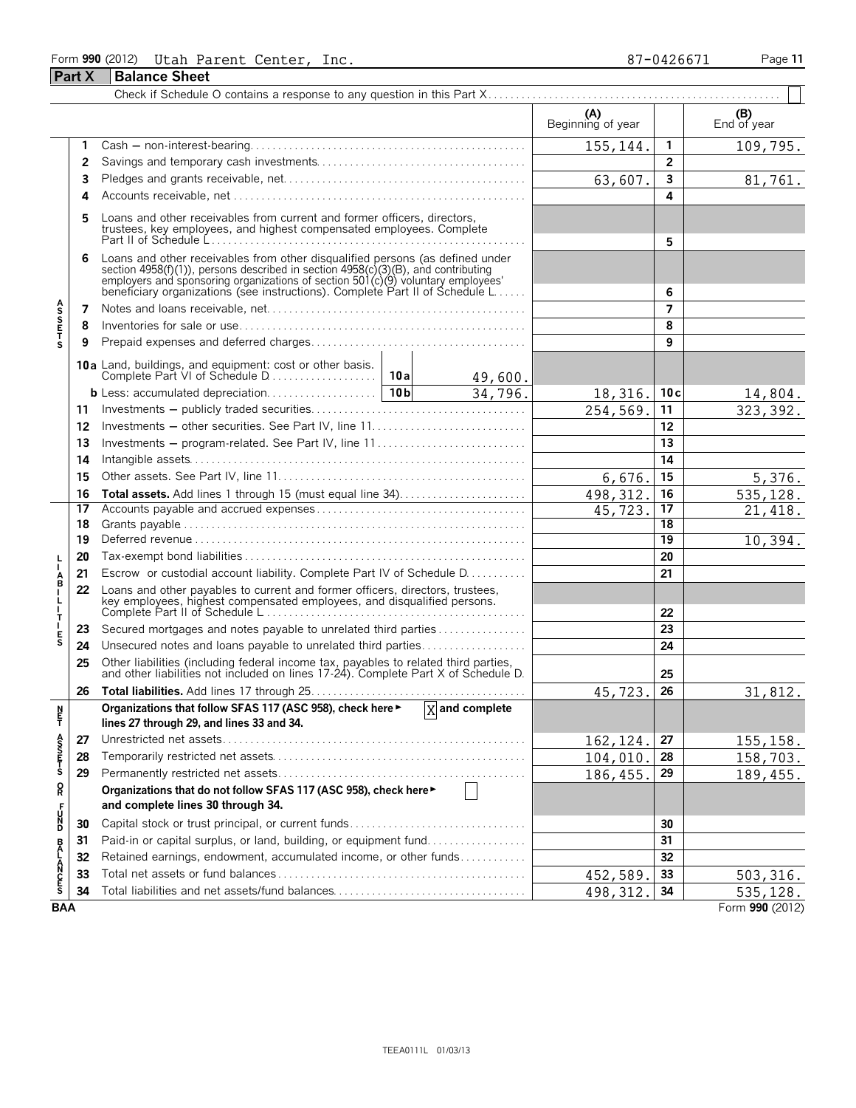## Form **990** (2012) Page **11** Utah Parent Center, Inc. 87-0426671 **Part X Balance Sheet**

|                            |    |                                                                                                                                                                                                                                                                                                                                        |                                                                                                                                                  |         | (A)<br>Beginning of year |                 | (B)<br>End of year |  |
|----------------------------|----|----------------------------------------------------------------------------------------------------------------------------------------------------------------------------------------------------------------------------------------------------------------------------------------------------------------------------------------|--------------------------------------------------------------------------------------------------------------------------------------------------|---------|--------------------------|-----------------|--------------------|--|
|                            | 1  |                                                                                                                                                                                                                                                                                                                                        |                                                                                                                                                  |         | 155,144.                 | 1               | 109,795.           |  |
|                            | 2  |                                                                                                                                                                                                                                                                                                                                        |                                                                                                                                                  |         |                          | $\overline{2}$  |                    |  |
|                            | 3  |                                                                                                                                                                                                                                                                                                                                        |                                                                                                                                                  |         |                          | 3               | 81,761.            |  |
|                            | 4  |                                                                                                                                                                                                                                                                                                                                        |                                                                                                                                                  |         | 63,607.                  | 4               |                    |  |
|                            | 5  |                                                                                                                                                                                                                                                                                                                                        | Loans and other receivables from current and former officers, directors,<br>trustees, key employees, and highest compensated employees. Complete |         |                          |                 |                    |  |
|                            | 6  | Loans and other receivables from other disqualified persons (as defined under<br>section 4958(f)(1)), persons described in section 4958(c)(3)(B), and contributing<br>employers and sponsoring organizations of section 501(c)(9) voluntary employees'<br>beneficiary organizations (see instructions). Complete Part II of Schedule L |                                                                                                                                                  |         |                          | 6               |                    |  |
|                            | 7  |                                                                                                                                                                                                                                                                                                                                        |                                                                                                                                                  |         |                          | 7               |                    |  |
| A<br>S<br>S<br>E<br>T      | 8  |                                                                                                                                                                                                                                                                                                                                        |                                                                                                                                                  |         |                          | 8               |                    |  |
|                            | 9  |                                                                                                                                                                                                                                                                                                                                        |                                                                                                                                                  |         |                          | 9               |                    |  |
|                            |    | 10a Land, buildings, and equipment: cost or other basis.                                                                                                                                                                                                                                                                               |                                                                                                                                                  | 49,600. |                          |                 |                    |  |
|                            |    |                                                                                                                                                                                                                                                                                                                                        |                                                                                                                                                  | 34,796. | 18,316.                  | 10c             | 14,804.            |  |
|                            | 11 |                                                                                                                                                                                                                                                                                                                                        |                                                                                                                                                  |         | 254,569.                 | 11              | 323, 392.          |  |
|                            | 12 | Investments - other securities. See Part IV, line 11                                                                                                                                                                                                                                                                                   |                                                                                                                                                  |         |                          | 12              |                    |  |
|                            | 13 |                                                                                                                                                                                                                                                                                                                                        |                                                                                                                                                  |         |                          |                 |                    |  |
|                            | 14 |                                                                                                                                                                                                                                                                                                                                        |                                                                                                                                                  | 14      |                          |                 |                    |  |
|                            | 15 |                                                                                                                                                                                                                                                                                                                                        | 6,676.                                                                                                                                           | 15      | 5,376.                   |                 |                    |  |
|                            | 16 | Total assets. Add lines 1 through 15 (must equal line 34)                                                                                                                                                                                                                                                                              |                                                                                                                                                  |         | 498, 312.                | 16              | 535,128.           |  |
|                            | 17 |                                                                                                                                                                                                                                                                                                                                        |                                                                                                                                                  |         | 45,723.                  | 17              | 21,418.            |  |
|                            | 18 |                                                                                                                                                                                                                                                                                                                                        |                                                                                                                                                  | 18      |                          |                 |                    |  |
|                            | 19 |                                                                                                                                                                                                                                                                                                                                        |                                                                                                                                                  |         |                          | $\overline{19}$ | 10,394.            |  |
|                            | 20 |                                                                                                                                                                                                                                                                                                                                        |                                                                                                                                                  |         |                          | 20              |                    |  |
| Å                          | 21 | Escrow or custodial account liability. Complete Part IV of Schedule D.                                                                                                                                                                                                                                                                 |                                                                                                                                                  |         |                          | 21              |                    |  |
| L,<br>$\mathbf{I}$<br>т    | 22 | Loans and other payables to current and former officers, directors, trustees,<br>key employees, highest compensated employees, and disqualified persons.                                                                                                                                                                               |                                                                                                                                                  |         |                          | 22              |                    |  |
|                            | 23 | Secured mortgages and notes payable to unrelated third parties                                                                                                                                                                                                                                                                         |                                                                                                                                                  |         |                          | 23              |                    |  |
| E<br>S                     | 24 | Unsecured notes and loans payable to unrelated third parties                                                                                                                                                                                                                                                                           |                                                                                                                                                  |         |                          | 24              |                    |  |
|                            | 25 | Other liabilities (including federal income tax, payables to related third parties, and other liabilities not included on lines 17-24). Complete Part X of Schedule D.                                                                                                                                                                 |                                                                                                                                                  |         |                          | 25              |                    |  |
|                            | 26 |                                                                                                                                                                                                                                                                                                                                        |                                                                                                                                                  |         | 45,723.                  | 26              | 31,812.            |  |
| N<br>Ë                     |    | Organizations that follow SFAS 117 (ASC 958), check here $\blacktriangleright$ $\boxed{X}$ and complete<br>lines 27 through 29, and lines 33 and 34.                                                                                                                                                                                   |                                                                                                                                                  |         |                          |                 |                    |  |
| A<br>S<br>S<br>T<br>S<br>S | 27 |                                                                                                                                                                                                                                                                                                                                        |                                                                                                                                                  |         | 162, 124.                | 27              | 155, 158.          |  |
|                            | 28 |                                                                                                                                                                                                                                                                                                                                        |                                                                                                                                                  |         | 104,010.                 | 28              | 158,703.           |  |
|                            | 29 |                                                                                                                                                                                                                                                                                                                                        |                                                                                                                                                  |         | 186, 455.                | 29              | 189,455.           |  |
| R                          |    | Organizations that do not follow SFAS 117 (ASC 958), check here<br>and complete lines 30 through 34.                                                                                                                                                                                                                                   |                                                                                                                                                  |         |                          |                 |                    |  |
| UN<br>D                    | 30 | Capital stock or trust principal, or current funds                                                                                                                                                                                                                                                                                     |                                                                                                                                                  |         |                          | 30              |                    |  |
|                            | 31 | Paid-in or capital surplus, or land, building, or equipment fund                                                                                                                                                                                                                                                                       |                                                                                                                                                  |         |                          | 31              |                    |  |
|                            | 32 | Retained earnings, endowment, accumulated income, or other funds                                                                                                                                                                                                                                                                       |                                                                                                                                                  |         |                          | 32              |                    |  |
| <b>BALANCES</b>            | 33 |                                                                                                                                                                                                                                                                                                                                        |                                                                                                                                                  |         | 452,589.                 | 33              | 503, 316.          |  |
|                            | 34 |                                                                                                                                                                                                                                                                                                                                        |                                                                                                                                                  |         | 498, 312.                | 34              | 535, 128.          |  |
| <b>BAA</b>                 |    |                                                                                                                                                                                                                                                                                                                                        |                                                                                                                                                  |         |                          |                 | Form 990 (2012)    |  |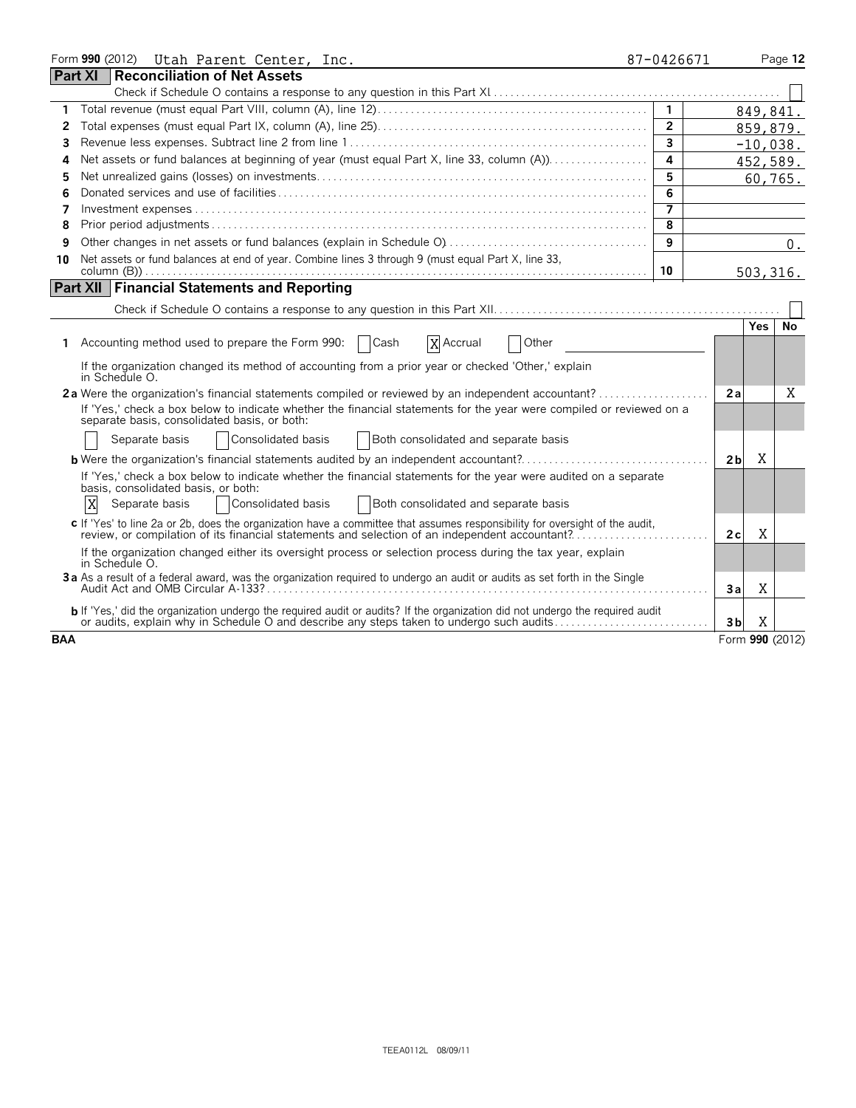|                | Form 990 (2012)<br>Utah Parent Center, Inc.                                                                                                                                                                                                  | 87-0426671     |                 |            | Page 12    |
|----------------|----------------------------------------------------------------------------------------------------------------------------------------------------------------------------------------------------------------------------------------------|----------------|-----------------|------------|------------|
| <b>Part XI</b> | <b>Reconciliation of Net Assets</b>                                                                                                                                                                                                          |                |                 |            |            |
|                |                                                                                                                                                                                                                                              |                |                 |            |            |
| 1              |                                                                                                                                                                                                                                              | $\overline{1}$ |                 | 849,841.   |            |
| 2              |                                                                                                                                                                                                                                              | $\overline{2}$ |                 |            | 859,879.   |
| 3              |                                                                                                                                                                                                                                              | $\overline{3}$ |                 |            | $-10,038.$ |
| 4              | Net assets or fund balances at beginning of year (must equal Part X, line 33, column (A)).                                                                                                                                                   | $\overline{a}$ |                 |            | 452,589.   |
| 5              |                                                                                                                                                                                                                                              | 5              |                 |            | 60,765.    |
| 6              |                                                                                                                                                                                                                                              | 6              |                 |            |            |
| 7              |                                                                                                                                                                                                                                              | $\overline{7}$ |                 |            |            |
| 8              |                                                                                                                                                                                                                                              | 8              |                 |            |            |
| 9              |                                                                                                                                                                                                                                              | 9              |                 |            | $0$ .      |
| 10             | Net assets or fund balances at end of year. Combine lines 3 through 9 (must equal Part X, line 33,                                                                                                                                           |                |                 |            |            |
|                |                                                                                                                                                                                                                                              | 10             |                 |            | 503, 316.  |
|                | <b>Part XII Financial Statements and Reporting</b>                                                                                                                                                                                           |                |                 |            |            |
|                |                                                                                                                                                                                                                                              |                |                 |            |            |
|                |                                                                                                                                                                                                                                              |                |                 | <b>Yes</b> | <b>No</b>  |
| 1.             | Accounting method used to prepare the Form 990:<br>  Cash<br>X Accrual<br>Other                                                                                                                                                              |                |                 |            |            |
|                | If the organization changed its method of accounting from a prior year or checked 'Other,' explain<br>in Schedule O.                                                                                                                         |                |                 |            |            |
|                | 2a Were the organization's financial statements compiled or reviewed by an independent accountant?                                                                                                                                           |                | 2a              |            | Χ          |
|                | If 'Yes,' check a box below to indicate whether the financial statements for the year were compiled or reviewed on a<br>separate basis, consolidated basis, or both:                                                                         |                |                 |            |            |
|                | Consolidated basis<br><b>Both consolidated and separate basis</b><br>Separate basis                                                                                                                                                          |                |                 |            |            |
|                | <b>b</b> Were the organization's financial statements audited by an independent accountant?                                                                                                                                                  |                | 2 <sub>b</sub>  | Χ          |            |
|                | If 'Yes,' check a box below to indicate whether the financial statements for the year were audited on a separate<br>basis, consolidated basis, or both:<br>X<br>Consolidated basis<br>Both consolidated and separate basis<br>Separate basis |                |                 |            |            |
|                | c If 'Yes' to line 2a or 2b, does the organization have a committee that assumes responsibility for oversight of the audit,<br>review, or compilation of its financial statements and selection of an independent accountant?                |                | 2c              | X          |            |
|                | If the organization changed either its oversight process or selection process during the tax year, explain<br>in Schedule O.                                                                                                                 |                |                 |            |            |
|                | 3a As a result of a federal award, was the organization required to undergo an audit or audits as set forth in the Single                                                                                                                    |                | 3a              | Χ          |            |
|                | b If 'Yes,' did the organization undergo the required audit or audits? If the organization did not undergo the required audit or audits, explain why in Schedule O and describe any steps taken to undergo such audits                       |                | 3 <sub>b</sub>  | X          |            |
| <b>BAA</b>     |                                                                                                                                                                                                                                              |                | Form 990 (2012) |            |            |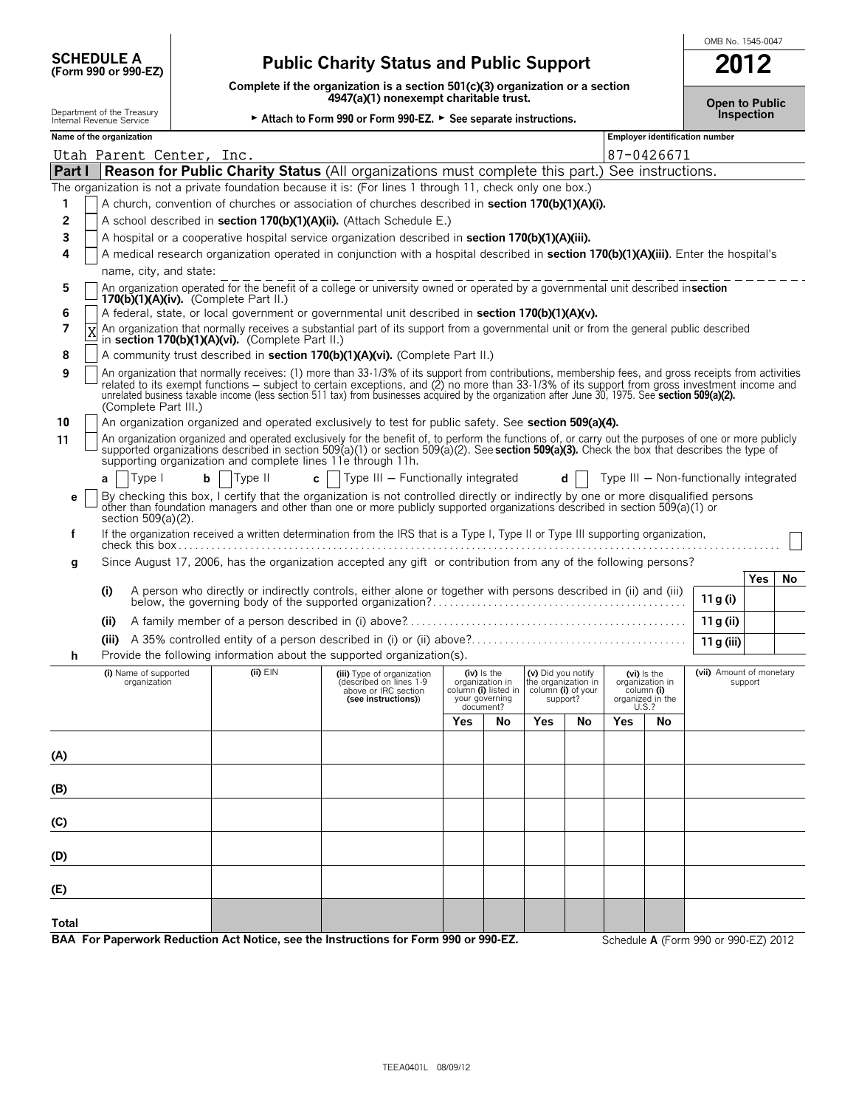| <b>SCHEDULE A</b>   |  |  |
|---------------------|--|--|
| (Form 990 or 990-EZ |  |  |

## **(Form 990 or 990-EZ) Public Charity Status and Public Support 2012**

**Complete if the organization is a section 501(c)(3) organization or a section**

OMB No. 1545-0047

|              |                                                        |   |                                                             | Complete if the organization is a section 501(c)(3) organization or a section<br>4947(a)(1) nonexempt charitable trust.                                                                                                                                                                                                                                                                                                                                    |     |                                                           |                                                                             |     |                  |                               | <b>Open to Public</b>                  |                   |    |
|--------------|--------------------------------------------------------|---|-------------------------------------------------------------|------------------------------------------------------------------------------------------------------------------------------------------------------------------------------------------------------------------------------------------------------------------------------------------------------------------------------------------------------------------------------------------------------------------------------------------------------------|-----|-----------------------------------------------------------|-----------------------------------------------------------------------------|-----|------------------|-------------------------------|----------------------------------------|-------------------|----|
|              | Department of the Treasury<br>Internal Revenue Service |   |                                                             | ► Attach to Form 990 or Form 990-EZ. ► See separate instructions.                                                                                                                                                                                                                                                                                                                                                                                          |     |                                                           |                                                                             |     |                  |                               |                                        | <b>Inspection</b> |    |
|              | Name of the organization                               |   |                                                             |                                                                                                                                                                                                                                                                                                                                                                                                                                                            |     |                                                           |                                                                             |     |                  |                               | <b>Employer identification number</b>  |                   |    |
|              | Utah Parent Center, Inc.                               |   |                                                             |                                                                                                                                                                                                                                                                                                                                                                                                                                                            |     |                                                           |                                                                             |     |                  | 87-0426671                    |                                        |                   |    |
| Part I       |                                                        |   |                                                             | <b>Reason for Public Charity Status</b> (All organizations must complete this part.) See instructions.                                                                                                                                                                                                                                                                                                                                                     |     |                                                           |                                                                             |     |                  |                               |                                        |                   |    |
|              |                                                        |   |                                                             | The organization is not a private foundation because it is: (For lines 1 through 11, check only one box.)                                                                                                                                                                                                                                                                                                                                                  |     |                                                           |                                                                             |     |                  |                               |                                        |                   |    |
| 1            |                                                        |   |                                                             | A church, convention of churches or association of churches described in section 170(b)(1)(A)(i).                                                                                                                                                                                                                                                                                                                                                          |     |                                                           |                                                                             |     |                  |                               |                                        |                   |    |
| 2            |                                                        |   |                                                             | A school described in section 170(b)(1)(A)(ii). (Attach Schedule E.)                                                                                                                                                                                                                                                                                                                                                                                       |     |                                                           |                                                                             |     |                  |                               |                                        |                   |    |
| 3            |                                                        |   |                                                             | A hospital or a cooperative hospital service organization described in section 170(b)(1)(A)(iii).                                                                                                                                                                                                                                                                                                                                                          |     |                                                           |                                                                             |     |                  |                               |                                        |                   |    |
| 4            |                                                        |   |                                                             | A medical research organization operated in conjunction with a hospital described in section 170(b)(1)(A)(iii). Enter the hospital's                                                                                                                                                                                                                                                                                                                       |     |                                                           |                                                                             |     |                  |                               |                                        |                   |    |
|              | name, city, and state:                                 |   |                                                             | An organization operated for the benefit of a college or university owned or operated by a governmental unit described insection                                                                                                                                                                                                                                                                                                                           |     |                                                           |                                                                             |     |                  |                               |                                        |                   |    |
| 5            |                                                        |   | 170(b) $(1)(A)(iv)$ . (Complete Part II.)                   |                                                                                                                                                                                                                                                                                                                                                                                                                                                            |     |                                                           |                                                                             |     |                  |                               |                                        |                   |    |
| 6            |                                                        |   |                                                             | A federal, state, or local government or governmental unit described in section 170(b)(1)(A)(v).                                                                                                                                                                                                                                                                                                                                                           |     |                                                           |                                                                             |     |                  |                               |                                        |                   |    |
| 7            |                                                        |   | in section 170(b)(1)(A)(vi). (Complete Part II.)            | An organization that normally receives a substantial part of its support from a governmental unit or from the general public described                                                                                                                                                                                                                                                                                                                     |     |                                                           |                                                                             |     |                  |                               |                                        |                   |    |
| 8            |                                                        |   |                                                             | A community trust described in section 170(b)(1)(A)(vi). (Complete Part II.)                                                                                                                                                                                                                                                                                                                                                                               |     |                                                           |                                                                             |     |                  |                               |                                        |                   |    |
| 9            | (Complete Part III.)                                   |   |                                                             | An organization that normally receives: (1) more than 33-1/3% of its support from contributions, membership fees, and gross receipts from activities<br>related to its exempt functions – subject to certain exceptions, and (2) no more than 33-1/3% of its support from gross investment income and<br>unrelated business taxable income (less section 511 tax) from businesses acquired by the organization after June 30, 1975. See section 509(a)(2). |     |                                                           |                                                                             |     |                  |                               |                                        |                   |    |
| 10           |                                                        |   |                                                             | An organization organized and operated exclusively to test for public safety. See section 509(a)(4).                                                                                                                                                                                                                                                                                                                                                       |     |                                                           |                                                                             |     |                  |                               |                                        |                   |    |
| 11           |                                                        |   | supporting organization and complete lines 11e through 11h. | An organization organized and operated exclusively for the benefit of, to perform the functions of, or carry out the purposes of one or more publicly<br>supported organizations described in section 509(a)(1) or section 509(a)(2). See section 509(a)(3). Check the box that describes the type of                                                                                                                                                      |     |                                                           |                                                                             |     |                  |                               |                                        |                   |    |
|              | Type I<br>a                                            | b | Type II                                                     | Type III - Functionally integrated<br>$c \mid \cdot$                                                                                                                                                                                                                                                                                                                                                                                                       |     |                                                           |                                                                             | d l |                  |                               | Type III - Non-functionally integrated |                   |    |
| е            | section 509(a)(2).                                     |   |                                                             | By checking this box, I certify that the organization is not controlled directly or indirectly by one or more disqualified persons<br>other than foundation managers and other than one or more publicly supported organizations described in section 509(a)(1) or                                                                                                                                                                                         |     |                                                           |                                                                             |     |                  |                               |                                        |                   |    |
| f            |                                                        |   |                                                             | If the organization received a written determination from the IRS that is a Type I, Type II or Type III supporting organization,                                                                                                                                                                                                                                                                                                                           |     |                                                           |                                                                             |     |                  |                               |                                        |                   |    |
| g            |                                                        |   |                                                             | Since August 17, 2006, has the organization accepted any gift or contribution from any of the following persons?                                                                                                                                                                                                                                                                                                                                           |     |                                                           |                                                                             |     |                  |                               |                                        |                   |    |
|              |                                                        |   |                                                             |                                                                                                                                                                                                                                                                                                                                                                                                                                                            |     |                                                           |                                                                             |     |                  |                               |                                        | Yes               | No |
|              | (i)                                                    |   |                                                             | A person who directly or indirectly controls, either alone or together with persons described in (ii) and (iii)                                                                                                                                                                                                                                                                                                                                            |     |                                                           |                                                                             |     |                  |                               | 11 g (i)                               |                   |    |
|              | (ii)                                                   |   |                                                             |                                                                                                                                                                                                                                                                                                                                                                                                                                                            |     |                                                           |                                                                             |     |                  |                               | 11 g (ii)                              |                   |    |
|              |                                                        |   |                                                             |                                                                                                                                                                                                                                                                                                                                                                                                                                                            |     |                                                           |                                                                             |     |                  |                               |                                        |                   |    |
| h            |                                                        |   |                                                             | Provide the following information about the supported organization(s).                                                                                                                                                                                                                                                                                                                                                                                     |     |                                                           |                                                                             |     |                  |                               | 11 g (iii)                             |                   |    |
|              | (i) Name of supported                                  |   | (ii) EIN                                                    |                                                                                                                                                                                                                                                                                                                                                                                                                                                            |     | $(iv)$ is the                                             |                                                                             |     | (vi) is the      |                               | (vii) Amount of monetary               |                   |    |
|              | organization                                           |   |                                                             | (iii) Type of organization<br>(described on lines 1-9<br>above or IRC section<br>(see instructions))                                                                                                                                                                                                                                                                                                                                                       |     | organization in<br>column (i) listed in<br>your governing | (v) Did you notify<br>the organization in<br>column (i) of your<br>support? |     | organized in the | organization in<br>column (i) |                                        | support           |    |
|              |                                                        |   |                                                             |                                                                                                                                                                                                                                                                                                                                                                                                                                                            | Yes | document?<br>No                                           | Yes                                                                         | No  | U.S.?<br>Yes     | No                            |                                        |                   |    |
|              |                                                        |   |                                                             |                                                                                                                                                                                                                                                                                                                                                                                                                                                            |     |                                                           |                                                                             |     |                  |                               |                                        |                   |    |
| (A)          |                                                        |   |                                                             |                                                                                                                                                                                                                                                                                                                                                                                                                                                            |     |                                                           |                                                                             |     |                  |                               |                                        |                   |    |
|              |                                                        |   |                                                             |                                                                                                                                                                                                                                                                                                                                                                                                                                                            |     |                                                           |                                                                             |     |                  |                               |                                        |                   |    |
| (B)          |                                                        |   |                                                             |                                                                                                                                                                                                                                                                                                                                                                                                                                                            |     |                                                           |                                                                             |     |                  |                               |                                        |                   |    |
|              |                                                        |   |                                                             |                                                                                                                                                                                                                                                                                                                                                                                                                                                            |     |                                                           |                                                                             |     |                  |                               |                                        |                   |    |
| (C)          |                                                        |   |                                                             |                                                                                                                                                                                                                                                                                                                                                                                                                                                            |     |                                                           |                                                                             |     |                  |                               |                                        |                   |    |
|              |                                                        |   |                                                             |                                                                                                                                                                                                                                                                                                                                                                                                                                                            |     |                                                           |                                                                             |     |                  |                               |                                        |                   |    |
| (D)          |                                                        |   |                                                             |                                                                                                                                                                                                                                                                                                                                                                                                                                                            |     |                                                           |                                                                             |     |                  |                               |                                        |                   |    |
| (E)          |                                                        |   |                                                             |                                                                                                                                                                                                                                                                                                                                                                                                                                                            |     |                                                           |                                                                             |     |                  |                               |                                        |                   |    |
| <b>Total</b> |                                                        |   |                                                             |                                                                                                                                                                                                                                                                                                                                                                                                                                                            |     |                                                           |                                                                             |     |                  |                               |                                        |                   |    |
|              |                                                        |   |                                                             | BAA For Paperwork Reduction Act Notice, see the Instructions for Form 990 or 990-EZ.                                                                                                                                                                                                                                                                                                                                                                       |     |                                                           |                                                                             |     |                  |                               | Schedule A (Form 990 or 990-EZ) 2012   |                   |    |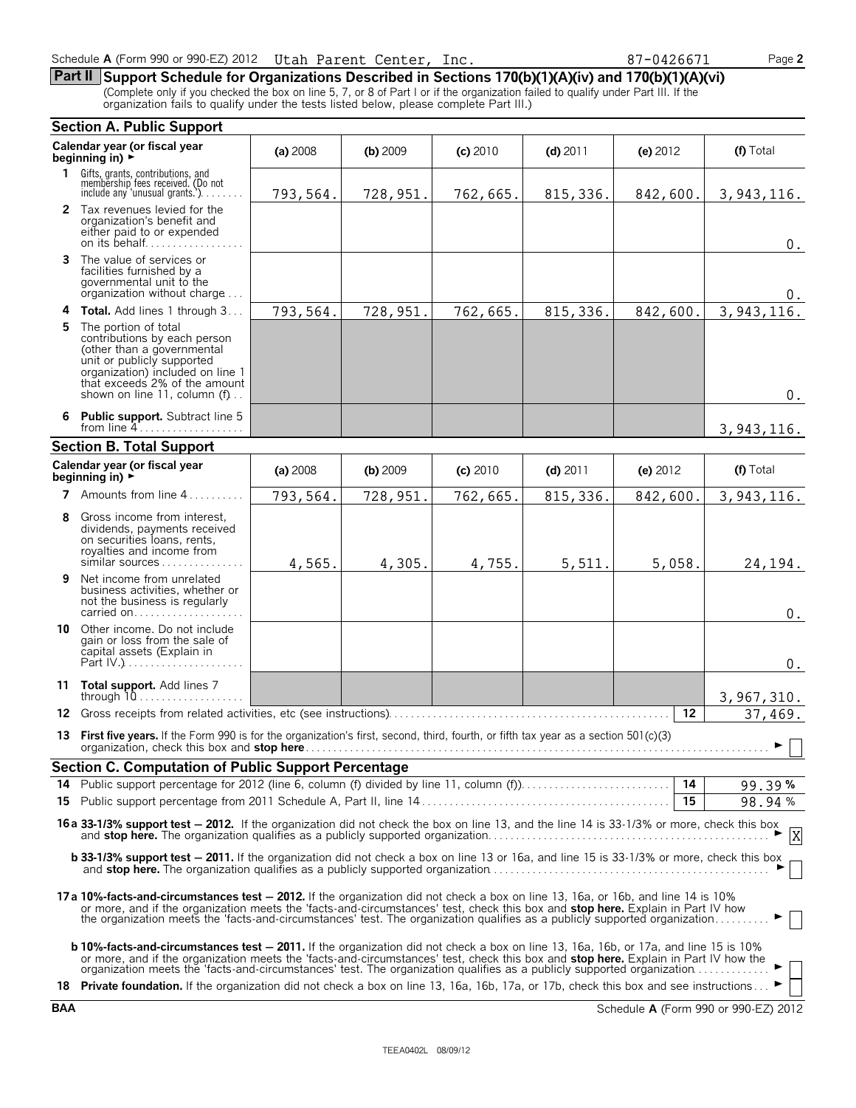| Schedule A (Form 990 or 990-EZ) 2012    Utah Parent Center, | Inc. | 87-0426671 | Page 2 |
|-------------------------------------------------------------|------|------------|--------|
|                                                             |      |            |        |

**Part II Support Schedule for Organizations Described in Sections 170(b)(1)(A)(iv) and 170(b)(1)(A)(vi)** (Complete only if you checked the box on line 5, 7, or 8 of Part I or if the organization failed to qualify under Part III. If the organization fails to qualify under the tests listed below, please complete Part III.)

|        | <b>Section A. Public Support</b>                                                                                                                                                                                                                                                                                                                                                                                           |          |            |            |            |            |                          |  |
|--------|----------------------------------------------------------------------------------------------------------------------------------------------------------------------------------------------------------------------------------------------------------------------------------------------------------------------------------------------------------------------------------------------------------------------------|----------|------------|------------|------------|------------|--------------------------|--|
|        | Calendar year (or fiscal year<br>beginning in) $\rightarrow$                                                                                                                                                                                                                                                                                                                                                               | (a) 2008 | $(b)$ 2009 | $(c)$ 2010 | $(d)$ 2011 | (e) $2012$ | (f) Total                |  |
| 1.     | Gifts, grants, contributions, and<br>membership fees received. (Do not<br>include any 'unusual grants.'). $\ldots$                                                                                                                                                                                                                                                                                                         | 793,564. | 728,951.   | 762,665.   | 815, 336.  | 842,600.   | 3,943,116.               |  |
|        | 2 Tax revenues levied for the<br>organization's benefit and<br>either paid to or expended<br>on its behalf                                                                                                                                                                                                                                                                                                                 |          |            |            |            |            | $0$ .                    |  |
| 3      | The value of services or<br>facilities furnished by a<br>governmental unit to the<br>organization without charge                                                                                                                                                                                                                                                                                                           |          |            |            |            |            | U.                       |  |
| 4<br>5 | Total. Add lines 1 through 3<br>The portion of total<br>contributions by each person<br>(other than a governmental<br>unit or publicly supported<br>organization) included on line 1<br>that exceeds 2% of the amount<br>shown on line 11, column $(f)$                                                                                                                                                                    | 793,564. | 728,951.   | 762,665.   | 815, 336.  | 842,600.   | 3, 943, 116.<br>$0$ .    |  |
| 6      | <b>Public support.</b> Subtract line 5<br>from line $4 \ldots \ldots \ldots \ldots \ldots$                                                                                                                                                                                                                                                                                                                                 |          |            |            |            |            | 3, 943, 116.             |  |
|        | <b>Section B. Total Support</b>                                                                                                                                                                                                                                                                                                                                                                                            |          |            |            |            |            |                          |  |
|        | Calendar year (or fiscal year<br>beginning in) $\rightarrow$                                                                                                                                                                                                                                                                                                                                                               | (a) 2008 | $(b)$ 2009 | (c) 2010   | $(d)$ 2011 | (e) 2012   | (f) Total                |  |
|        | 7 Amounts from line 4                                                                                                                                                                                                                                                                                                                                                                                                      | 793,564. | 728,951.   | 762,665.   | 815, 336.  | 842,600.   | 3,943,116.               |  |
| 8      | Gross income from interest.<br>dividends, payments received<br>on securities loans, rents,<br>royalties and income from<br>similar sources                                                                                                                                                                                                                                                                                 | 4,565.   | 4,305.     | 4,755.     | 5,511.     | 5,058.     | 24,194.                  |  |
| 9      | Net income from unrelated<br>business activities, whether or<br>not the business is regularly<br>carried on                                                                                                                                                                                                                                                                                                                |          |            |            |            |            | 0.                       |  |
|        | 10 Other income. Do not include<br>gain or loss from the sale of<br>capital assets (Explain in                                                                                                                                                                                                                                                                                                                             |          |            |            |            |            | $0$ .                    |  |
|        | 11 Total support. Add lines 7<br>through $10$                                                                                                                                                                                                                                                                                                                                                                              |          |            |            |            |            | 3,967,310.               |  |
|        |                                                                                                                                                                                                                                                                                                                                                                                                                            |          |            |            |            | 12         | 37,469.                  |  |
|        | 13 First five years. If the Form 990 is for the organization's first, second, third, fourth, or fifth tax year as a section 501(c)(3)<br>organization, check this box and stop here <b>consider the constant of the constant of the constant of the constant of the constant of the constant of the constant of the constant of the constant of the constant of the const</b>                                              |          |            |            |            |            | $\overline{\phantom{0}}$ |  |
|        | <b>Section C. Computation of Public Support Percentage</b>                                                                                                                                                                                                                                                                                                                                                                 |          |            |            |            |            |                          |  |
|        |                                                                                                                                                                                                                                                                                                                                                                                                                            |          |            |            |            |            | 99.39%                   |  |
|        |                                                                                                                                                                                                                                                                                                                                                                                                                            |          |            |            |            | 15         | 98.94%                   |  |
|        | 16 a 33-1/3% support test - 2012. If the organization did not check the box on line 13, and the line 14 is 33-1/3% or more, check this box and stop here. The organization qualifies as a publicly supported organization<br>$\overline{\mathsf{x}}$                                                                                                                                                                       |          |            |            |            |            |                          |  |
|        | b 33-1/3% support test - 2011. If the organization did not check a box on line 13 or 16a, and line 15 is 33-1/3% or more, check this box                                                                                                                                                                                                                                                                                   |          |            |            |            |            |                          |  |
|        | 17a 10%-facts-and-circumstances test - 2012. If the organization did not check a box on line 13, 16a, or 16b, and line 14 is 10%<br>or more, and if the organization meets the 'facts-and-circumstances' test, check this box and stop here. Explain in Part IV how<br>the organization meets the 'facts-and-circumstances' test. The organization qualifies as a publicly supported organization                          |          |            |            |            |            |                          |  |
|        | <b>b 10%-facts-and-circumstances test - 2011.</b> If the organization did not check a box on line 13, 16a, 16b, or 17a, and line 15 is 10%<br>or more, and if the organization meets the 'facts-and-circumstances' test, check this box and stop here. Explain in Part IV how the<br>18 Private foundation. If the organization did not check a box on line 13, 16a, 16b, 17a, or 17b, check this box and see instructions |          |            |            |            |            |                          |  |
|        |                                                                                                                                                                                                                                                                                                                                                                                                                            |          |            |            |            |            |                          |  |

**BAA** Schedule **A** (Form 990 or 990-EZ) 2012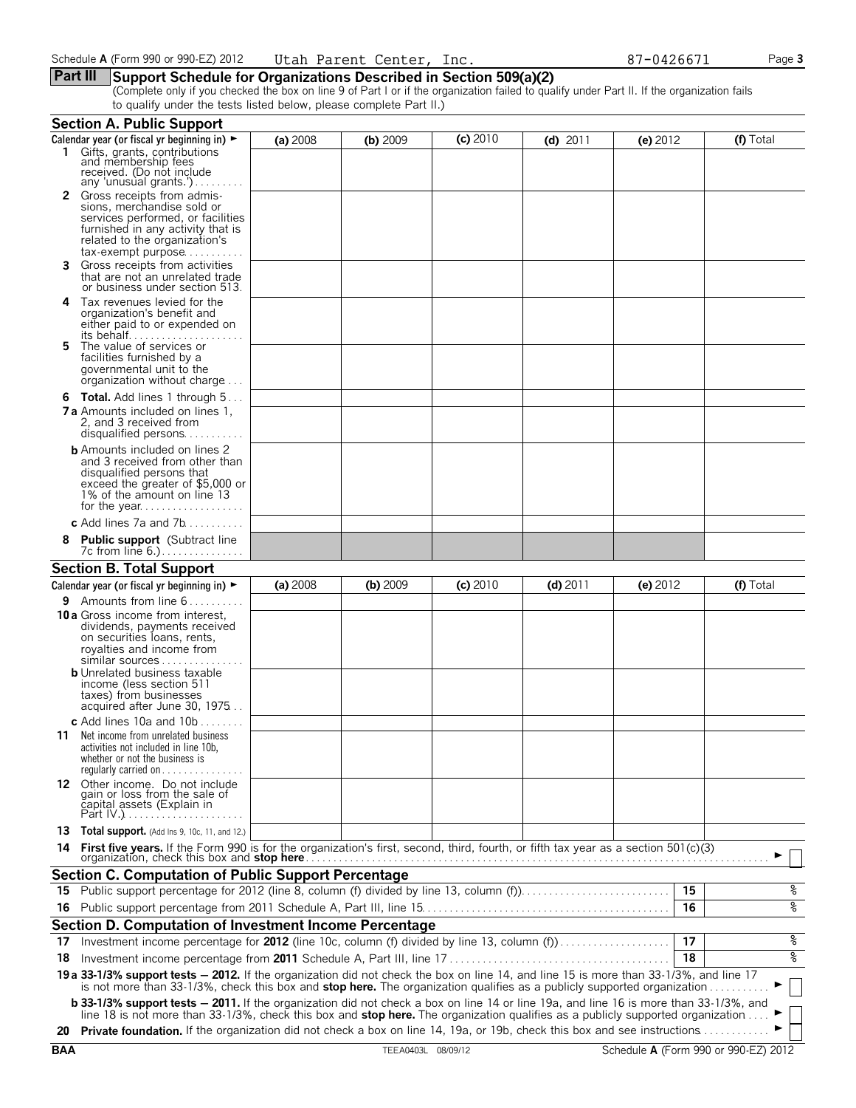### **Part III Support Schedule for Organizations Described in Section 509(a)(2)**

(Complete only if you checked the box on line 9 of Part I or if the organization failed to qualify under Part II. If the organization fails to qualify under the tests listed below, please complete Part II.)

|     | <b>Section A. Public Support</b>                                                                                                                                                                                                                                                                                                                                                                                  |          |          |            |            |          |    |           |
|-----|-------------------------------------------------------------------------------------------------------------------------------------------------------------------------------------------------------------------------------------------------------------------------------------------------------------------------------------------------------------------------------------------------------------------|----------|----------|------------|------------|----------|----|-----------|
|     | Calendar year (or fiscal yr beginning in) ►                                                                                                                                                                                                                                                                                                                                                                       | (a) 2008 | (b) 2009 | $(c)$ 2010 | $(d)$ 2011 | (e) 2012 |    | (f) Total |
|     | 1 Gifts, grants, contributions<br>and membership fees<br>received. (Do not include<br>any 'unusual grants.')                                                                                                                                                                                                                                                                                                      |          |          |            |            |          |    |           |
|     | 2 Gross receipts from admis-<br>sions, merchandise sold or<br>services performed, or facilities<br>furnished in any activity that is<br>related to the organization's<br>tax-exempt purpose                                                                                                                                                                                                                       |          |          |            |            |          |    |           |
| 3.  | Gross receipts from activities<br>that are not an unrelated trade<br>or business under section 513.                                                                                                                                                                                                                                                                                                               |          |          |            |            |          |    |           |
| 4   | Tax revenues levied for the<br>organization's benefit and<br>either paid to or expended on<br>its behalf                                                                                                                                                                                                                                                                                                          |          |          |            |            |          |    |           |
| 5.  | The value of services or<br>facilities furnished by a<br>governmental unit to the<br>organization without charge                                                                                                                                                                                                                                                                                                  |          |          |            |            |          |    |           |
|     | <b>6 Total.</b> Add lines 1 through 5<br><b>7 a</b> Amounts included on lines 1.<br>2. and 3 received from<br>disqualified persons                                                                                                                                                                                                                                                                                |          |          |            |            |          |    |           |
|     | <b>b</b> Amounts included on lines 2<br>and 3 received from other than<br>disqualified persons that<br>exceed the greater of \$5,000 or<br>1% of the amount on line 13                                                                                                                                                                                                                                            |          |          |            |            |          |    |           |
|     | c Add lines 7a and 7b                                                                                                                                                                                                                                                                                                                                                                                             |          |          |            |            |          |    |           |
| 8   | <b>Public support</b> (Subtract line<br>7c from line 6.)                                                                                                                                                                                                                                                                                                                                                          |          |          |            |            |          |    |           |
|     | <b>Section B. Total Support</b>                                                                                                                                                                                                                                                                                                                                                                                   |          |          |            |            |          |    |           |
|     | Calendar year (or fiscal yr beginning in) ►                                                                                                                                                                                                                                                                                                                                                                       | (a) 2008 | (b) 2009 | $(c)$ 2010 | $(d)$ 2011 | (e) 2012 |    | (f) Total |
|     | <b>9</b> Amounts from line $6$                                                                                                                                                                                                                                                                                                                                                                                    |          |          |            |            |          |    |           |
|     | <b>10 a</b> Gross income from interest,<br>dividends, payments received<br>on securities loans, rents,<br>royalties and income from<br>similar sources<br><b>b</b> Unrelated business taxable<br>income (less section 511                                                                                                                                                                                         |          |          |            |            |          |    |           |
|     | taxes) from businesses<br>acquired after June 30, 1975                                                                                                                                                                                                                                                                                                                                                            |          |          |            |            |          |    |           |
|     | c Add lines 10a and $10b$                                                                                                                                                                                                                                                                                                                                                                                         |          |          |            |            |          |    |           |
|     | <b>11</b> Net income from unrelated business<br>activities not included in line 10b,<br>whether or not the business is<br>requiarly carried on $\dots$                                                                                                                                                                                                                                                            |          |          |            |            |          |    |           |
|     | 12 Other income. Do not include<br>gain or loss from the sale of<br>capital assets (Explain in                                                                                                                                                                                                                                                                                                                    |          |          |            |            |          |    |           |
|     | <b>13 Total support.</b> (Add Ins 9, 10c, 11, and 12.)                                                                                                                                                                                                                                                                                                                                                            |          |          |            |            |          |    |           |
|     |                                                                                                                                                                                                                                                                                                                                                                                                                   |          |          |            |            |          |    |           |
|     | <b>Section C. Computation of Public Support Percentage</b>                                                                                                                                                                                                                                                                                                                                                        |          |          |            |            |          |    |           |
| 15. | Public support percentage for 2012 (line 8, column (f) divided by line 13, column (f)                                                                                                                                                                                                                                                                                                                             |          |          |            |            |          | 15 | %         |
| 16. |                                                                                                                                                                                                                                                                                                                                                                                                                   |          |          |            |            |          | 16 | ०७        |
|     | Section D. Computation of Investment Income Percentage                                                                                                                                                                                                                                                                                                                                                            |          |          |            |            |          |    |           |
| 17  | Investment income percentage for 2012 (line 10c, column (f) divided by line 13, column (f)                                                                                                                                                                                                                                                                                                                        |          |          |            |            |          | 17 | %         |
| 18  |                                                                                                                                                                                                                                                                                                                                                                                                                   |          |          |            |            |          | 18 | ४         |
|     |                                                                                                                                                                                                                                                                                                                                                                                                                   |          |          |            |            |          |    |           |
|     | 19 a 33-1/3% support tests - 2012. If the organization did not check the box on line 14, and line 15 is more than 33-1/3%, and line 17<br>is not more than 33-1/3%, check this box and stop here. The organization qualifies as a publicly supported organization<br><b>b 33-1/3% support tests - 2011.</b> If the organization did not check a box on line 14 or line 19a, and line 16 is more than 33-1/3%, and |          |          |            |            |          |    |           |
|     | line 18 is not more than 33-1/3%, check this box and stop here. The organization qualifies as a publicly supported organization                                                                                                                                                                                                                                                                                   |          |          |            |            |          |    |           |
|     | 20 Private foundation. If the organization did not check a box on line 14, 19a, or 19b, check this box and see instructions                                                                                                                                                                                                                                                                                       |          |          |            |            |          |    |           |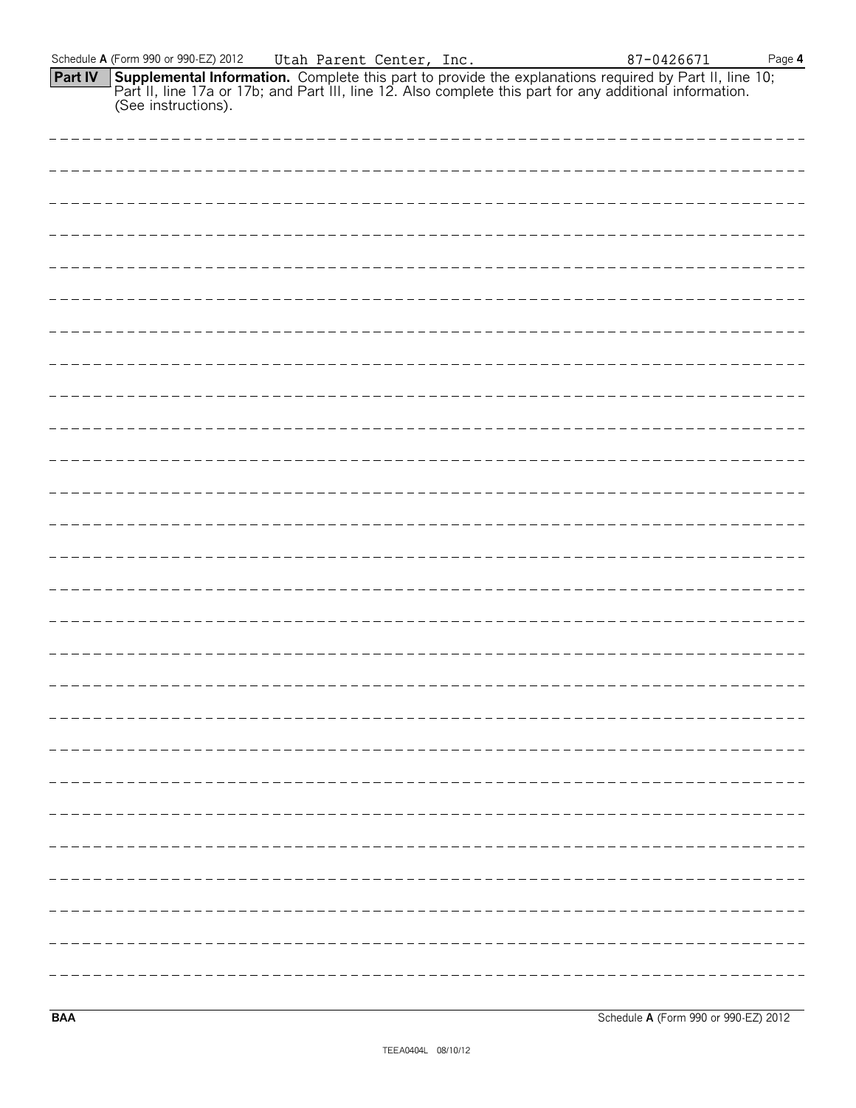| <b>Part IV</b> | Supplemental Information. Complete this part to provide the explanations required by Part II, line 10;<br>Part II, line 17a or 17b; and Part III, line 12. Also complete this part for any additional information.<br>(See instructi |  |
|----------------|--------------------------------------------------------------------------------------------------------------------------------------------------------------------------------------------------------------------------------------|--|
|                |                                                                                                                                                                                                                                      |  |
|                |                                                                                                                                                                                                                                      |  |
|                |                                                                                                                                                                                                                                      |  |
|                |                                                                                                                                                                                                                                      |  |
|                |                                                                                                                                                                                                                                      |  |
|                | ________________________________                                                                                                                                                                                                     |  |
|                |                                                                                                                                                                                                                                      |  |
|                |                                                                                                                                                                                                                                      |  |
|                |                                                                                                                                                                                                                                      |  |
|                |                                                                                                                                                                                                                                      |  |
|                |                                                                                                                                                                                                                                      |  |
|                |                                                                                                                                                                                                                                      |  |
|                | -------------------                                                                                                                                                                                                                  |  |
|                |                                                                                                                                                                                                                                      |  |
|                |                                                                                                                                                                                                                                      |  |
|                |                                                                                                                                                                                                                                      |  |
|                |                                                                                                                                                                                                                                      |  |
|                |                                                                                                                                                                                                                                      |  |
|                |                                                                                                                                                                                                                                      |  |
|                |                                                                                                                                                                                                                                      |  |
|                |                                                                                                                                                                                                                                      |  |
|                |                                                                                                                                                                                                                                      |  |
|                |                                                                                                                                                                                                                                      |  |
|                |                                                                                                                                                                                                                                      |  |
|                |                                                                                                                                                                                                                                      |  |
|                |                                                                                                                                                                                                                                      |  |
|                |                                                                                                                                                                                                                                      |  |

Schedule **A** (Form 990 or 990-EZ) 2012 Page **4**

Utah Parent Center, Inc. 87-0426671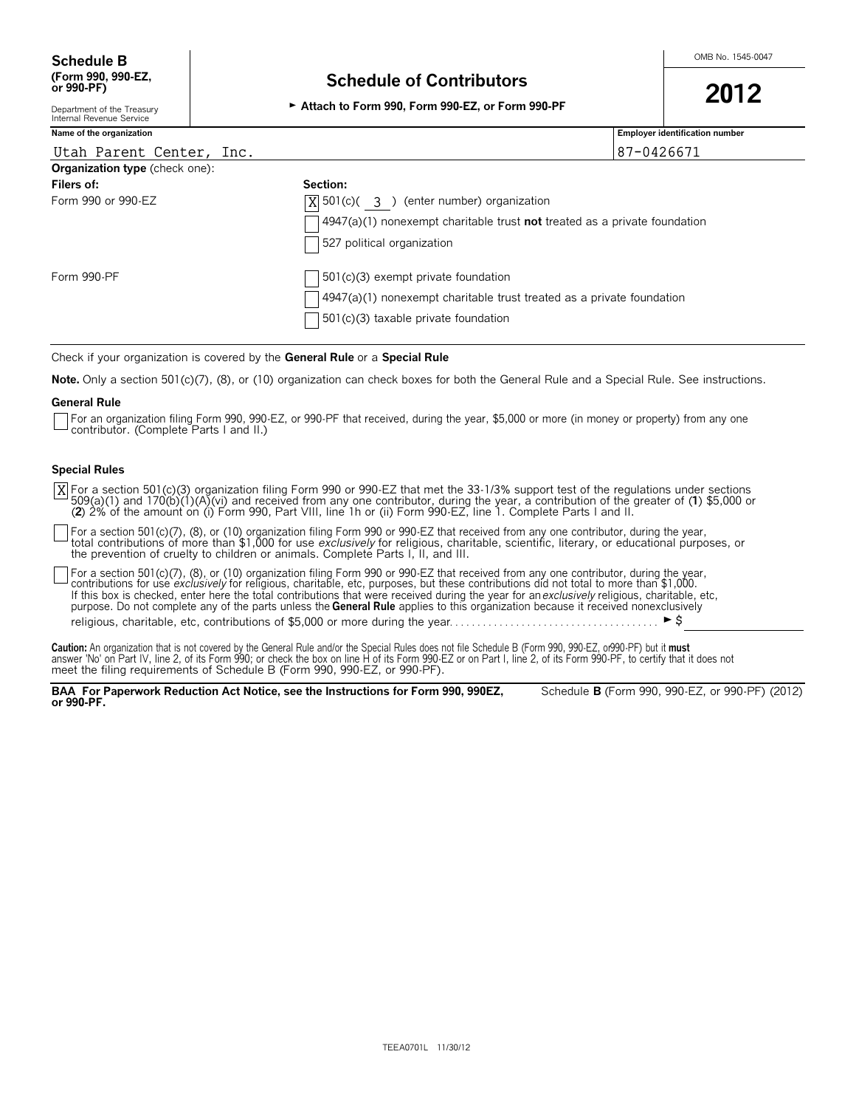# **(Form 990, 990-EZ, Schedule of Contributors or 990-PF) <sup>2012</sup>** Department of the Treasury G **Attach to Form 990, Form 990-EZ, or Form 990-PF**

Department of the Treasury<br>Internal Revenue Service

## **Name of the organization Employer identification number**

| Utah Parent Center, Inc.              | 87-0426671                                                                                |
|---------------------------------------|-------------------------------------------------------------------------------------------|
| <b>Organization type</b> (check one): |                                                                                           |
| Filers of:                            | Section:                                                                                  |
| Form 990 or 990-EZ                    | $X$ 501(c)( 3) (enter number) organization                                                |
|                                       | $\sqrt{4947(a)(1)}$ nonexempt charitable trust <b>not</b> treated as a private foundation |
|                                       | 527 political organization                                                                |
| Form 990-PF                           | $\sqrt{501(c)}$ 3) exempt private foundation                                              |
|                                       | 4947(a)(1) nonexempt charitable trust treated as a private foundation                     |
|                                       | $\sqrt{501(c)(3)}$ taxable private foundation                                             |

Check if your organization is covered by the **General Rule** or a **Special Rule**

**Note.** Only a section 501(c)(7), (8), or (10) organization can check boxes for both the General Rule and a Special Rule. See instructions.

#### **General Rule**

For an organization filing Form 990, 990-EZ, or 990-PF that received, during the year, \$5,000 or more (in money or property) from any one contributor. (Complete Parts I and II.)

#### **Special Rules**

For a section 501(c)(3) organization filing Form 990 or 990-EZ that met the 33-1/3% support test of the regulations under sections<br>509(a)(1) and 170(b)(1)(A)(vi) and received from any one contributor, during the year, a co (**2**) 2% of the amount on (i) Form 990, Part VIII, line 1h or (ii) Form 990-EZ, line 1. Complete Parts I and II. X

For a section 501(c)(7), (8), or (10) organization filing Form 990 or 990-EZ that received from any one contributor, during the year,<br>total contributions of more than \$1,000 for use *exclusively* for religious, charitable, the prevention of cruelty to children or animals. Complete Parts I, II, and III.

For a section 501(c)(7), (8), or (10) organization filing Form 990 or 990-EZ that received from any one contributor, during the year,<br>contributions for use *exclusively* for religious, charitable, etc, purposes, but these If this box is checked, enter here the total contributions that were received during the year for an *exclusively* religious, charitable, etc, purpose. Do not complete any of the parts unless the **General Rule** applies to this organization because it received nonexclusively religious, charitable, etc, contributions of \$5,000 or more during the year. . . . . . . . . . . . . . . . . . . . . . . . . . . . . . . . . . . . . . G\$

Caution: An organization that is not covered by the General Rule and/or the Special Rules does not file Schedule B (Form 990, 990-EZ, or990-PF) but it must<br>answer 'No' on Part IV, line 2, of its Form 990; or check the box

**BAA For Paperwork Reduction Act Notice, see the Instructions for Form 990, 990EZ,** Schedule **B** (Form 990, 990-EZ, or 990-PF) (2012) **or 990-PF.**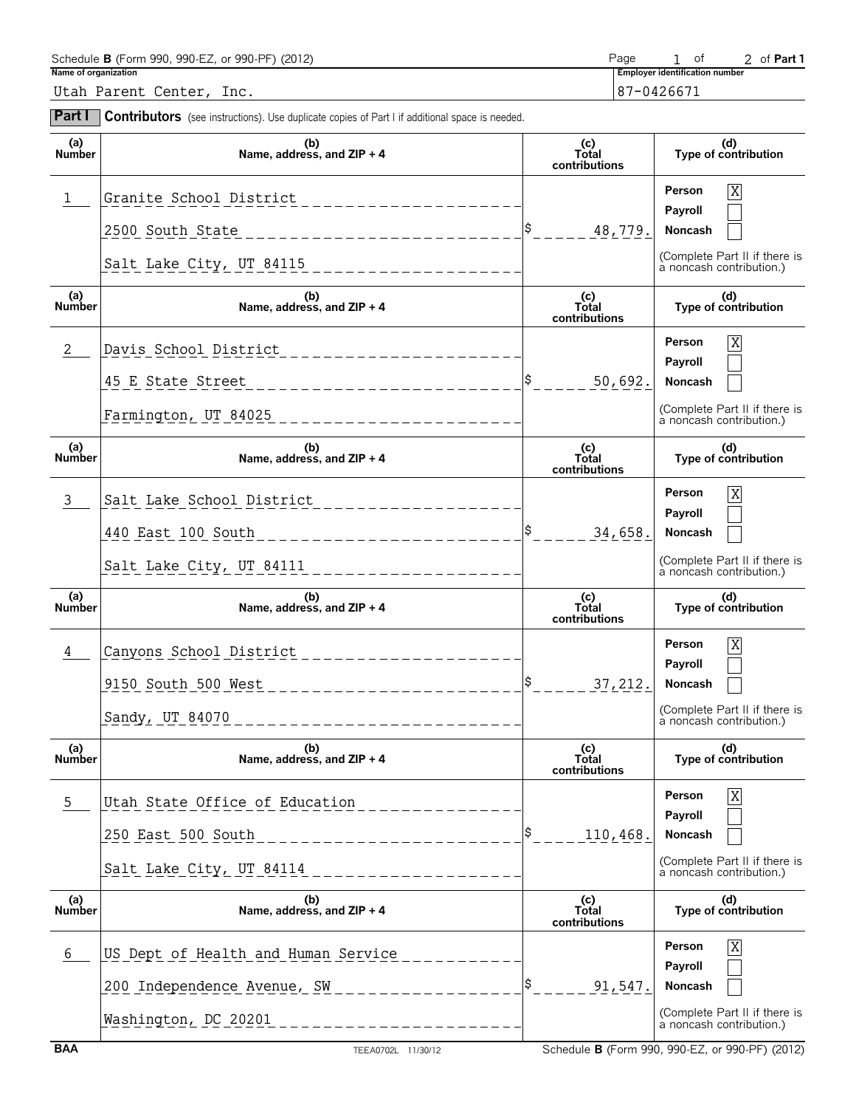| Name of organization | Schedule B (Form 990, 990-EZ, or 990-PF) (2012)                                                                         | Page                          | of<br>2 of Part 1                                                                                                    |
|----------------------|-------------------------------------------------------------------------------------------------------------------------|-------------------------------|----------------------------------------------------------------------------------------------------------------------|
|                      | Utah Parent Center, Inc.                                                                                                |                               | <b>Employer identification number</b><br>87-0426671                                                                  |
| <b>Part I</b>        | <b>Contributors</b> (see instructions). Use duplicate copies of Part I if additional space is needed.                   |                               |                                                                                                                      |
| (a)<br>Number        | (b)<br>Name, address, and ZIP + 4                                                                                       | (c)<br>Total<br>contributions | (d)<br>Type of contribution                                                                                          |
|                      | Granite School District<br>2500 South State<br>____________________                                                     | 48,779.                       | $\overline{X}$<br>Person<br>Payroll<br>Noncash                                                                       |
|                      |                                                                                                                         |                               | (Complete Part II if there is<br>a noncash contribution.)                                                            |
| (a)<br><b>Number</b> | (b)<br>Name, address, and ZIP + 4                                                                                       | (c)<br>Total<br>contributions | (d)<br>Type of contribution                                                                                          |
| 2                    | Davis School District<br>45 E State Street ________________________<br>Farmington, UT 84025                             | 50,692.                       | $\overline{X}$<br>Person<br>Payroll<br>Noncash<br>(Complete Part II if there is<br>a noncash contribution.)          |
| (a)<br><b>Number</b> | (b)<br>Name, address, and ZIP + 4                                                                                       | (c)<br>Total<br>contributions | (d)<br>Type of contribution                                                                                          |
| 3                    | Salt Lake School District<br>440 East 100 South _______________________<br>Salt Lake City, UT 84111 ___________________ | 34,658.                       | $\overline{\mathbf{X}}$<br>Person<br>Payroll<br>Noncash<br>(Complete Part II if there is<br>a noncash contribution.) |
| (a)<br><b>Number</b> | (b)<br>Name, address, and ZIP + 4                                                                                       | (c)<br>Total<br>contributions | (d)<br>Type of contribution                                                                                          |
| 4                    | Canyons School District<br>9150 South 500 West<br>Sandy, UT 84070                                                       | 37, 212.                      | X<br>Person<br>Payroll<br>Noncash<br>(Complete Part II if there is<br>a noncash contribution.)                       |
| a)<br>Number         | (b)<br>Name, address, and ZIP + 4                                                                                       | (c)<br>Total<br>contributions | (d)<br>Type of contribution                                                                                          |
| 5                    | Utah State Office of Education<br>250 East 500 South<br>Salt Lake City, UT 84114                                        | 110, 468.                     | Χ<br>Person<br>Payroll<br>Noncash<br>(Complete Part II if there is<br>a noncash contribution.)                       |
| (a)<br><b>Number</b> | (b)<br>Name, address, and ZIP + 4                                                                                       | (c)<br>Total<br>contributions | (d)<br>Type of contribution                                                                                          |
| 6                    | US Dept of Health and Human Service<br>200 Independence Avenue, SW<br>Washington, DC 20201                              | 91,547.                       | X<br>Person<br>Payroll<br>Noncash<br>(Complete Part II if there is<br>a noncash contribution.)                       |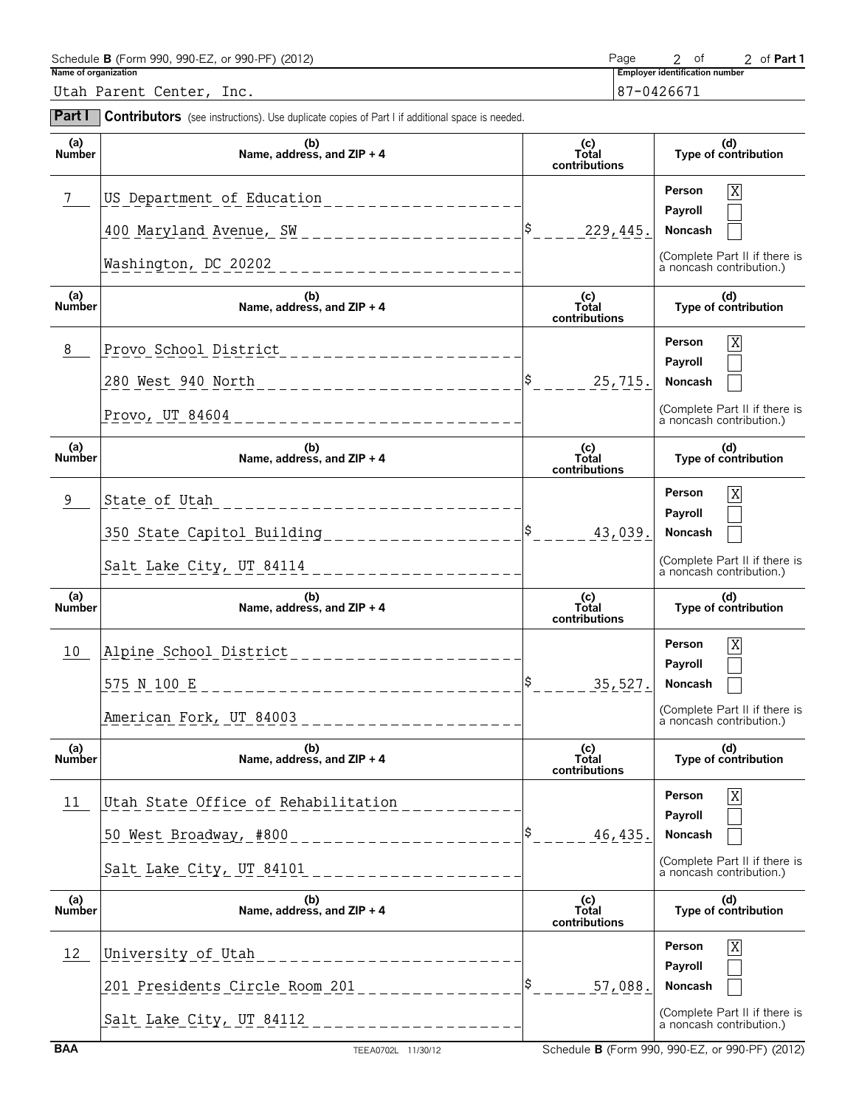| Name of organization | Schedule B (Form 990, 990-EZ, or 990-PF) (2012)                                                       |                                                   | Page      | 2 of<br><b>Employer identification number</b> | 2 of Part 1                                               |
|----------------------|-------------------------------------------------------------------------------------------------------|---------------------------------------------------|-----------|-----------------------------------------------|-----------------------------------------------------------|
|                      | Utah Parent Center, Inc.                                                                              |                                                   |           | 87-0426671                                    |                                                           |
| <b>Part I</b>        | <b>Contributors</b> (see instructions). Use duplicate copies of Part I if additional space is needed. |                                                   |           |                                               |                                                           |
| (a)<br>Number        | (b)<br>Name, address, and $ZIP + 4$                                                                   | (c)<br>Total<br>contributions                     |           |                                               | (d)<br>Type of contribution                               |
|                      |                                                                                                       |                                                   |           | Person                                        | X                                                         |
|                      | 400 Maryland Avenue, SW ______________________                                                        | $\begin{vmatrix} \frac{\xi}{2} \end{vmatrix} = -$ | 229, 445. | Payroll<br>Noncash                            |                                                           |
|                      | Washington, DC 20202_______________________                                                           |                                                   |           |                                               | (Complete Part II if there is<br>a noncash contribution.) |
| (a)<br><b>Number</b> | (b)<br>Name, address, and ZIP + 4                                                                     | (c)<br>Total<br>contributions                     |           |                                               | (d)<br>Type of contribution                               |
| 8                    | Provo School District                                                                                 |                                                   |           | Person<br>Payroll                             | X                                                         |
|                      | 280 West 940 North _______________________                                                            |                                                   | 25,715.   | Noncash                                       |                                                           |
|                      | Provo, UT $84604$ ____________________                                                                |                                                   |           |                                               | (Complete Part II if there is<br>a noncash contribution.) |
| (a)<br><b>Number</b> | (b)<br>Name, address, and ZIP + 4                                                                     | (c)<br>Total<br>contributions                     |           |                                               | (d)<br>Type of contribution                               |
| 9                    | State of Utah<br>________________________                                                             |                                                   |           | Person                                        | X                                                         |
|                      | 350 State Capitol Building ____________________                                                       |                                                   | 43,039.   | Payroll<br>Noncash                            |                                                           |
|                      | Salt Lake City, UT 84114 _____________________                                                        |                                                   |           |                                               | (Complete Part II if there is<br>a noncash contribution.) |
| (a)<br><b>Number</b> | (b)<br>Name, address, and ZIP + 4                                                                     | (c)<br><b>Total</b><br>contributions              |           |                                               | (d)<br>Type of contribution                               |
| 10                   | Alpine School District                                                                                |                                                   |           | Person                                        | $\mathbf X$                                               |
|                      | 575 N 100 E                                                                                           |                                                   | 35,527.   | Payroll<br>Noncash                            |                                                           |
|                      | American Fork, UT 84003                                                                               |                                                   |           |                                               | (Complete Part II if there is<br>a noncash contribution.) |
| (a)<br>Number        | (b)<br>Name, address, and ZIP + 4                                                                     | (c)<br>Total<br>contributions                     |           |                                               | (d)<br>Type of contribution                               |
| 11                   | Utah State Office of Rehabilitation                                                                   |                                                   |           | Person<br>Payroll                             | X                                                         |
|                      | 50 West Broadway, #800 _______________________                                                        |                                                   | 46,435.   | Noncash                                       |                                                           |
|                      | Salt Lake City, UT 84101<br>----------------                                                          |                                                   |           |                                               | (Complete Part II if there is<br>a noncash contribution.) |
| (a)<br>Number        | (b)<br>Name, address, and ZIP + 4                                                                     | (c)<br>Total<br>contributions                     |           |                                               | (d)<br>Type of contribution                               |
| 12                   | University of Utah<br>_ _ _ _ _ _ _ _ _ _ _ _ _ _ _ _ _ _ _                                           |                                                   |           | Person<br>Payroll                             | X                                                         |
|                      | 201 Presidents Circle Room 201 ______________                                                         |                                                   | 57,088.   | Noncash                                       |                                                           |
|                      | Salt Lake City, UT 84112 _______________________                                                      |                                                   |           |                                               | (Complete Part II if there is<br>a noncash contribution.) |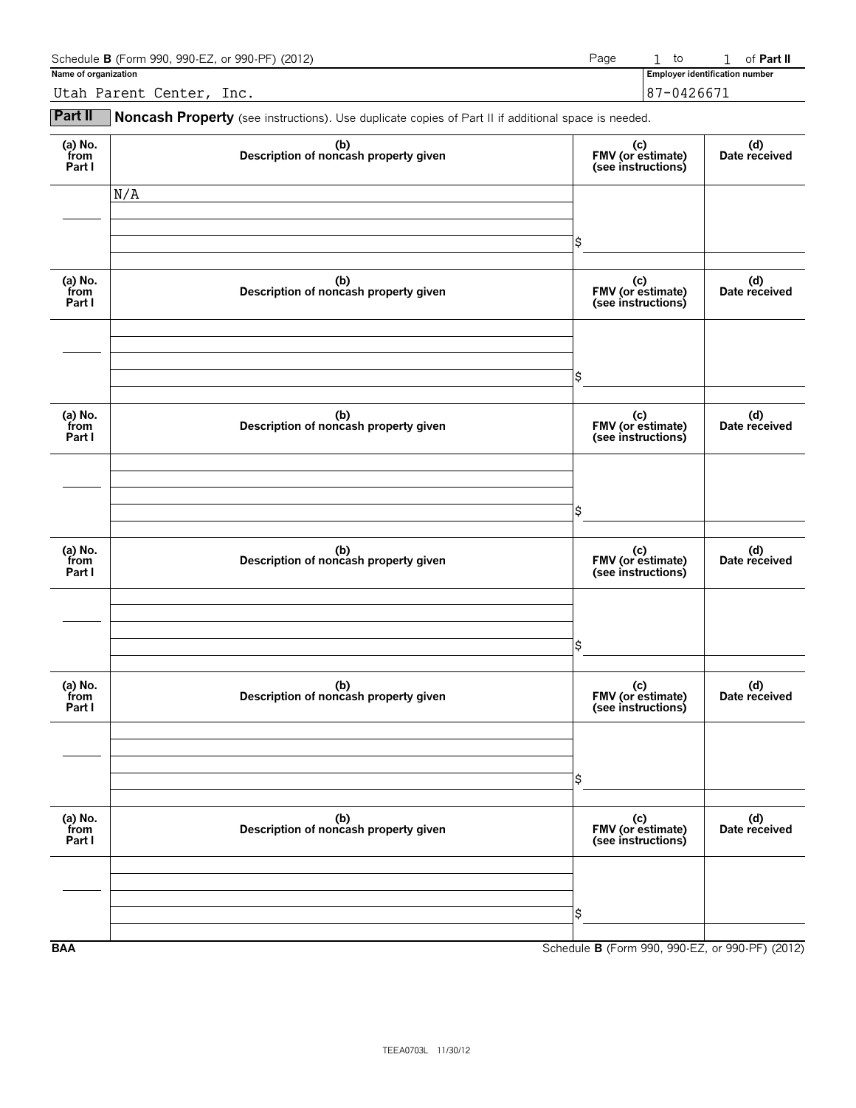| Schedule <b>B</b> (Form 990, 990-EZ, or 990-PF) (2012)<br>Page |  |  |                                       |  | of <b>Part II</b> |
|----------------------------------------------------------------|--|--|---------------------------------------|--|-------------------|
| Name of organization                                           |  |  | <b>Employer identification number</b> |  |                   |
| Utah Parent Center, Inc.                                       |  |  | 87-0426671                            |  |                   |

**Part II** Noncash Property (see instructions). Use duplicate copies of Part II if additional space is needed.

| (a) $No.$ from<br>Part I  | (b)<br>Description of noncash property given | (c)<br>FMV (or estimate)<br>(see instructions)  | (d)<br>Date received |
|---------------------------|----------------------------------------------|-------------------------------------------------|----------------------|
|                           | N/A                                          |                                                 |                      |
|                           |                                              | \$                                              |                      |
| (a) No.<br>from<br>Part I | (b)<br>Description of noncash property given | (c)<br>FMV (or estimate)<br>(see instructions)  | (d)<br>Date received |
|                           |                                              |                                                 |                      |
|                           |                                              | \$                                              |                      |
| (a) No.<br>from<br>Part I | (b)<br>Description of noncash property given | (c)<br>FMV (or estimate)<br>(see instructions)  | (d)<br>Date received |
|                           |                                              |                                                 |                      |
|                           |                                              | \$                                              |                      |
| (a) No.<br>from<br>Part I | (b)<br>Description of noncash property given | (c)<br>FMV (or estimate)<br>(see instructions)  | (d)<br>Date received |
|                           |                                              |                                                 |                      |
|                           |                                              | \$                                              |                      |
| (a) No.<br>from<br>Part I | (b)<br>Description of noncash property given | (c)<br>FMV (or estimate)<br>(see instructions)  | (d)<br>Date received |
|                           |                                              |                                                 |                      |
|                           |                                              | \$                                              |                      |
| (a) $No.$ from<br>Part I  | (b)<br>Description of noncash property given | (c)<br>FMV (or estimate)<br>(see instructions)  | (d)<br>Date received |
|                           |                                              |                                                 |                      |
|                           |                                              | \$                                              |                      |
| <b>BAA</b>                |                                              | Schedule B (Form 990, 990-EZ, or 990-PF) (2012) |                      |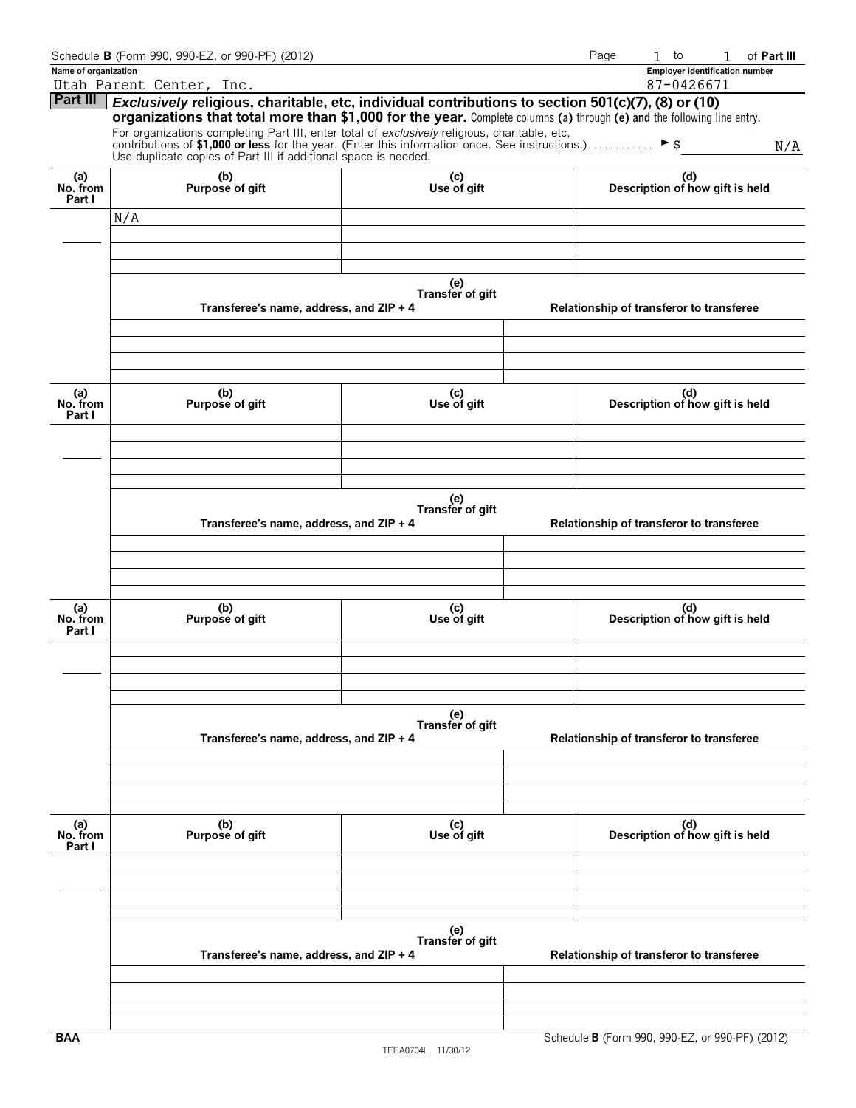|                           | Schedule B (Form 990, 990-EZ, or 990-PF) (2012)                                                                                                                                                                               |                         |                                          | Page | $1$ to                                   | of Part III<br>1                      |  |
|---------------------------|-------------------------------------------------------------------------------------------------------------------------------------------------------------------------------------------------------------------------------|-------------------------|------------------------------------------|------|------------------------------------------|---------------------------------------|--|
| Name of organization      |                                                                                                                                                                                                                               |                         |                                          |      |                                          | <b>Employer identification number</b> |  |
| Part III                  | Utah Parent Center, Inc.                                                                                                                                                                                                      |                         |                                          |      | 87-0426671                               |                                       |  |
|                           | Exclusively religious, charitable, etc, individual contributions to section 501(c)(7), (8) or (10)<br>organizations that total more than \$1,000 for the year. Complete columns (a) through (e) and the following line entry. |                         |                                          |      |                                          |                                       |  |
|                           |                                                                                                                                                                                                                               |                         |                                          |      |                                          |                                       |  |
|                           | For organizations completing Part III, enter total of exclusively religious, charitable, etc, contributions of \$1,000 or less for the year. (Enter this information once. See instructions.) $\blacktriangleright$ \$        |                         |                                          |      |                                          | N/A                                   |  |
|                           | Use duplicate copies of Part III if additional space is needed.                                                                                                                                                               |                         |                                          |      |                                          |                                       |  |
| (a)<br>No. from<br>Part I | (b)<br>Purpose of gift                                                                                                                                                                                                        | (c)<br>Use of gift      |                                          |      | (d)<br>Description of how gift is held   |                                       |  |
|                           | N/A                                                                                                                                                                                                                           |                         |                                          |      |                                          |                                       |  |
|                           |                                                                                                                                                                                                                               |                         |                                          |      |                                          |                                       |  |
|                           |                                                                                                                                                                                                                               |                         |                                          |      |                                          |                                       |  |
|                           |                                                                                                                                                                                                                               |                         |                                          |      |                                          |                                       |  |
|                           |                                                                                                                                                                                                                               | (e)                     |                                          |      |                                          |                                       |  |
|                           |                                                                                                                                                                                                                               | Transfer of gift        |                                          |      |                                          |                                       |  |
|                           | Transferee's name, address, and ZIP + 4                                                                                                                                                                                       |                         |                                          |      | Relationship of transferor to transferee |                                       |  |
|                           |                                                                                                                                                                                                                               |                         |                                          |      |                                          |                                       |  |
|                           |                                                                                                                                                                                                                               |                         |                                          |      |                                          |                                       |  |
|                           |                                                                                                                                                                                                                               |                         |                                          |      |                                          |                                       |  |
|                           | (b)                                                                                                                                                                                                                           |                         |                                          |      |                                          |                                       |  |
| (a)<br>No. from           | Purpose of gift                                                                                                                                                                                                               | (c)<br>Use of gift      |                                          |      | (d)<br>Description of how gift is held   |                                       |  |
| Part I                    |                                                                                                                                                                                                                               |                         |                                          |      |                                          |                                       |  |
|                           |                                                                                                                                                                                                                               |                         |                                          |      |                                          |                                       |  |
|                           |                                                                                                                                                                                                                               |                         |                                          |      |                                          |                                       |  |
|                           |                                                                                                                                                                                                                               |                         |                                          |      |                                          |                                       |  |
|                           |                                                                                                                                                                                                                               | (e)                     |                                          |      |                                          |                                       |  |
|                           |                                                                                                                                                                                                                               | Transfer of gift        |                                          |      |                                          |                                       |  |
|                           | Transferee's name, address, and ZIP + 4                                                                                                                                                                                       |                         | Relationship of transferor to transferee |      |                                          |                                       |  |
|                           |                                                                                                                                                                                                                               |                         |                                          |      |                                          |                                       |  |
|                           |                                                                                                                                                                                                                               |                         |                                          |      |                                          |                                       |  |
|                           |                                                                                                                                                                                                                               |                         |                                          |      |                                          |                                       |  |
|                           |                                                                                                                                                                                                                               |                         |                                          |      |                                          |                                       |  |
| (a)<br>No. from           | (b)<br>Purpose of gift                                                                                                                                                                                                        | (c)<br>Use of gift      |                                          |      | (d)<br>Description of how gift is held   |                                       |  |
| Part I                    |                                                                                                                                                                                                                               |                         |                                          |      |                                          |                                       |  |
|                           |                                                                                                                                                                                                                               |                         |                                          |      |                                          |                                       |  |
|                           |                                                                                                                                                                                                                               |                         |                                          |      |                                          |                                       |  |
|                           |                                                                                                                                                                                                                               |                         |                                          |      |                                          |                                       |  |
|                           |                                                                                                                                                                                                                               |                         |                                          |      |                                          |                                       |  |
|                           |                                                                                                                                                                                                                               | (e)<br>Transfer of gift |                                          |      |                                          |                                       |  |
|                           | Transferee's name, address, and ZIP + 4                                                                                                                                                                                       |                         |                                          |      | Relationship of transferor to transferee |                                       |  |
|                           |                                                                                                                                                                                                                               |                         |                                          |      |                                          |                                       |  |
|                           |                                                                                                                                                                                                                               |                         |                                          |      |                                          |                                       |  |
|                           |                                                                                                                                                                                                                               |                         |                                          |      |                                          |                                       |  |
|                           |                                                                                                                                                                                                                               |                         |                                          |      |                                          |                                       |  |
| (a)<br>No. from           | (b)<br>Purpose of gift                                                                                                                                                                                                        | (c)<br>Use of gift      |                                          |      | (d)<br>Description of how gift is held   |                                       |  |
| Part I                    |                                                                                                                                                                                                                               |                         |                                          |      |                                          |                                       |  |
|                           |                                                                                                                                                                                                                               |                         |                                          |      |                                          |                                       |  |
|                           |                                                                                                                                                                                                                               |                         |                                          |      |                                          |                                       |  |
|                           |                                                                                                                                                                                                                               |                         |                                          |      |                                          |                                       |  |
|                           |                                                                                                                                                                                                                               |                         |                                          |      |                                          |                                       |  |
|                           |                                                                                                                                                                                                                               | (e)<br>Transfer of gift |                                          |      |                                          |                                       |  |
|                           | Transferee's name, address, and ZIP + 4                                                                                                                                                                                       |                         |                                          |      | Relationship of transferor to transferee |                                       |  |
|                           |                                                                                                                                                                                                                               |                         |                                          |      |                                          |                                       |  |
|                           |                                                                                                                                                                                                                               |                         |                                          |      |                                          |                                       |  |
|                           |                                                                                                                                                                                                                               |                         |                                          |      |                                          |                                       |  |
|                           |                                                                                                                                                                                                                               |                         |                                          |      |                                          |                                       |  |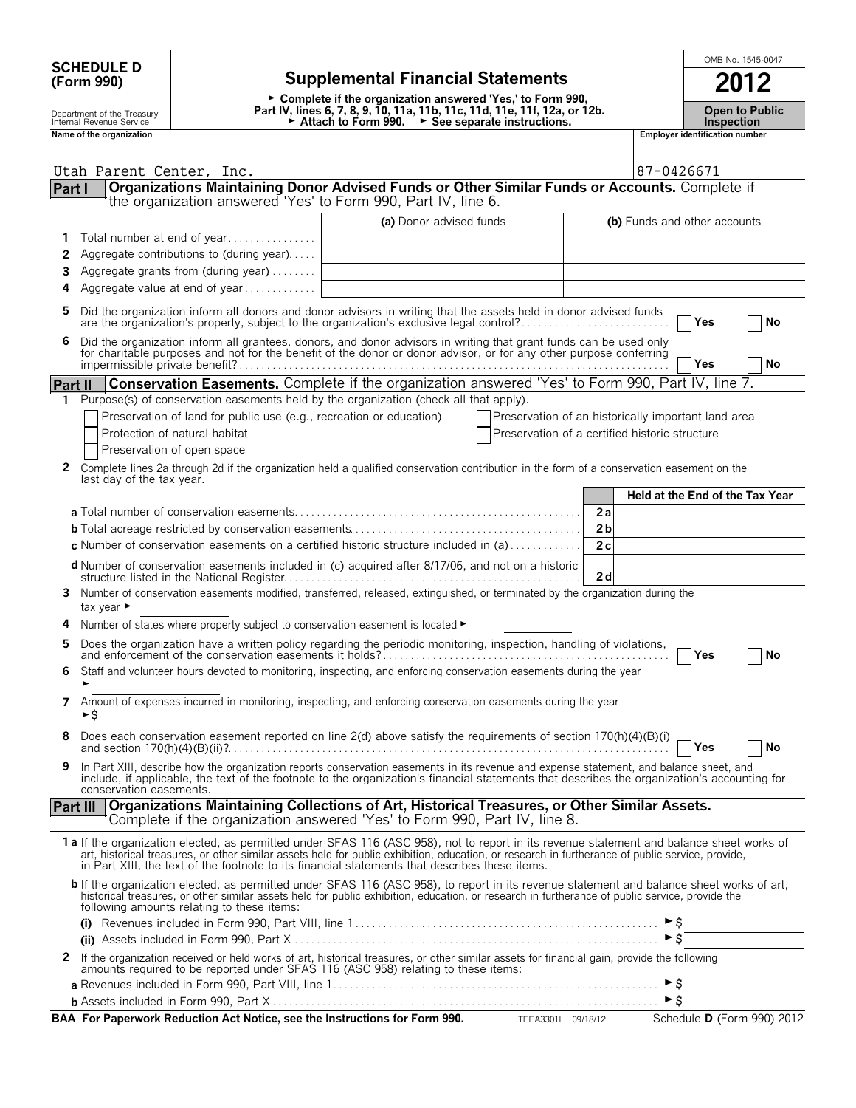| <b>SCHEDULE D</b> |  |
|-------------------|--|
| (Form 990)        |  |

## **SCHEDULE D**  $\begin{array}{|c|c|c|c|c|c|}\n\hline\n\text{SCHEDULE D} & \text{SCHEDULE D} & \text{SCHEDULE D} & \text{SCHEDULE D} & \text{SCHEDULE D} & \text{SCHEDULE D} & \text{SCHEDULE D} & \text{SCHEDULE D} & \text{SCHEDULE D} & \text{SCHEDULE D} & \text{SCHEDULE D} & \text{SCHEDULE D} & \text{SCHEDULE D} & \text{SCHEDULE D} & \text{SCHEDULE D} & \text{SCHEDULE D} & \text{SCHEDULE D} & \text{SCHEDILE D} & \text{$ **(Form 990) Supplemental Financial Statements 2012**

► Complete if the organization answered 'Yes,' to Form 990, Depart Internal Read of the Treasury and the Cheap Part IV, lines 6, 7, 8, 9, 10, 11a, 11b, 11c, 11d, 11e, 11f, 12a, or 12b. Copen to Public<br>Internal Revenue Service Alternal Revenue Service and Depart of the Attach to Fo

|                                                                                                                                                                          | Utah Parent Center, Inc.                                                                                                                                                                                                                                                                                                                                                                       |                         |                                                     | 87-0426671                   |                                 |    |
|--------------------------------------------------------------------------------------------------------------------------------------------------------------------------|------------------------------------------------------------------------------------------------------------------------------------------------------------------------------------------------------------------------------------------------------------------------------------------------------------------------------------------------------------------------------------------------|-------------------------|-----------------------------------------------------|------------------------------|---------------------------------|----|
| Organizations Maintaining Donor Advised Funds or Other Similar Funds or Accounts. Complete if<br>Part I<br>the organization answered 'Yes' to Form 990, Part IV, line 6. |                                                                                                                                                                                                                                                                                                                                                                                                |                         |                                                     |                              |                                 |    |
|                                                                                                                                                                          |                                                                                                                                                                                                                                                                                                                                                                                                | (a) Donor advised funds |                                                     | (b) Funds and other accounts |                                 |    |
| 1                                                                                                                                                                        | Total number at end of year                                                                                                                                                                                                                                                                                                                                                                    |                         |                                                     |                              |                                 |    |
| 2                                                                                                                                                                        | Aggregate contributions to (during year)                                                                                                                                                                                                                                                                                                                                                       |                         |                                                     |                              |                                 |    |
| 3                                                                                                                                                                        | Aggregate grants from (during year)                                                                                                                                                                                                                                                                                                                                                            |                         |                                                     |                              |                                 |    |
| 4                                                                                                                                                                        | Aggregate value at end of year                                                                                                                                                                                                                                                                                                                                                                 |                         |                                                     |                              |                                 |    |
| 5                                                                                                                                                                        | Did the organization inform all donors and donor advisors in writing that the assets held in donor advised funds<br>are the organization's property, subject to the organization's exclusive legal control?                                                                                                                                                                                    |                         |                                                     |                              | Yes                             | No |
| 6                                                                                                                                                                        | Did the organization inform all grantees, donors, and donor advisors in writing that grant funds can be used only<br>for charitable purposes and not for the benefit of the donor or donor advisor, or for any other purpose conferring                                                                                                                                                        |                         |                                                     |                              | Yes                             | No |
| <b>Part II</b>                                                                                                                                                           | Conservation Easements. Complete if the organization answered 'Yes' to Form 990, Part IV, line 7.                                                                                                                                                                                                                                                                                              |                         |                                                     |                              |                                 |    |
| 1                                                                                                                                                                        | Purpose(s) of conservation easements held by the organization (check all that apply).                                                                                                                                                                                                                                                                                                          |                         |                                                     |                              |                                 |    |
|                                                                                                                                                                          | Preservation of land for public use (e.g., recreation or education)                                                                                                                                                                                                                                                                                                                            |                         | Preservation of an historically important land area |                              |                                 |    |
|                                                                                                                                                                          | Protection of natural habitat                                                                                                                                                                                                                                                                                                                                                                  |                         | Preservation of a certified historic structure      |                              |                                 |    |
|                                                                                                                                                                          | Preservation of open space                                                                                                                                                                                                                                                                                                                                                                     |                         |                                                     |                              |                                 |    |
| 2                                                                                                                                                                        | Complete lines 2a through 2d if the organization held a qualified conservation contribution in the form of a conservation easement on the<br>last day of the tax year.                                                                                                                                                                                                                         |                         |                                                     |                              |                                 |    |
|                                                                                                                                                                          |                                                                                                                                                                                                                                                                                                                                                                                                |                         |                                                     |                              | Held at the End of the Tax Year |    |
|                                                                                                                                                                          |                                                                                                                                                                                                                                                                                                                                                                                                |                         |                                                     | 2a                           |                                 |    |
|                                                                                                                                                                          |                                                                                                                                                                                                                                                                                                                                                                                                |                         |                                                     | 2 <sub>b</sub>               |                                 |    |
|                                                                                                                                                                          | <b>c</b> Number of conservation easements on a certified historic structure included in (a)                                                                                                                                                                                                                                                                                                    |                         |                                                     | 2c                           |                                 |    |
|                                                                                                                                                                          | d Number of conservation easements included in (c) acquired after 8/17/06, and not on a historic<br>structure listed in the National Register.                                                                                                                                                                                                                                                 |                         |                                                     | 2d                           |                                 |    |
| 3                                                                                                                                                                        | Number of conservation easements modified, transferred, released, extinguished, or terminated by the organization during the<br>tax year ►                                                                                                                                                                                                                                                     |                         |                                                     |                              |                                 |    |
|                                                                                                                                                                          | Number of states where property subject to conservation easement is located ►                                                                                                                                                                                                                                                                                                                  |                         |                                                     |                              |                                 |    |
| 5                                                                                                                                                                        | Does the organization have a written policy regarding the periodic monitoring, inspection, handling of violations,                                                                                                                                                                                                                                                                             |                         |                                                     |                              | Yes                             | No |
| 6                                                                                                                                                                        | Staff and volunteer hours devoted to monitoring, inspecting, and enforcing conservation easements during the year<br>►                                                                                                                                                                                                                                                                         |                         |                                                     |                              |                                 |    |
| 7                                                                                                                                                                        | Amount of expenses incurred in monitoring, inspecting, and enforcing conservation easements during the year<br>►Ś                                                                                                                                                                                                                                                                              |                         |                                                     |                              |                                 |    |
|                                                                                                                                                                          | Does each conservation easement reported on line 2(d) above satisfy the requirements of section 170(h)(4)(B)(i)                                                                                                                                                                                                                                                                                |                         |                                                     |                              | Yes                             | No |
| 9                                                                                                                                                                        | In Part XIII, describe how the organization reports conservation easements in its revenue and expense statement, and balance sheet, and<br>include, if applicable, the text of the footnote to the organization's financial statements that describes the organization's accounting for<br>conservation easements.                                                                             |                         |                                                     |                              |                                 |    |
|                                                                                                                                                                          | Organizations Maintaining Collections of Art, Historical Treasures, or Other Similar Assets.<br>Part III<br>Complete if the organization answered 'Yes' to Form 990, Part IV, line 8.                                                                                                                                                                                                          |                         |                                                     |                              |                                 |    |
|                                                                                                                                                                          | 1a If the organization elected, as permitted under SFAS 116 (ASC 958), not to report in its revenue statement and balance sheet works of<br>art, historical treasures, or other similar assets held for public exhibition, education, or research in furtherance of public service, provide,<br>in Part XIII, the text of the footnote to its financial statements that describes these items. |                         |                                                     |                              |                                 |    |
|                                                                                                                                                                          | b If the organization elected, as permitted under SFAS 116 (ASC 958), to report in its revenue statement and balance sheet works of art,<br>historical treasures, or other similar assets held for public exhibition, education, or research in furtherance of public service, provide the<br>following amounts relating to these items:                                                       |                         |                                                     |                              |                                 |    |
|                                                                                                                                                                          |                                                                                                                                                                                                                                                                                                                                                                                                |                         |                                                     |                              |                                 |    |
|                                                                                                                                                                          |                                                                                                                                                                                                                                                                                                                                                                                                |                         |                                                     | $\blacktriangleright$ \$     |                                 |    |
|                                                                                                                                                                          | 2 If the organization received or held works of art, historical treasures, or other similar assets for financial gain, provide the following<br>amounts required to be reported under SFAS 116 (ASC 958) relating to these items:                                                                                                                                                              |                         |                                                     |                              |                                 |    |
|                                                                                                                                                                          |                                                                                                                                                                                                                                                                                                                                                                                                |                         |                                                     | $\blacktriangleright$ \$     |                                 |    |
|                                                                                                                                                                          |                                                                                                                                                                                                                                                                                                                                                                                                |                         |                                                     | $\blacktriangleright$ \$     |                                 |    |

**BAA For Paperwork Reduction Act Notice, see the Instructions for Form 990.** TEEA3301L 09/18/12 Schedule **D** (Form 990) 2012

|                                                        | ► Complete if the organization answered 'Yes,' to Form 990.                                                                                                      |                                           |
|--------------------------------------------------------|------------------------------------------------------------------------------------------------------------------------------------------------------------------|-------------------------------------------|
| Department of the Treasury<br>Internal Revenue Service | Part IV, lines 6, 7, 8, 9, 10, 11a, 11b, 11c, 11d, 11e, 11f, 12a, or 12b.<br>$\triangleright$ Attach to Form 990.<br>$\triangleright$ See separate instructions. | <b>Open to Publi</b><br><b>Inspection</b> |
| Name of the organization                               |                                                                                                                                                                  | <b>Employer identification number</b>     |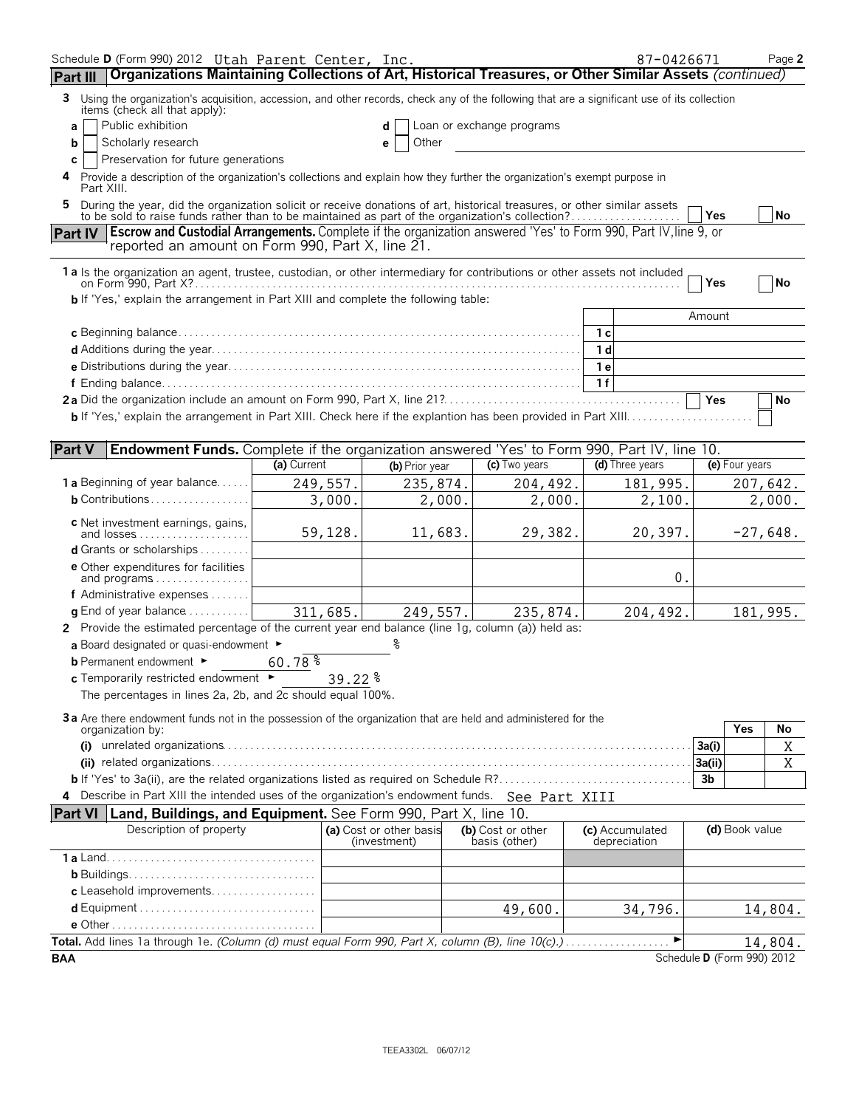| Schedule D (Form 990) 2012 Utah Parent Center, Inc.                                                                                                                                                                       |             |                         |                |                           | 87-0426671      |                            |                | Page 2     |
|---------------------------------------------------------------------------------------------------------------------------------------------------------------------------------------------------------------------------|-------------|-------------------------|----------------|---------------------------|-----------------|----------------------------|----------------|------------|
| Organizations Maintaining Collections of Art, Historical Treasures, or Other Similar Assets (continued)<br>Part III                                                                                                       |             |                         |                |                           |                 |                            |                |            |
| Using the organization's acquisition, accession, and other records, check any of the following that are a significant use of its collection<br>3<br>items (check all that apply):                                         |             |                         |                |                           |                 |                            |                |            |
| Public exhibition<br>a                                                                                                                                                                                                    |             |                         |                | Loan or exchange programs |                 |                            |                |            |
| Scholarly research<br>b                                                                                                                                                                                                   |             | е                       | Other          |                           |                 |                            |                |            |
| Preservation for future generations<br>C                                                                                                                                                                                  |             |                         |                |                           |                 |                            |                |            |
| Provide a description of the organization's collections and explain how they further the organization's exempt purpose in<br>4<br>Part XIII.                                                                              |             |                         |                |                           |                 |                            |                |            |
| During the year, did the organization solicit or receive donations of art, historical treasures, or other similar assets to be sold to raise funds rather than to be maintained as part of the organization's collection? |             |                         |                |                           |                 | Yes                        |                | No         |
| <b>Escrow and Custodial Arrangements.</b> Complete if the organization answered 'Yes' to Form 990, Part IV, line 9, or<br><b>Part IV</b><br>reported an amount on Form 990, Part X, line 21.                              |             |                         |                |                           |                 |                            |                |            |
|                                                                                                                                                                                                                           |             |                         |                |                           |                 |                            |                |            |
| 1a Is the organization an agent, trustee, custodian, or other intermediary for contributions or other assets not included                                                                                                 |             |                         |                |                           |                 | Yes                        |                | No         |
| <b>b</b> If 'Yes,' explain the arrangement in Part XIII and complete the following table:                                                                                                                                 |             |                         |                |                           |                 |                            |                |            |
|                                                                                                                                                                                                                           |             |                         |                |                           |                 | Amount                     |                |            |
|                                                                                                                                                                                                                           |             |                         |                |                           | 1 с             |                            |                |            |
|                                                                                                                                                                                                                           |             |                         |                |                           | 1 d             |                            |                |            |
|                                                                                                                                                                                                                           |             |                         |                |                           | 1е              |                            |                |            |
|                                                                                                                                                                                                                           |             |                         |                |                           | 1f              |                            |                |            |
|                                                                                                                                                                                                                           |             |                         |                |                           |                 | Yes                        |                | No         |
|                                                                                                                                                                                                                           |             |                         |                |                           |                 |                            |                |            |
|                                                                                                                                                                                                                           |             |                         |                |                           |                 |                            |                |            |
| <b>Part V</b><br>Endowment Funds. Complete if the organization answered 'Yes' to Form 990, Part IV, line 10.                                                                                                              |             |                         |                |                           |                 |                            |                |            |
|                                                                                                                                                                                                                           | (a) Current |                         | (b) Prior year | (c) Two years             | (d) Three years |                            | (e) Four years |            |
| <b>1 a</b> Beginning of year balance                                                                                                                                                                                      | 249,557.    |                         | 235,874.       | 204,492.                  | 181,995.        |                            |                | 207,642.   |
| <b>b</b> Contributions                                                                                                                                                                                                    | 3,000.      |                         | 2,000.         | 2,000.                    | 2,100.          |                            |                | 2,000.     |
| c Net investment earnings, gains,                                                                                                                                                                                         |             |                         |                |                           |                 |                            |                |            |
| <b>d</b> Grants or scholarships $\ldots \ldots$                                                                                                                                                                           | 59,128.     |                         | 11,683.        | 29,382.                   | 20,397.         |                            |                | $-27,648.$ |
|                                                                                                                                                                                                                           |             |                         |                |                           |                 |                            |                |            |
| <b>e</b> Other expenditures for facilities<br>and programs                                                                                                                                                                |             |                         |                |                           | 0.              |                            |                |            |
| f Administrative expenses                                                                                                                                                                                                 |             |                         |                |                           |                 |                            |                |            |
| <b>q</b> End of year balance $\dots\dots\dots\dots$                                                                                                                                                                       | 311,685.    |                         | 249,557.       | 235,874.                  | 204,492.        |                            |                | 181,995.   |
| 2 Provide the estimated percentage of the current year end balance (line 1g, column (a)) held as:                                                                                                                         |             |                         |                |                           |                 |                            |                |            |
| a Board designated or quasi-endowment ►                                                                                                                                                                                   |             |                         |                |                           |                 |                            |                |            |
| <b>b</b> Permanent endowment ►                                                                                                                                                                                            | 60.78%      |                         |                |                           |                 |                            |                |            |
| $c$ Temporarily restricted endowment $\blacktriangleright$                                                                                                                                                                |             | 39.22 %                 |                |                           |                 |                            |                |            |
| The percentages in lines 2a, 2b, and 2c should equal 100%.                                                                                                                                                                |             |                         |                |                           |                 |                            |                |            |
| 3a Are there endowment funds not in the possession of the organization that are held and administered for the                                                                                                             |             |                         |                |                           |                 |                            |                |            |
| organization by:                                                                                                                                                                                                          |             |                         |                |                           |                 |                            | Yes            | No         |
|                                                                                                                                                                                                                           |             |                         |                |                           |                 | 3a(i)                      |                | Χ          |
|                                                                                                                                                                                                                           |             |                         |                |                           |                 | 3a(ii)<br>3b               |                | Χ          |
| 4 Describe in Part XIII the intended uses of the organization's endowment funds. See Part XIII                                                                                                                            |             |                         |                |                           |                 |                            |                |            |
| Land, Buildings, and Equipment. See Form 990, Part X, line 10.<br><b>Part VI</b>                                                                                                                                          |             |                         |                |                           |                 |                            |                |            |
| Description of property                                                                                                                                                                                                   |             | (a) Cost or other basis |                | (b) Cost or other         | (c) Accumulated |                            | (d) Book value |            |
|                                                                                                                                                                                                                           |             | (investment)            |                | basis (other)             | depreciation    |                            |                |            |
|                                                                                                                                                                                                                           |             |                         |                |                           |                 |                            |                |            |
|                                                                                                                                                                                                                           |             |                         |                |                           |                 |                            |                |            |
| c Leasehold improvements                                                                                                                                                                                                  |             |                         |                |                           |                 |                            |                |            |
|                                                                                                                                                                                                                           |             |                         |                | 49,600.                   | 34,796.         |                            |                | 14,804.    |
|                                                                                                                                                                                                                           |             |                         |                |                           |                 |                            |                |            |
| Total. Add lines 1a through 1e. (Column (d) must equal Form 990, Part X, column (B), line 10(c).)                                                                                                                         |             |                         |                |                           | ▶               |                            |                | 14,804.    |
| <b>BAA</b>                                                                                                                                                                                                                |             |                         |                |                           |                 | Schedule D (Form 990) 2012 |                |            |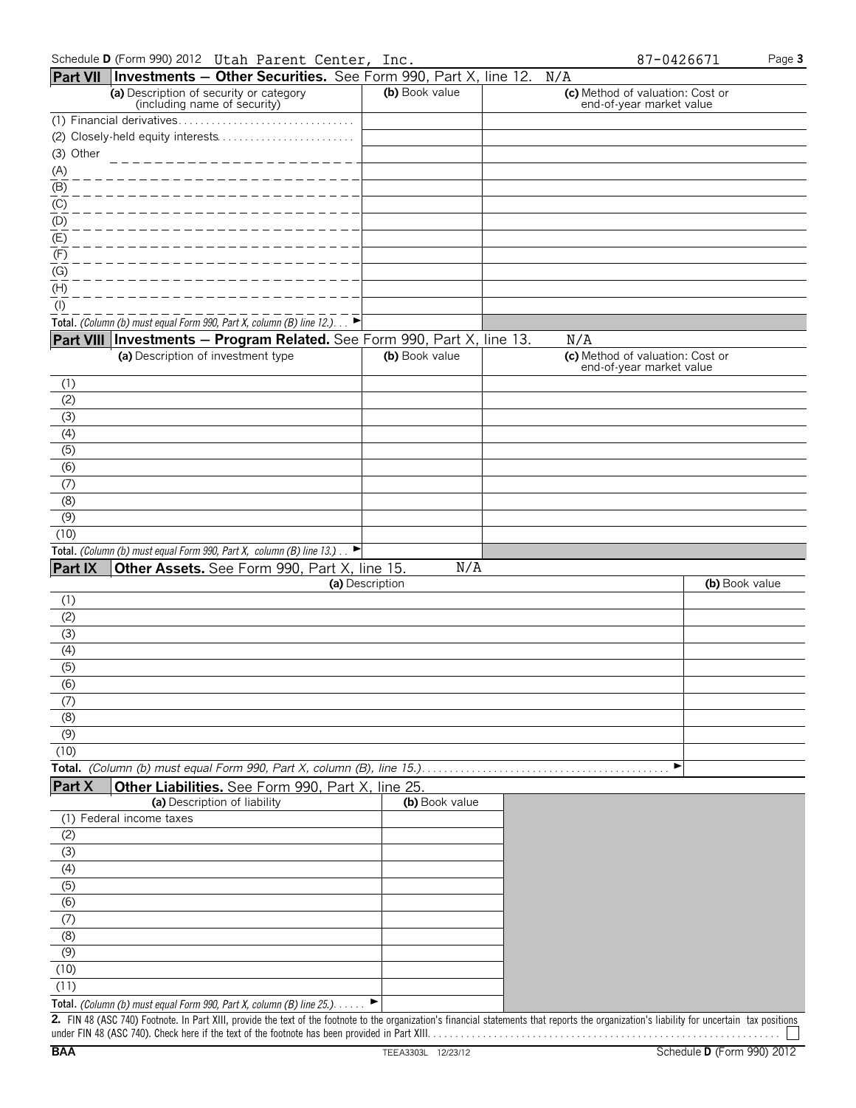|                               | <b>Part VII Investments – Other Securities.</b> See Form 990, Part X, line 12. $N/A$        |                 |                                                              |                |
|-------------------------------|---------------------------------------------------------------------------------------------|-----------------|--------------------------------------------------------------|----------------|
|                               | (a) Description of security or category<br>(including name of security)                     | (b) Book value  | (c) Method of valuation: Cost or<br>end-of-year market value |                |
|                               |                                                                                             |                 |                                                              |                |
|                               | (2) Closely-held equity interests                                                           |                 |                                                              |                |
| (3) Other                     |                                                                                             |                 |                                                              |                |
| $\underline{\underline{(A)}}$ |                                                                                             |                 |                                                              |                |
| (B)                           |                                                                                             |                 |                                                              |                |
| (C)                           |                                                                                             |                 |                                                              |                |
| (D)                           |                                                                                             |                 |                                                              |                |
| (E)                           |                                                                                             |                 |                                                              |                |
| (F)                           |                                                                                             |                 |                                                              |                |
| (G)                           |                                                                                             |                 |                                                              |                |
| (H)                           |                                                                                             |                 |                                                              |                |
| $($ l $)$                     |                                                                                             |                 |                                                              |                |
|                               | Total. (Column (b) must equal Form 990, Part X, column (B) line 12.). $\Box$                |                 |                                                              |                |
|                               | Part VIII Investments - Program Related. See Form 990, Part X, line 13.                     |                 | N/A                                                          |                |
|                               | (a) Description of investment type                                                          | (b) Book value  | (c) Method of valuation: Cost or                             |                |
|                               |                                                                                             |                 | end-of-year market value                                     |                |
| (1)                           |                                                                                             |                 |                                                              |                |
| (2)                           |                                                                                             |                 |                                                              |                |
| (3)                           |                                                                                             |                 |                                                              |                |
| (4)                           |                                                                                             |                 |                                                              |                |
| (5)                           |                                                                                             |                 |                                                              |                |
| (6)                           |                                                                                             |                 |                                                              |                |
| (7)                           |                                                                                             |                 |                                                              |                |
| (8)                           |                                                                                             |                 |                                                              |                |
| (9)                           |                                                                                             |                 |                                                              |                |
| (10)                          |                                                                                             |                 |                                                              |                |
|                               | Total. (Column (b) must equal Form 990, Part X, column (B) line 13.) $\Box$                 |                 |                                                              |                |
| Part IX                       | Other Assets. See Form 990, Part X, line 15.                                                | N/A             |                                                              |                |
|                               |                                                                                             | (a) Description |                                                              | (b) Book value |
| (1)                           |                                                                                             |                 |                                                              |                |
| (2)                           |                                                                                             |                 |                                                              |                |
| (3)                           |                                                                                             |                 |                                                              |                |
| (4)                           |                                                                                             |                 |                                                              |                |
|                               |                                                                                             |                 |                                                              |                |
|                               |                                                                                             |                 |                                                              |                |
| (5)                           |                                                                                             |                 |                                                              |                |
| (6)                           |                                                                                             |                 |                                                              |                |
| (7)                           |                                                                                             |                 |                                                              |                |
| (8)                           |                                                                                             |                 |                                                              |                |
| (9)                           |                                                                                             |                 |                                                              |                |
| (10)                          |                                                                                             |                 |                                                              |                |
|                               |                                                                                             |                 | ▶                                                            |                |
| Part X                        | Other Liabilities. See Form 990, Part X, line 25.                                           |                 |                                                              |                |
|                               | (a) Description of liability                                                                | (b) Book value  |                                                              |                |
|                               | (1) Federal income taxes                                                                    |                 |                                                              |                |
| (2)                           |                                                                                             |                 |                                                              |                |
| (3)                           |                                                                                             |                 |                                                              |                |
| (4)                           |                                                                                             |                 |                                                              |                |
| (5)                           |                                                                                             |                 |                                                              |                |
| (6)                           |                                                                                             |                 |                                                              |                |
| (7)                           |                                                                                             |                 |                                                              |                |
| (8)                           |                                                                                             |                 |                                                              |                |
| (9)                           |                                                                                             |                 |                                                              |                |
| (10)                          |                                                                                             |                 |                                                              |                |
| (11)                          | Total. (Column (b) must equal Form 990, Part X, column (B) line 25.). $\blacktriangleright$ |                 |                                                              |                |

**2.** FIN 48 (ASC 740) Footnote. In Part XIII, provide the text of the footnote to the organization's financial statements that reports the organization's liability for uncertain tax positions under FIN 48 (ASC 740). Check here if the text of the footnote has been provided in Part XIII. . . . . . . . . . . . . . . . . . . . . . . . . . . . . . . . . . . . . . . . . . . . . . . . . . . . . . . . . . . . . . . .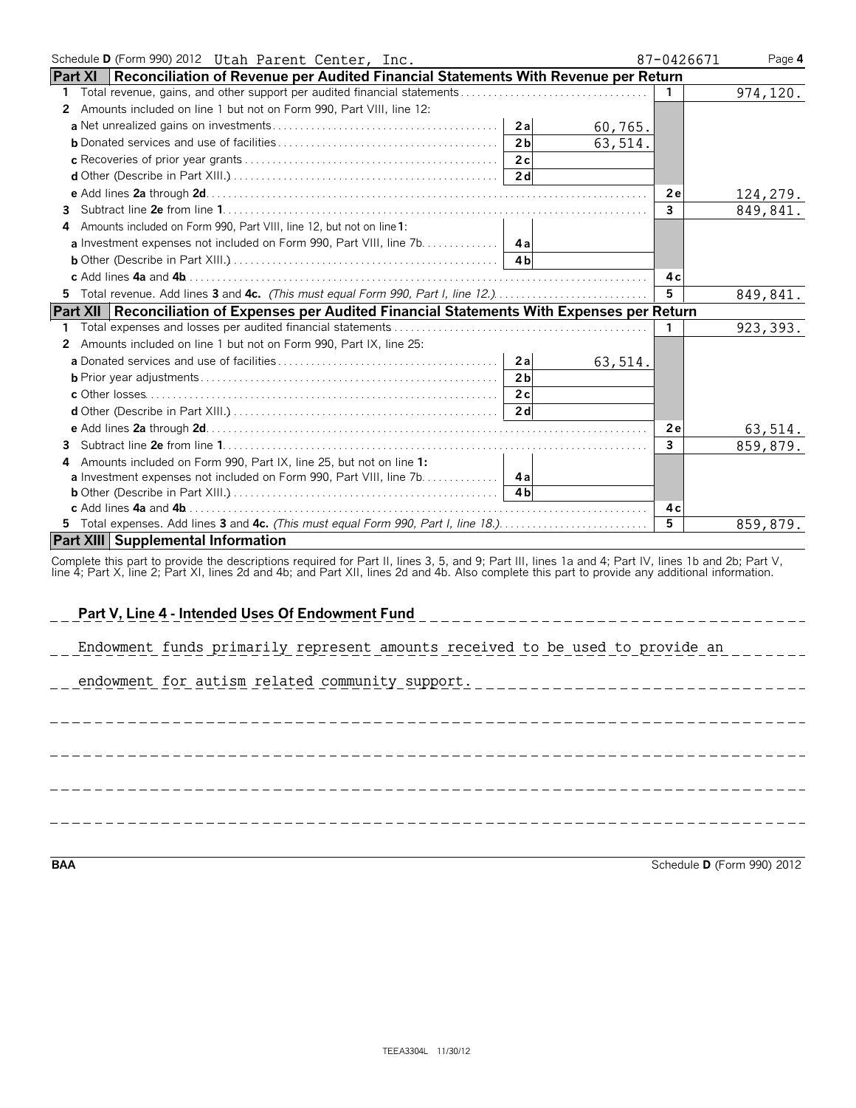| Schedule D (Form 990) 2012 Utah Parent Center, Inc.                                                         |         | 87-0426671<br>Page 4     |
|-------------------------------------------------------------------------------------------------------------|---------|--------------------------|
| <b>Part XI</b><br>$\mid$ Reconciliation of Revenue per Audited Financial Statements With Revenue per Return |         |                          |
| 1.                                                                                                          |         | 974,120.                 |
| 2 Amounts included on line 1 but not on Form 990, Part VIII, line 12:                                       |         |                          |
| 2a                                                                                                          | 60,765. |                          |
| 2 <sub>b</sub>                                                                                              | 63,514. |                          |
| 2c                                                                                                          |         |                          |
| 2 <sub>d</sub>                                                                                              |         |                          |
|                                                                                                             |         | 2e<br>124,279.           |
| 3.                                                                                                          |         | $\mathbf{3}$<br>849,841. |
| 4 Amounts included on Form 990, Part VIII, line 12, but not on line 1:                                      |         |                          |
|                                                                                                             |         |                          |
| 4 <sub>h</sub>                                                                                              |         |                          |
|                                                                                                             |         | 4с                       |
| 5 Total revenue. Add lines 3 and 4c. (This must equal Form 990, Part I, line 12.)                           |         | 5<br>849,841.            |
| <b>Part XII</b><br>Reconciliation of Expenses per Audited Financial Statements With Expenses per Return     |         |                          |
|                                                                                                             |         | 923, 393.<br>1.          |
| Amounts included on line 1 but not on Form 990, Part IX, line 25:<br>2                                      |         |                          |
|                                                                                                             | 63,514. |                          |
| 2 <sub>b</sub>                                                                                              |         |                          |
| 2c                                                                                                          |         |                          |
| 2d                                                                                                          |         |                          |
|                                                                                                             |         | 2e<br>63,514.            |
| 3.                                                                                                          |         | $\mathbf{3}$<br>859,879. |
| Amounts included on Form 990, Part IX, line 25, but not on line 1:                                          |         |                          |
| a Investment expenses not included on Form 990, Part VIII, line 7b.<br>4a                                   |         |                          |
| 4 <sub>h</sub>                                                                                              |         |                          |
|                                                                                                             |         | 4 c                      |
|                                                                                                             |         | 5<br>859,879.            |
| <b>Part XIII Supplemental Information</b>                                                                   |         |                          |

Complete this part to provide the descriptions required for Part II, lines 3, 5, and 9; Part III, lines 1a and 4; Part IV, lines 1b and 2b; Part V,<br>line 4; Part X, line 2; Part XI, lines 2d and 4b; and Part XII, lines 2d a

| Part V, Line 4 - Intended Uses Of Endowment Fund                                  |
|-----------------------------------------------------------------------------------|
| Endowment funds primarily represent amounts received to be used to provide an     |
| endowment for autism related community support.<br>------------------------------ |
|                                                                                   |
|                                                                                   |
|                                                                                   |
|                                                                                   |
|                                                                                   |
|                                                                                   |
|                                                                                   |

**BAA** Schedule **D** (Form 990) 2012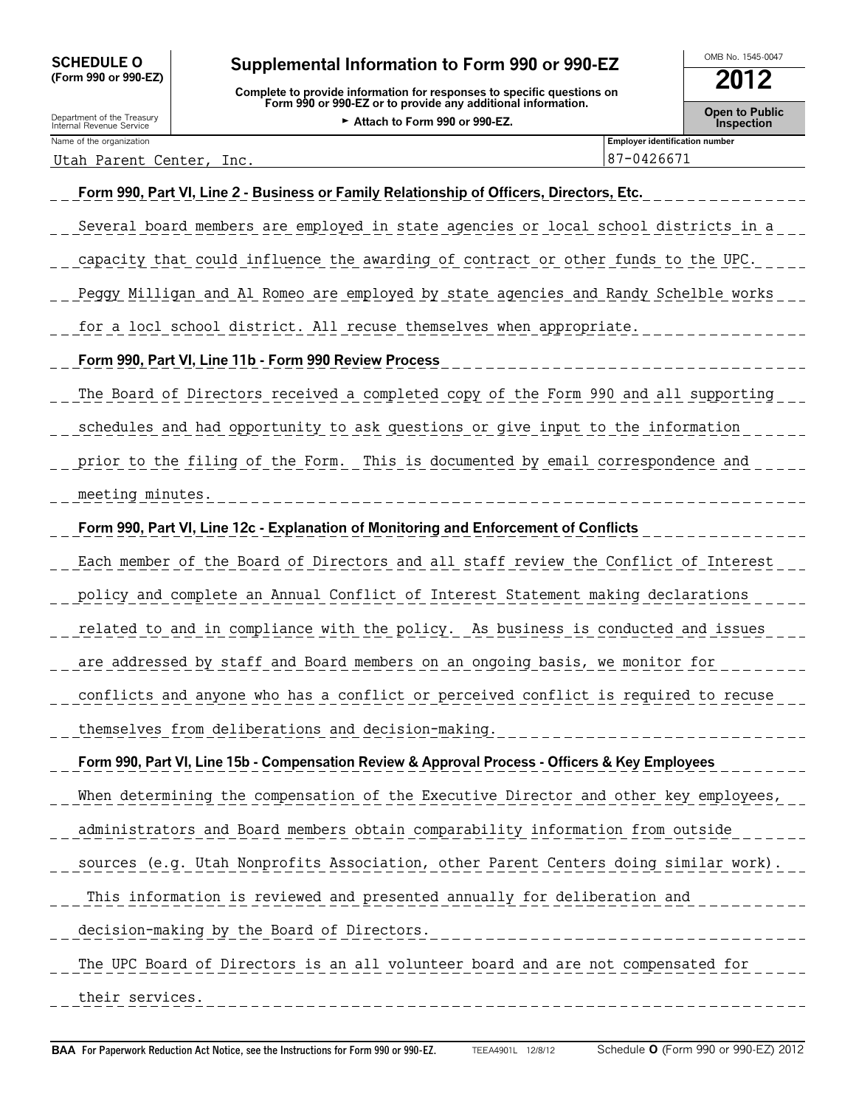## SCHEDULE O **Supplemental Information to Form 990 or 990-EZ** MB No. 1545-0047

**(Form 990 or 990-EZ) 2012 Complete to provide information for responses to specific questions on Form 990 or 990-EZ or to provide any additional information. Concretional information Concretional Concretion**<br>**• Attach to Eorm 990 or 990 FZ** and Treasury and Treasury and Treasury **Concretion** 

| Department of the Treasury | $\overline{1}$ of the 330 of 330-LL of to provide any additional imormation. | Open to Pub       |
|----------------------------|------------------------------------------------------------------------------|-------------------|
| Internal Revenue Service   | Attach to Form 990 or 990-EZ.                                                | <b>Inspection</b> |
| Name of the organization   | <b>Employer identification number</b>                                        |                   |

Utah Parent Center, Inc.

| of the organization                                                                      | <b>Employer identification number</b> |  |  |  |
|------------------------------------------------------------------------------------------|---------------------------------------|--|--|--|
| h Parent Center, Inc.                                                                    | 87-0426671                            |  |  |  |
| Form 990, Part VI, Line 2 - Business or Family Relationship of Officers, Directors, Etc. |                                       |  |  |  |
|                                                                                          |                                       |  |  |  |

Several board members are employed in state agencies or local school districts in a capacity that could influence the awarding of contract or other funds to the UPC. Peggy Milligan and Al Romeo are employed by state agencies and Randy Schelble works for a locl school district. All recuse themselves when appropriate. **Form 990, Part VI, Line 11b - Form 990 Review Process** The Board of Directors received a completed copy of the Form 990 and all supporting schedules and had opportunity to ask questions or give input to the information prior to the filing of the Form. This is documented by email correspondence and meeting minutes. **Form 990, Part VI, Line 12c - Explanation of Monitoring and Enforcement of Conflicts** Each member of the Board of Directors and all staff review the Conflict of Interest policy and complete an Annual Conflict of Interest Statement making declarations related to and in compliance with the policy. As business is conducted and issues are addressed by staff and Board members on an ongoing basis, we monitor for conflicts and anyone who has a conflict or perceived conflict is required to recuse themselves from deliberations and decision-making. **Form 990, Part VI, Line 15b - Compensation Review & Approval Process - Officers & Key Employees** When determining the compensation of the Executive Director and other key employees, administrators and Board members obtain comparability information from outside sources (e.g. Utah Nonprofits Association, other Parent Centers doing similar work). This information is reviewed and presented annually for deliberation and decision-making by the Board of Directors. The UPC Board of Directors is an all volunteer board and are not compensated for their services.